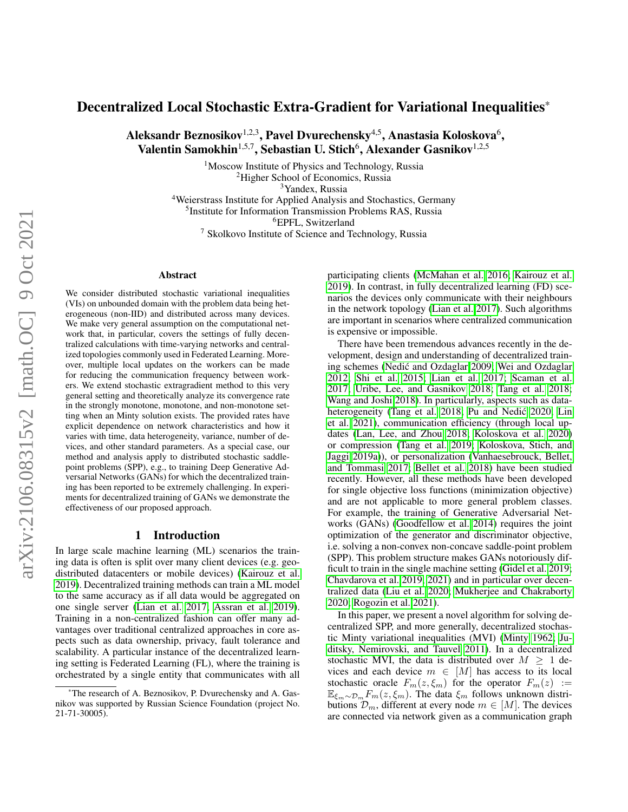# Decentralized Local Stochastic Extra-Gradient for Variational Inequalities\*

Aleksandr Beznosikov $^{1,2,3},$  Pavel Dvurechensky $^{4,5},$  Anastasia Koloskova $^6,$ Valentin Samokhin $^{1,5,7}$ , Sebastian U. Stich $^6$ , Alexander Gasnikov $^{1,2,5}$ 

> <sup>1</sup>Moscow Institute of Physics and Technology, Russia <sup>2</sup>Higher School of Economics, Russia <sup>3</sup>Yandex, Russia

Weierstrass Institute for Applied Analysis and Stochastics, Germany Institute for Information Transmission Problems RAS, Russia <sup>6</sup>EPFL, Switzerland Skolkovo Institute of Science and Technology, Russia

#### Abstract

We consider distributed stochastic variational inequalities (VIs) on unbounded domain with the problem data being heterogeneous (non-IID) and distributed across many devices. We make very general assumption on the computational network that, in particular, covers the settings of fully decentralized calculations with time-varying networks and centralized topologies commonly used in Federated Learning. Moreover, multiple local updates on the workers can be made for reducing the communication frequency between workers. We extend stochastic extragradient method to this very general setting and theoretically analyze its convergence rate in the strongly monotone, monotone, and non-monotone setting when an Minty solution exists. The provided rates have explicit dependence on network characteristics and how it varies with time, data heterogeneity, variance, number of devices, and other standard parameters. As a special case, our method and analysis apply to distributed stochastic saddlepoint problems (SPP), e.g., to training Deep Generative Adversarial Networks (GANs) for which the decentralized training has been reported to be extremely challenging. In experiments for decentralized training of GANs we demonstrate the effectiveness of our proposed approach.

#### 1 Introduction

In large scale machine learning (ML) scenarios the training data is often is split over many client devices (e.g. geodistributed datacenters or mobile devices) [\(Kairouz et al.](#page-7-0) [2019\)](#page-7-0). Decentralized training methods can train a ML model to the same accuracy as if all data would be aggregated on one single server [\(Lian et al. 2017;](#page-8-0) [Assran et al. 2019\)](#page-7-1). Training in a non-centralized fashion can offer many advantages over traditional centralized approaches in core aspects such as data ownership, privacy, fault tolerance and scalability. A particular instance of the decentralized learning setting is Federated Learning (FL), where the training is orchestrated by a single entity that communicates with all

participating clients [\(McMahan et al. 2016;](#page-8-1) [Kairouz et al.](#page-7-0) [2019\)](#page-7-0). In contrast, in fully decentralized learning (FD) scenarios the devices only communicate with their neighbours in the network topology [\(Lian et al. 2017\)](#page-8-0). Such algorithms are important in scenarios where centralized communication is expensive or impossible.

There have been tremendous advances recently in the development, design and understanding of decentralized training schemes [\(Nedic and Ozdaglar 2009;](#page-8-2) [Wei and Ozdaglar](#page-8-3) ´ [2012;](#page-8-3) [Shi et al. 2015;](#page-8-4) [Lian et al. 2017;](#page-8-0) [Scaman et al.](#page-8-5) [2017;](#page-8-5) [Uribe, Lee, and Gasnikov 2018;](#page-8-6) [Tang et al. 2018;](#page-8-7) [Wang and Joshi 2018\)](#page-8-8). In particularly, aspects such as data-heterogeneity [\(Tang et al. 2018;](#page-8-7) Pu and Nedić 2020; [Lin](#page-8-10) [et al. 2021\)](#page-8-10), communication efficiency (through local updates [\(Lan, Lee, and Zhou 2018;](#page-7-2) [Koloskova et al. 2020\)](#page-7-3) or compression [\(Tang et al. 2019;](#page-8-11) [Koloskova, Stich, and](#page-7-4) [Jaggi 2019a\)](#page-7-4)), or personalization [\(Vanhaesebrouck, Bellet,](#page-8-12) [and Tommasi 2017;](#page-8-12) [Bellet et al. 2018\)](#page-7-5) have been studied recently. However, all these methods have been developed for single objective loss functions (minimization objective) and are not applicable to more general problem classes. For example, the training of Generative Adversarial Networks (GANs) [\(Goodfellow et al. 2014\)](#page-7-6) requires the joint optimization of the generator and discriminator objective, i.e. solving a non-convex non-concave saddle-point problem (SPP). This problem structure makes GANs notoriously difficult to train in the single machine setting [\(Gidel et al. 2019;](#page-7-7) [Chavdarova et al. 2019,](#page-7-8) [2021\)](#page-7-9) and in particular over decentralized data [\(Liu et al. 2020;](#page-8-13) [Mukherjee and Chakraborty](#page-8-14) [2020;](#page-8-14) [Rogozin et al. 2021\)](#page-8-15).

In this paper, we present a novel algorithm for solving decentralized SPP, and more generally, decentralized stochastic Minty variational inequalities (MVI) [\(Minty 1962;](#page-8-16) [Ju](#page-7-10)[ditsky, Nemirovski, and Tauvel 2011\)](#page-7-10). In a decentralized stochastic MVI, the data is distributed over  $M \geq 1$  devices and each device  $m \in [M]$  has access to its local stochastic oracle  $F_m(z, \xi_m)$  for the operator  $F_m(z) :=$  $\mathbb{E}_{\xi_m \sim \mathcal{D}_m} F_m(z, \xi_m)$ . The data  $\xi_m$  follows unknown distributions  $\mathcal{D}_m$ , different at every node  $m \in [M]$ . The devices are connected via network given as a communication graph

<sup>\*</sup>The research of A. Beznosikov, P. Dvurechensky and A. Gasnikov was supported by Russian Science Foundation (project No. 21-71-30005).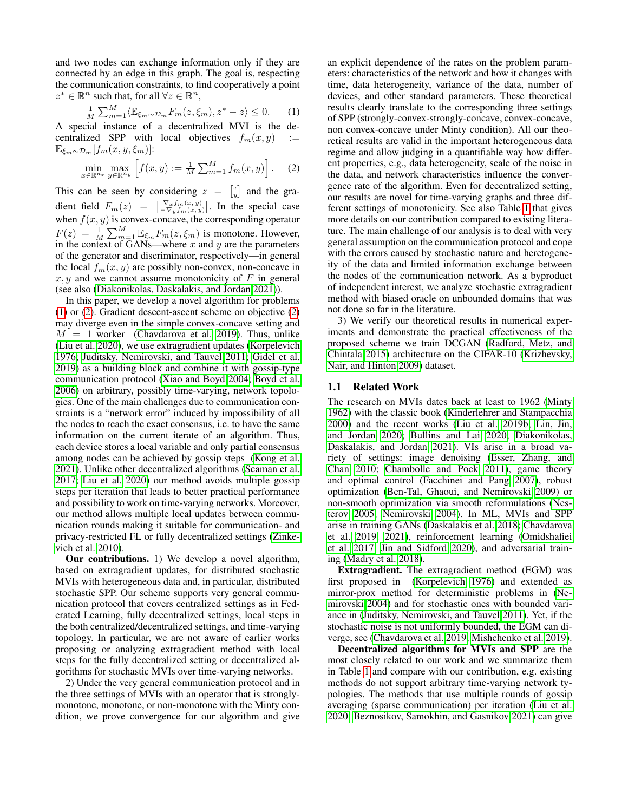and two nodes can exchange information only if they are connected by an edge in this graph. The goal is, respecting the communication constraints, to find cooperatively a point  $z^* \in \mathbb{R}^n$  such that, for all  $\forall z \in \mathbb{R}^n$ ,

$$
\frac{1}{M} \sum_{m=1}^{M} \langle \mathbb{E}_{\xi_m \sim \mathcal{D}_m} F_m(z, \xi_m), z^* - z \rangle \le 0.
$$
 (1)

A special instance of a decentralized MVI is the decentralized SPP with local objectives  $f_m(x, y)$  $\mathbb{E}_{\xi_m \sim \mathcal{D}_m}[f_m(x, y, \xi_m)]$ :

$$
\min_{x \in \mathbb{R}^{n_x}} \max_{y \in \mathbb{R}^{n_y}} \left[ f(x, y) := \frac{1}{M} \sum_{m=1}^{M} f_m(x, y) \right].
$$
 (2)

This can be seen by considering  $z = \begin{bmatrix} x \\ y \end{bmatrix}$  and the gradient field  $F_m(z) = \begin{bmatrix} \nabla_x f_m(x, y) \\ -\nabla_y f_m(x, y) \end{bmatrix}$ . In the special case when  $f(x, y)$  is convex-concave, the corresponding operator  $F(z) = \frac{1}{M} \sum_{m=1}^{M} \mathbb{E}_{\xi_m} F_m(z, \xi_m)$  is monotone. However, in the context of GANs—where  $x$  and  $y$  are the parameters of the generator and discriminator, respectively—in general the local  $f_m(x, y)$  are possibly non-convex, non-concave in  $x, y$  and we cannot assume monotonicity of F in general (see also [\(Diakonikolas, Daskalakis, and Jordan 2021\)](#page-7-11)).

In this paper, we develop a novel algorithm for problems [\(1\)](#page-1-0) or [\(2\)](#page-1-1). Gradient descent-ascent scheme on objective [\(2\)](#page-1-1) may diverge even in the simple convex-concave setting and  $M = 1$  worker [\(Chavdarova et al. 2019\)](#page-7-8). Thus, unlike [\(Liu et al. 2020\)](#page-8-13), we use extragradient updates [\(Korpelevich](#page-7-12) [1976;](#page-7-12) [Juditsky, Nemirovski, and Tauvel 2011;](#page-7-10) [Gidel et al.](#page-7-7) [2019\)](#page-7-7) as a building block and combine it with gossip-type communication protocol [\(Xiao and Boyd 2004;](#page-8-17) [Boyd et al.](#page-7-13) [2006\)](#page-7-13) on arbitrary, possibly time-varying, network topologies. One of the main challenges due to communication constraints is a "network error" induced by impossibility of all the nodes to reach the exact consensus, i.e. to have the same information on the current iterate of an algorithm. Thus, each device stores a local variable and only partial consensus among nodes can be achieved by gossip steps [\(Kong et al.](#page-7-14) [2021\)](#page-7-14). Unlike other decentralized algorithms [\(Scaman et al.](#page-8-5) [2017;](#page-8-5) [Liu et al. 2020\)](#page-8-13) our method avoids multiple gossip steps per iteration that leads to better practical performance and possibility to work on time-varying networks. Moreover, our method allows multiple local updates between communication rounds making it suitable for communication- and privacy-restricted FL or fully decentralized settings [\(Zinke](#page-8-18)[vich et al. 2010\)](#page-8-18).

Our contributions. 1) We develop a novel algorithm, based on extragradient updates, for distributed stochastic MVIs with heterogeneous data and, in particular, distributed stochastic SPP. Our scheme supports very general communication protocol that covers centralized settings as in Federated Learning, fully decentralized settings, local steps in the both centralized/decentralized settings, and time-varying topology. In particular, we are not aware of earlier works proposing or analyzing extragradient method with local steps for the fully decentralized setting or decentralized algorithms for stochastic MVIs over time-varying networks.

2) Under the very general communication protocol and in the three settings of MVIs with an operator that is stronglymonotone, monotone, or non-monotone with the Minty condition, we prove convergence for our algorithm and give

<span id="page-1-1"></span><span id="page-1-0"></span>an explicit dependence of the rates on the problem parameters: characteristics of the network and how it changes with time, data heterogeneity, variance of the data, number of devices, and other standard parameters. These theoretical results clearly translate to the corresponding three settings of SPP (strongly-convex-strongly-concave, convex-concave, non convex-concave under Minty condition). All our theoretical results are valid in the important heterogeneous data regime and allow judging in a quantifiable way how different properties, e.g., data heterogeneity, scale of the noise in the data, and network characteristics influence the convergence rate of the algorithm. Even for decentralized setting, our results are novel for time-varying graphs and three different settings of monotonicity. See also Table [1](#page-2-0) that gives more details on our contribution compared to existing literature. The main challenge of our analysis is to deal with very general assumption on the communication protocol and cope with the errors caused by stochastic nature and heretogeneity of the data and limited information exchange between the nodes of the communication network. As a byproduct of independent interest, we analyze stochastic extragradient method with biased oracle on unbounded domains that was not done so far in the literature.

3) We verify our theoretical results in numerical experiments and demonstrate the practical effectiveness of the proposed scheme we train DCGAN [\(Radford, Metz, and](#page-8-19) [Chintala 2015\)](#page-8-19) architecture on the CIFAR-10 [\(Krizhevsky,](#page-7-15) [Nair, and Hinton 2009\)](#page-7-15) dataset.

#### 1.1 Related Work

The research on MVIs dates back at least to 1962 [\(Minty](#page-8-16) [1962\)](#page-8-16) with the classic book [\(Kinderlehrer and Stampacchia](#page-7-16) [2000\)](#page-7-16) and the recent works [\(Liu et al. 2019b;](#page-8-20) [Lin, Jin,](#page-8-21) [and Jordan 2020;](#page-8-21) [Bullins and Lai 2020;](#page-7-17) [Diakonikolas,](#page-7-11) [Daskalakis, and Jordan 2021\)](#page-7-11). VIs arise in a broad variety of settings: image denoising [\(Esser, Zhang, and](#page-7-18) [Chan 2010;](#page-7-18) [Chambolle and Pock 2011\)](#page-7-19), game theory and optimal control [\(Facchinei and Pang 2007\)](#page-7-20), robust optimization [\(Ben-Tal, Ghaoui, and Nemirovski 2009\)](#page-7-21) or non-smooth oprimization via smooth reformulations [\(Nes](#page-8-22)[terov 2005;](#page-8-22) [Nemirovski 2004\)](#page-8-23). In ML, MVIs and SPP arise in training GANs [\(Daskalakis et al. 2018;](#page-7-22) [Chavdarova](#page-7-8) [et al. 2019,](#page-7-8) [2021\)](#page-7-9), reinforcement learning [\(Omidshafiei](#page-8-24) [et al. 2017;](#page-8-24) [Jin and Sidford 2020\)](#page-7-23), and adversarial training [\(Madry et al. 2018\)](#page-8-25).

Extragradient. The extragradient method (EGM) was first proposed in [\(Korpelevich 1976\)](#page-7-12) and extended as mirror-prox method for deterministic problems in [\(Ne](#page-8-23)[mirovski 2004\)](#page-8-23) and for stochastic ones with bounded variance in [\(Juditsky, Nemirovski, and Tauvel 2011\)](#page-7-10). Yet, if the stochastic noise is not uniformly bounded, the EGM can diverge, see [\(Chavdarova et al. 2019;](#page-7-8) [Mishchenko et al. 2019\)](#page-8-26).

Decentralized algorithms for MVIs and SPP are the most closely related to our work and we summarize them in Table [1](#page-2-0) and compare with our contribution, e.g. existing methods do not support arbitrary time-varying network typologies. The methods that use multiple rounds of gossip averaging (sparse communication) per iteration [\(Liu et al.](#page-8-13) [2020;](#page-8-13) [Beznosikov, Samokhin, and Gasnikov 2021\)](#page-7-24) can give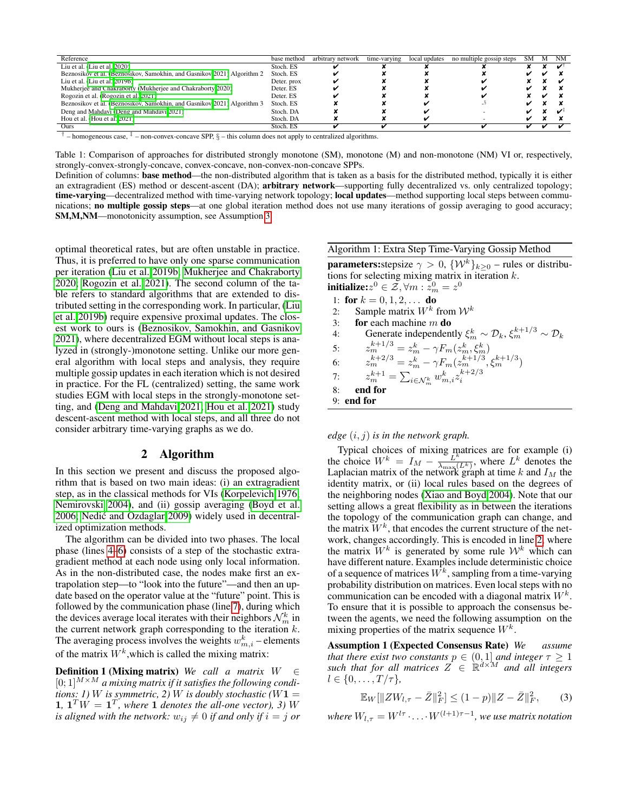<span id="page-2-0"></span>

| Reference                                                               | base method | arbitrary network | time-varying | local updates | no multiple gossip steps | SM | M | <b>NM</b>               |
|-------------------------------------------------------------------------|-------------|-------------------|--------------|---------------|--------------------------|----|---|-------------------------|
| Liu et al. $(Liu$ et al. $2020$ )                                       | Stoch. ES   |                   |              |               |                          |    |   |                         |
| Beznosikov et al. (Beznosikov, Samokhin, and Gasnikov 2021) Algorithm 2 | Stoch, ES   |                   |              |               |                          |    |   |                         |
| Liu et al. (Liu et al. $2019b$ )                                        | Deter. prox |                   |              |               |                          |    |   |                         |
| Mukherjee and Chakraborty (Mukherjee and Chakraborty 2020)              | Deter. ES   |                   |              |               |                          |    |   |                         |
| Rogozin et al. (Rogozin et al. 2021)                                    | Deter. ES   |                   |              |               |                          |    |   |                         |
| Beznosikov et al. (Beznosikov, Samokhin, and Gasnikov 2021) Algorithm 3 | Stoch. ES   |                   |              |               |                          |    |   |                         |
| Deng and Mahdavi (Deng and Mahdavi 2021)                                | Stoch. DA   |                   |              |               |                          |    |   | $\overline{\mathbf{v}}$ |
| Hou et al. (Hou et al. 2021)                                            | Stoch. DA   |                   |              |               |                          |    |   |                         |
| Ours                                                                    | Stoch. ES   |                   |              |               |                          |    |   |                         |

 $\dagger$  – homogeneous case,  $\dagger$  – non-convex-concave SPP,  $\S$  – this column does not apply to centralized algorithms.

Table 1: Comparison of approaches for distributed strongly monotone (SM), monotone (M) and non-monotone (NM) VI or, respectively, strongly-convex-strongly-concave, convex-concave, non-convex-non-concave SPPs.

Definition of columns: base method—the non-distributed algorithm that is taken as a basis for the distributed method, typically it is either an extragradient (ES) method or descent-ascent (DA); arbitrary network—supporting fully decentralized vs. only centralized topology; time-varying—decentralized method with time-varying network topology; local updates—method supporting local steps between communications; no multiple gossip steps—at one global iteration method does not use many iterations of gossip averaging to good accuracy; SM,M,NM—monotonicity assumption, see Assumption [3.](#page-3-0)

optimal theoretical rates, but are often unstable in practice. Thus, it is preferred to have only one sparse communication per iteration [\(Liu et al. 2019b;](#page-8-20) [Mukherjee and Chakraborty](#page-8-14) [2020;](#page-8-14) [Rogozin et al. 2021\)](#page-8-15). The second column of the table refers to standard algorithms that are extended to distributed setting in the corresponding work. In particular, [\(Liu](#page-8-20) [et al. 2019b\)](#page-8-20) require expensive proximal updates. The closest work to ours is [\(Beznosikov, Samokhin, and Gasnikov](#page-7-24) [2021\)](#page-7-24), where decentralized EGM without local steps is analyzed in (strongly-)monotone setting. Unlike our more general algorithm with local steps and analysis, they require multiple gossip updates in each iteration which is not desired in practice. For the FL (centralized) setting, the same work studies EGM with local steps in the strongly-monotone setting, and [\(Deng and Mahdavi 2021;](#page-7-25) [Hou et al. 2021\)](#page-7-26) study descent-ascent method with local steps, and all three do not consider arbitrary time-varying graphs as we do.

#### 2 Algorithm

In this section we present and discuss the proposed algorithm that is based on two main ideas: (i) an extragradient step, as in the classical methods for VIs [\(Korpelevich 1976;](#page-7-12) [Nemirovski 2004\)](#page-8-23), and (ii) gossip averaging [\(Boyd et al.](#page-7-13) [2006;](#page-7-13) [Nedic and Ozdaglar 2009\)](#page-8-2) widely used in decentral- ´ ized optimization methods.

The algorithm can be divided into two phases. The local phase (lines [4](#page-2-1)[–6\)](#page-2-2) consists of a step of the stochastic extragradient method at each node using only local information. As in the non-distributed case, the nodes make first an extrapolation step—to "look into the future"—and then an update based on the operator value at the "future" point. This is followed by the communication phase (line [7\)](#page-2-3), during which the devices average local iterates with their neighbors  $\mathcal{N}_m^k$  in the current network graph corresponding to the iteration  $k$ . The averaging process involves the weights  $w_{m,i}^k$  – elements of the matrix  $W^k$ , which is called the mixing matrix:

Definition 1 (Mixing matrix) *We call a matrix* W ∈  $[0;1]^{M \times M}$  *a mixing matrix if it satisfies the following conditions: 1) W is symmetric, 2) W is doubly stochastic* ( $W$ **1** = **1**,  $\mathbf{1}^T W = \mathbf{1}^T$ , where **1** denotes the all-one vector), 3) W *is aligned with the network:*  $w_{ij} \neq 0$  *if and only if*  $i = j$  *or* 

## <span id="page-2-6"></span>Algorithm 1: Extra Step Time-Varying Gossip Method

**parameters:**stepsize  $\gamma > 0$ ,  $\{W^k\}_{k>0}$  – rules or distributions for selecting mixing matrix in iteration  $k$ . initialize: $z^0 \in \tilde{\mathcal{Z}}, \forall m: \tilde{z}_m^0 = z^0$ 

<span id="page-2-4"></span><span id="page-2-3"></span><span id="page-2-2"></span><span id="page-2-1"></span>

| 1: for $k = 0, 1, 2, \ldots$ do                                                                |
|------------------------------------------------------------------------------------------------|
| Sample matrix $W^k$ from $W^k$<br>2:                                                           |
| <b>for</b> each machine $m$ <b>do</b>                                                          |
| Generate independently $\xi_m^k \sim \mathcal{D}_k$ , $\xi_m^{k+1/3} \sim \mathcal{D}_k$<br>4: |
| $z_m^{k+1/3} = z_m^k - \gamma F_m(z_m^k, \xi_m^k)$                                             |
| $z_m^{k+2/3} = z_m^k - \gamma F_m(z_m^{k+1/3}, \xi_m^{k+1/3})$                                 |
| 7: $z_m^{k+1} = \sum_{i \in \mathcal{N}_m^k} w_{m,i}^k z_i^{k+2/3}$                            |
| end for                                                                                        |
| $9:$ end for                                                                                   |
|                                                                                                |

#### *edge* (i, j) *is in the network graph.*

Typical choices of mixing matrices are for example (i) the choice  $W^k = I_M - \frac{\epsilon_L^k}{\lambda_{\text{max}}}}$  $\frac{L^k}{\lambda_{\max}(L^k)}$ , where  $L^k$  denotes the Laplacian matrix of the network graph at time k and  $I_M$  the identity matrix, or (ii) local rules based on the degrees of the neighboring nodes [\(Xiao and Boyd 2004\)](#page-8-17). Note that our setting allows a great flexibility as in between the iterations the topology of the communication graph can change, and the matrix  $W^k$ , that encodes the current structure of the network, changes accordingly. This is encoded in line [2,](#page-2-4) where the matrix  $W^k$  is generated by some rule  $\mathcal{W}^k$  which can have different nature. Examples include deterministic choice of a sequence of matrices  $W^k$ , sampling from a time-varying probability distribution on matrices. Even local steps with no communication can be encoded with a diagonal matrix  $W^k$ . To ensure that it is possible to approach the consensus between the agents, we need the following assumption on the mixing properties of the matrix sequence  $W^k$ .

<span id="page-2-5"></span>Assumption 1 (Expected Consensus Rate) *We assume that there exist two constants*  $p \in (0,1]$  *and integer*  $\tau \geq 1$ such that for all matrices  $Z \in \mathbb{R}^{d \times M}$  and all integers  $l \in \{0, \ldots, T/\tau\},\$ 

<span id="page-2-7"></span>
$$
\mathbb{E}_W[\|ZW_{l,\tau} - \bar{Z}\|_F^2] \le (1-p)\|Z - \bar{Z}\|_F^2,\tag{3}
$$

where  $W_{l,\tau} = W^{l\tau} \cdot \ldots \cdot W^{(l+1)\tau-1}$ , we use matrix notation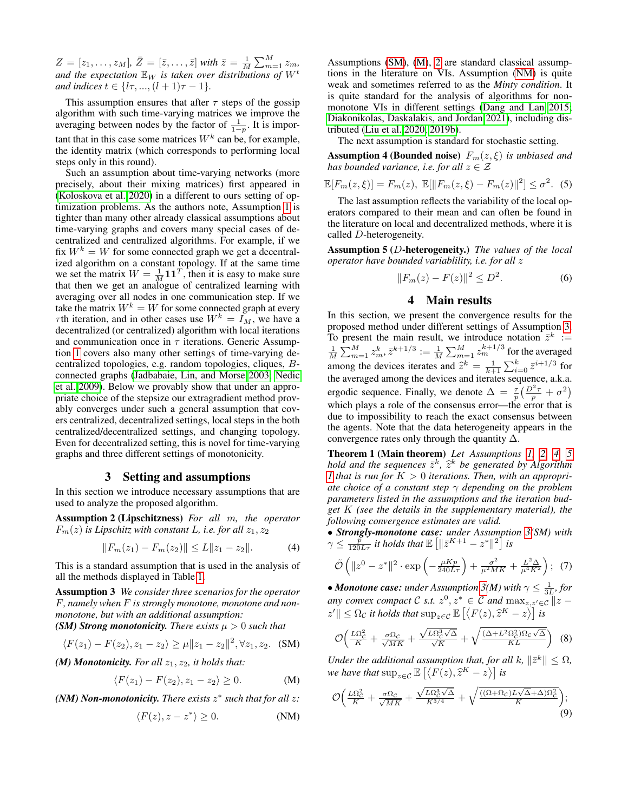$Z = [z_1, \ldots, z_M]$ ,  $\bar{Z} = [\bar{z}, \ldots, \bar{z}]$  with  $\bar{z} = \frac{1}{M} \sum_{m=1}^{M} z_m$ , and the expectation  $\mathbb{E}_W$  is taken over distributions of  $W^t$ *and indices*  $t \in \{l\tau, ..., (l + 1)\tau - 1\}$ *.* 

This assumption ensures that after  $\tau$  steps of the gossip algorithm with such time-varying matrices we improve the averaging between nodes by the factor of  $\frac{1}{1-p}$ . It is important that in this case some matrices  $W^k$  can be, for example, the identity matrix (which corresponds to performing local steps only in this round).

Such an assumption about time-varying networks (more precisely, about their mixing matrices) first appeared in [\(Koloskova et al. 2020\)](#page-7-3) in a different to ours setting of optimization problems. As the authors note, Assumption [1](#page-2-5) is tighter than many other already classical assumptions about time-varying graphs and covers many special cases of decentralized and centralized algorithms. For example, if we fix  $W^k = W$  for some connected graph we get a decentralized algorithm on a constant topology. If at the same time we set the matrix  $W = \frac{1}{M} \mathbf{1} \mathbf{1}^T$ , then it is easy to make sure that then we get an analogue of centralized learning with averaging over all nodes in one communication step. If we take the matrix  $W^k = W$  for some connected graph at every  $\tau$ th iteration, and in other cases use  $W^k = I_M$ , we have a decentralized (or centralized) algorithm with local iterations and communication once in  $\tau$  iterations. Generic Assumption [1](#page-2-5) covers also many other settings of time-varying decentralized topologies, e.g. random topologies, cliques, Bconnected graphs [\(Jadbabaie, Lin, and Morse 2003;](#page-7-27) [Nedic](#page-8-27) [et al. 2009\)](#page-8-27). Below we provably show that under an appropriate choice of the stepsize our extragradient method provably converges under such a general assumption that covers centralized, decentralized settings, local steps in the both centralized/decentralized settings, and changing topology. Even for decentralized setting, this is novel for time-varying graphs and three different settings of monotonicity.

#### 3 Setting and assumptions

In this section we introduce necessary assumptions that are used to analyze the proposed algorithm.

Assumption 2 (Lipschitzness) *For all* m*, the operator*  $F_m(z)$  *is Lipschitz with constant L, i.e. for all*  $z_1, z_2$ 

<span id="page-3-0"></span>
$$
||F_m(z_1) - F_m(z_2)|| \le L||z_1 - z_2||. \tag{4}
$$

This is a standard assumption that is used in the analysis of all the methods displayed in Table [1.](#page-2-0)

Assumption 3 *We consider three scenarios for the operator* F*, namely when* F *is strongly monotone, monotone and nonmonotone, but with an additional assumption: (SM) Strong monotonicity. There exists*  $\mu > 0$  *such that* 

$$
\langle F(z_1) - F(z_2), z_1 - z_2 \rangle \ge \mu \|z_1 - z_2\|^2, \forall z_1, z_2. \quad (SM)
$$

*(M) Monotonicity. For all*  $z_1$ ,  $z_2$ *, it holds that:* 

$$
\langle F(z_1) - F(z_2), z_1 - z_2 \rangle \ge 0. \tag{M}
$$

(NM) Non-monotonicity. There exists  $z^*$  such that for all  $z$ :

$$
\langle F(z), z - z^* \rangle \ge 0. \tag{NM}
$$

Assumptions [\(SM\)](#page-3-1), [\(M\)](#page-3-2), [2](#page-3-3) are standard classical assumptions in the literature on VIs. Assumption [\(NM\)](#page-3-4) is quite weak and sometimes referred to as the *Minty condition*. It is quite standard for the analysis of algorithms for nonmonotone VIs in different settings [\(Dang and Lan 2015;](#page-7-28) [Diakonikolas, Daskalakis, and Jordan 2021\)](#page-7-11), including distributed [\(Liu et al. 2020,](#page-8-13) [2019b\)](#page-8-20).

The next assumption is standard for stochastic setting.

**Assumption 4 (Bounded noise)**  $F_m(z, \xi)$  *is unbiased and has bounded variance, i.e. for all*  $z \in \mathcal{Z}$ 

$$
\mathbb{E}[F_m(z,\xi)] = F_m(z), \ \mathbb{E}[\|F_m(z,\xi) - F_m(z)\|^2] \leq \sigma^2. \tag{5}
$$

The last assumption reflects the variability of the local operators compared to their mean and can often be found in the literature on local and decentralized methods, where it is called D-heterogeneity.

Assumption 5 (D-heterogeneity.) *The values of the local operator have bounded variablility, i.e. for all* z

<span id="page-3-11"></span><span id="page-3-6"></span><span id="page-3-5"></span>
$$
||F_m(z) - F(z)||^2 \le D^2.
$$
 (6)

#### <span id="page-3-13"></span><span id="page-3-9"></span>4 Main results

In this section, we present the convergence results for the proposed method under different settings of Assumption [3.](#page-3-0) To present the main result, we introduce notation  $\bar{z}^k :=$  $\frac{1}{M}\sum_{m=1}^M z_m^k, \bar{z}^{k+1/3} := \frac{1}{M}\sum_{m=1}^M z_m^{k+1/3}$  for the averaged among the devices iterates and  $\hat{z}^k = \frac{1}{k+1} \sum_{i=0}^k \bar{z}^{i+1/3}$  for the averaged among the devices and iterates sequence a k a the averaged among the devices and iterates sequence, a.k.a. ergodic sequence. Finally, we denote  $\Delta = \frac{\tau}{p} \left( \frac{D^2 \tau}{p} + \sigma^2 \right)$ which plays a role of the consensus error—the error that is due to impossibility to reach the exact consensus between the agents. Note that the data heterogeneity appears in the convergence rates only through the quantity  $\Delta$ .

Theorem 1 (Main theorem) *Let Assumptions [1,](#page-2-5) [2,](#page-3-3) [4,](#page-3-5) [5](#page-3-6) hold and the sequences*  $\bar{z}^k$ ,  $\hat{z}^k$  *be generated by Algorithm I that is run for*  $K > 0$  *iterations. Then, with an annuanri-[1](#page-2-6)* that is run for  $K > 0$  iterations. Then, with an appropri*ate choice of a constant step*  $\gamma$  *depending on the problem parameters listed in the assumptions and the iteration budget* K *(see the details in the supplementary material), the following convergence estimates are valid.*

<span id="page-3-12"></span><span id="page-3-3"></span>• *Strongly-monotone case: under Assumption [3\(](#page-3-0)SM) with*  $\gamma \leq \frac{p}{120L\tau}$  *it holds that*  $\mathbb{E}\left[\|\bar{z}^{K+1} - z^*\|^2\right]$  *is* 

<span id="page-3-10"></span>
$$
\tilde{\mathcal{O}}\left(\|z^{0}-z^{*}\|^{2}\cdot\exp\left(-\frac{\mu K p}{240L\tau}\right)+\frac{\sigma^{2}}{\mu^{2}MK}+\frac{L^{2}\Delta}{\mu^{4}K^{2}}\right); (7)
$$

• *Monotone case: under Assumption [3\(](#page-3-0)M) with* $\gamma \leq \frac{1}{3L}$ *, for any convex compact*  $\mathcal{C}$  *s.t.*  $z^0, z^* \in \mathcal{C}$  *and*  $\max_{z, z' \in \mathcal{C}} ||z - z||$  $|z'||$  ≤  $\Omega_c$  *it holds that*  $\sup_{z \in C} \mathbb{E} \left[ \langle F(z), \hat{z}^K - z \rangle \right]$  *is* 

<span id="page-3-7"></span>
$$
\mathcal{O}\left(\frac{L\Omega_{C}^{2}}{K} + \frac{\sigma\Omega_{C}}{\sqrt{MK}} + \frac{\sqrt{L\Omega_{C}^{3}\sqrt{\Delta}}}{\sqrt{K}} + \sqrt{\frac{(\Delta + L^{2}\Omega_{C}^{2})\Omega_{C}\sqrt{\Delta}}{KL}}\right)
$$
 (8)

<span id="page-3-2"></span><span id="page-3-1"></span>*Under the additional assumption that, for all k,*  $\|\bar{z}^k\| \leq \Omega$ , *we have that*  $\sup_{z \in \mathcal{C}} \mathbb{E} \left[ \langle F(z), \hat{z}^K - z \rangle \right]$  *is* 

<span id="page-3-8"></span><span id="page-3-4"></span>
$$
\mathcal{O}\left(\frac{L\Omega_c^2}{K} + \frac{\sigma\Omega_c}{\sqrt{MK}} + \frac{\sqrt{L\Omega_c^3\sqrt{\Delta}}}{K^{3/4}} + \sqrt{\frac{((\Omega + \Omega_c)L\sqrt{\Delta} + \Delta)\Omega_c^2}{K}}\right);
$$
\n(9)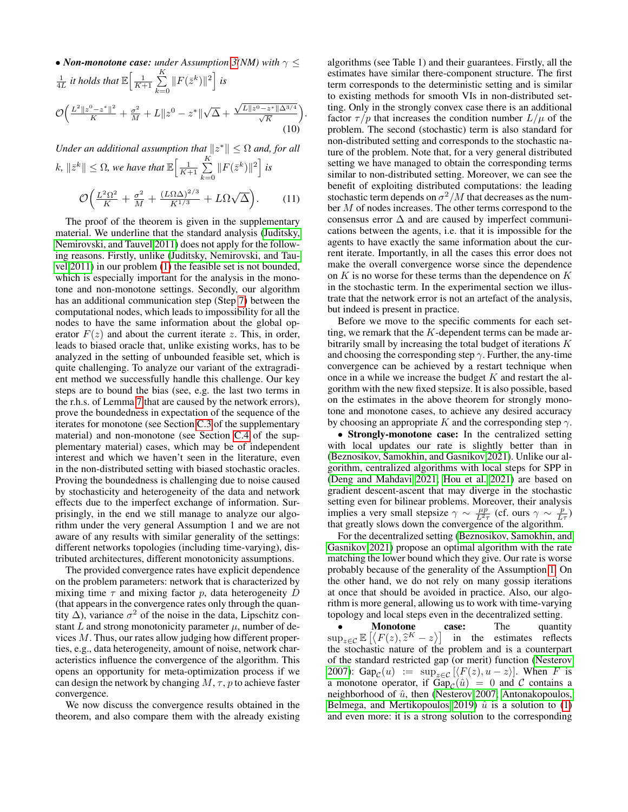• Non-monotone case: under Assumption 3(NM) with 
$$
\gamma \le
$$
  
\n
$$
\frac{1}{4L} \text{ it holds that } \mathbb{E} \Big[ \frac{1}{K+1} \sum_{k=0}^{K} ||F(\bar{z}^k)||^2 \Big] \text{ is}
$$
\n
$$
\mathcal{O} \Big( \frac{L^2 ||z^0 - z^*||^2}{K} + \frac{\sigma^2}{M} + L ||z^0 - z^*|| \sqrt{\Delta} + \frac{\sqrt{L ||z^0 - z^*|| \Delta^{3/4}}}{\sqrt{K}} \Big).
$$
\n(10)

*Under an additional assumption that*  $||z^*|| \leq \Omega$  *and, for all* 

$$
k, \|\bar{z}^k\| \le \Omega, \text{ we have that } \mathbb{E}\Big[\frac{1}{K+1} \sum_{k=0}^{K} \|F(\bar{z}^k)\|^2\Big] \text{ is}
$$

$$
\mathcal{O}\Big(\frac{L^2 \Omega^2}{K} + \frac{\sigma^2}{M} + \frac{(L\Omega \Delta)^{2/3}}{K^{1/3}} + L\Omega \sqrt{\Delta}\Big). \tag{11}
$$

The proof of the theorem is given in the supplementary material. We underline that the standard analysis [\(Juditsky,](#page-7-10) [Nemirovski, and Tauvel 2011\)](#page-7-10) does not apply for the following reasons. Firstly, unlike [\(Juditsky, Nemirovski, and Tau](#page-7-10)[vel 2011\)](#page-7-10) in our problem [\(1\)](#page-1-0) the feasible set is not bounded, which is especially important for the analysis in the monotone and non-monotone settings. Secondly, our algorithm has an additional communication step (Step [7\)](#page-2-3) between the computational nodes, which leads to impossibility for all the nodes to have the same information about the global operator  $F(z)$  and about the current iterate z. This, in order, leads to biased oracle that, unlike existing works, has to be analyzed in the setting of unbounded feasible set, which is quite challenging. To analyze our variant of the extragradient method we successfully handle this challenge. Our key steps are to bound the bias (see, e.g. the last two terms in the r.h.s. of Lemma [7](#page-21-0) that are caused by the network errors), prove the boundedness in expectation of the sequence of the iterates for monotone (see Section [C.3](#page-23-0) of the supplementary material) and non-monotone (see Section [C.4](#page-28-0) of the supplementary material) cases, which may be of independent interest and which we haven't seen in the literature, even in the non-distributed setting with biased stochastic oracles. Proving the boundedness is challenging due to noise caused by stochasticity and heterogeneity of the data and network effects due to the imperfect exchange of information. Surprisingly, in the end we still manage to analyze our algorithm under the very general Assumption 1 and we are not aware of any results with similar generality of the settings: different networks topologies (including time-varying), distributed architectures, different monotonicity assumptions.

The provided convergence rates have explicit dependence on the problem parameters: network that is characterized by mixing time  $\tau$  and mixing factor p, data heterogeneity D (that appears in the convergence rates only through the quantity  $\Delta$ ), variance  $\sigma^2$  of the noise in the data, Lipschitz constant L and strong monotonicity parameter  $\mu$ , number of devices M. Thus, our rates allow judging how different properties, e.g., data heterogeneity, amount of noise, network characteristics influence the convergence of the algorithm. This opens an opportunity for meta-optimization process if we can design the network by changing  $M, \tau, p$  to achieve faster convergence.

We now discuss the convergence results obtained in the theorem, and also compare them with the already existing

<span id="page-4-1"></span>algorithms (see Table 1) and their guarantees. Firstly, all the estimates have similar there-component structure. The first term corresponds to the deterministic setting and is similar to existing methods for smooth VIs in non-distributed setting. Only in the strongly convex case there is an additional factor  $\tau / p$  that increases the condition number  $L / \mu$  of the problem. The second (stochastic) term is also standard for non-distributed setting and corresponds to the stochastic nature of the problem. Note that, for a very general distributed setting we have managed to obtain the corresponding terms similar to non-distributed setting. Moreover, we can see the benefit of exploiting distributed computations: the leading stochastic term depends on  $\sigma^2/M$  that decreases as the number M of nodes increases. The other terms correspond to the consensus error  $\Delta$  and are caused by imperfect communications between the agents, i.e. that it is impossible for the agents to have exactly the same information about the current iterate. Importantly, in all the cases this error does not make the overall convergence worse since the dependence on  $K$  is no worse for these terms than the dependence on  $K$ in the stochastic term. In the experimental section we illustrate that the network error is not an artefact of the analysis, but indeed is present in practice.

<span id="page-4-0"></span>Before we move to the specific comments for each setting, we remark that the  $K$ -dependent terms can be made arbitrarily small by increasing the total budget of iterations K and choosing the corresponding step  $\gamma$ . Further, the any-time convergence can be achieved by a restart technique when once in a while we increase the budget  $K$  and restart the algorithm with the new fixed stepsize. It is also possible, based on the estimates in the above theorem for strongly monotone and monotone cases, to achieve any desired accuracy by choosing an appropriate K and the corresponding step  $\gamma$ .

• Strongly-monotone case: In the centralized setting with local updates our rate is slightly better than in [\(Beznosikov, Samokhin, and Gasnikov 2021\)](#page-7-24). Unlike our algorithm, centralized algorithms with local steps for SPP in [\(Deng and Mahdavi 2021;](#page-7-25) [Hou et al. 2021\)](#page-7-26) are based on gradient descent-ascent that may diverge in the stochastic setting even for bilinear problems. Moreover, their analysis implies a very small stepsize  $\gamma \sim \frac{\mu p}{L^2 \tau}$  (cf. ours  $\gamma \sim \frac{p}{L \tau}$ ) that greatly slows down the convergence of the algorithm.

For the decentralized setting [\(Beznosikov, Samokhin, and](#page-7-24) [Gasnikov 2021\)](#page-7-24) propose an optimal algorithm with the rate matching the lower bound which they give. Our rate is worse probably because of the generality of the Assumption [1.](#page-2-5) On the other hand, we do not rely on many gossip iterations at once that should be avoided in practice. Also, our algorithm is more general, allowing us to work with time-varying topology and local steps even in the decentralized setting.

• Monotone case: The quantity  $\sup_{z \in \mathcal{C}} \mathbb{E} \left[ \langle F(z), \hat{z}^K - z \rangle \right]$  in the estimates reflects the stochastic nature of the problem and is a counterpart the stochastic nature of the problem and is a counterpart of the standard restricted gap (or merit) function [\(Nesterov](#page-8-28) [2007\)](#page-8-28): Gap<sub>C</sub> $(u) := \sup_{z \in C} [\langle F(z), u - z \rangle]$ . When F is a monotone operator, if  $\text{Gap}_{\mathcal{C}}(\hat{u}) = 0$  and  $\mathcal C$  contains a neighborhood of  $\hat{u}$ , then [\(Nesterov 2007;](#page-8-28) [Antonakopoulos,](#page-7-29) [Belmega, and Mertikopoulos 2019\)](#page-7-29)  $\hat{u}$  is a solution to [\(1\)](#page-1-0) and even more: it is a strong solution to the corresponding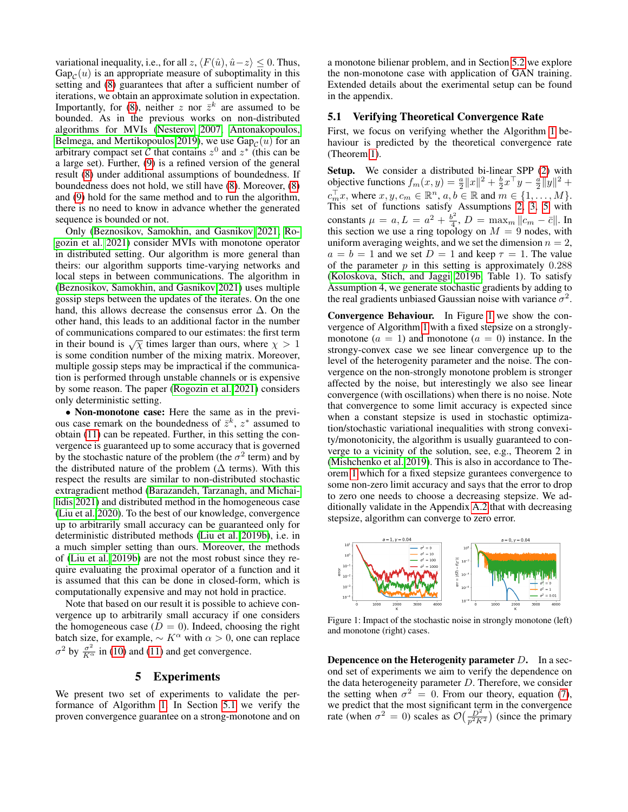variational inequality, i.e., for all z,  $\langle F(\hat{u}), \hat{u}-z \rangle \leq 0$ . Thus,  $Gap_{\mathcal{C}}(u)$  is an appropriate measure of suboptimality in this setting and [\(8\)](#page-3-7) guarantees that after a sufficient number of iterations, we obtain an approximate solution in expectation. Importantly, for [\(8\)](#page-3-7), neither z nor  $\bar{z}^k$  are assumed to be bounded. As in the previous works on non-distributed algorithms for MVIs [\(Nesterov 2007;](#page-8-28) [Antonakopoulos,](#page-7-29) [Belmega, and Mertikopoulos 2019\)](#page-7-29), we use  $\text{Gap}_{\mathcal{C}}(u)$  for an arbitrary compact set  $\tilde{\mathcal{C}}$  that contains  $z^0$  and  $z^*$  (this can be a large set). Further, [\(9\)](#page-3-8) is a refined version of the general result [\(8\)](#page-3-7) under additional assumptions of boundedness. If boundedness does not hold, we still have [\(8\)](#page-3-7). Moreover, [\(8\)](#page-3-7) and [\(9\)](#page-3-8) hold for the same method and to run the algorithm, there is no need to know in advance whether the generated sequence is bounded or not.

Only [\(Beznosikov, Samokhin, and Gasnikov 2021;](#page-7-24) [Ro](#page-8-15)[gozin et al. 2021\)](#page-8-15) consider MVIs with monotone operator in distributed setting. Our algorithm is more general than theirs: our algorithm supports time-varying networks and local steps in between communications. The algorithm in [\(Beznosikov, Samokhin, and Gasnikov 2021\)](#page-7-24) uses multiple gossip steps between the updates of the iterates. On the one hand, this allows decrease the consensus error  $\Delta$ . On the other hand, this leads to an additional factor in the number of communications compared to our estimates: the first term in their bound is  $\sqrt{\chi}$  times larger than ours, where  $\chi > 1$ is some condition number of the mixing matrix. Moreover, multiple gossip steps may be impractical if the communication is performed through unstable channels or is expensive by some reason. The paper [\(Rogozin et al. 2021\)](#page-8-15) considers only deterministic setting.

• Non-monotone case: Here the same as in the previous case remark on the boundedness of  $\bar{z}^k$ ,  $z^*$  assumed to obtain [\(11\)](#page-4-0) can be repeated. Further, in this setting the convergence is guaranteed up to some accuracy that is governed by the stochastic nature of the problem (the  $\sigma^2$  term) and by the distributed nature of the problem ( $\Delta$  terms). With this respect the results are similar to non-distributed stochastic extragradient method [\(Barazandeh, Tarzanagh, and Michai](#page-7-30)[lidis 2021\)](#page-7-30) and distributed method in the homogeneous case [\(Liu et al. 2020\)](#page-8-13). To the best of our knowledge, convergence up to arbitrarily small accuracy can be guaranteed only for deterministic distributed methods [\(Liu et al. 2019b\)](#page-8-20), i.e. in a much simpler setting than ours. Moreover, the methods of [\(Liu et al. 2019b\)](#page-8-20) are not the most robust since they require evaluating the proximal operator of a function and it is assumed that this can be done in closed-form, which is computationally expensive and may not hold in practice.

Note that based on our result it is possible to achieve convergence up to arbitrarily small accuracy if one considers the homogeneous case  $(D = 0)$ . Indeed, choosing the right batch size, for example,  $\sim K^{\alpha}$  with  $\alpha > 0$ , one can replace  $\sigma^2$  by  $\frac{\sigma^2}{K^{\alpha}}$  in [\(10\)](#page-4-1) and [\(11\)](#page-4-0) and get convergence.

#### 5 Experiments

We present two set of experiments to validate the performance of Algorithm [1.](#page-2-6) In Section [5.1](#page-5-0) we verify the proven convergence guarantee on a strong-monotone and on

a monotone bilienar problem, and in Section [5.2](#page-6-0) we explore the non-monotone case with application of GAN training. Extended details about the exerimental setup can be found in the appendix.

## <span id="page-5-0"></span>5.1 Verifying Theoretical Convergence Rate

First, we focus on verifying whether the Algorithm [1](#page-2-6) behaviour is predicted by the theoretical convergence rate (Theorem [1\)](#page-3-9).

Setup. We consider a distributed bi-linear SPP [\(2\)](#page-1-1) with objective functions  $f_m(x, y) = \frac{a}{2} ||x||^2 + \frac{b}{2} x^\top y - \frac{a}{2} ||y||^2 +$  $c_m^{\top} x$ , where  $x, y, c_m \in \mathbb{R}^n$ ,  $a, b \in \mathbb{R}$  and  $m \in \{1, \ldots, M\}$ . This set of functions satisfy Assumptions [2,](#page-3-3) [3,](#page-3-0) [5](#page-3-6) with constants  $\mu = a, L = a^2 + \frac{b^2}{4}$  $\frac{\partial^2}{4}$ ,  $D = \max_m ||c_m - \bar{c}||$ . In this section we use a ring topology on  $M = 9$  nodes, with uniform averaging weights, and we set the dimension  $n = 2$ ,  $a = b = 1$  and we set  $D = 1$  and keep  $\tau = 1$ . The value of the parameter  $p$  in this setting is approximately  $0.288$ [\(Koloskova, Stich, and Jaggi 2019b,](#page-7-31) Table 1). To satisfy Assumption 4, we generate stochastic gradients by adding to the real gradients unbiased Gaussian noise with variance  $\sigma^2$ .

Convergence Behaviour. In Figure [1](#page-5-1) we show the convergence of Algorithm [1](#page-2-6) with a fixed stepsize on a stronglymonotone  $(a = 1)$  and monotone  $(a = 0)$  instance. In the strongy-convex case we see linear convergence up to the level of the heterogenity parameter and the noise. The convergence on the non-strongly monotone problem is stronger affected by the noise, but interestingly we also see linear convergence (with oscillations) when there is no noise. Note that convergence to some limit accuracy is expected since when a constant stepsize is used in stochastic optimization/stochastic variational inequalities with strong convexity/monotonicity, the algorithm is usually guaranteed to converge to a vicinity of the solution, see, e.g., Theorem 2 in [\(Mishchenko et al. 2019\)](#page-8-26). This is also in accordance to Theorem [1](#page-3-9) which for a fixed stepsize gurantees convergence to some non-zero limit accuracy and says that the error to drop to zero one needs to choose a decreasing stepsize. We additionally validate in the Appendix [A.2](#page-9-0) that with decreasing stepsize, algorithm can converge to zero error.

<span id="page-5-1"></span>

Figure 1: Impact of the stochastic noise in strongly monotone (left) and monotone (right) cases.

Depencence on the Heterogenity parameter  $D$ . In a second set of experiments we aim to verify the dependence on the data heterogeneity parameter  $D$ . Therefore, we consider the setting when  $\sigma^2 = 0$ . From our theory, equation [\(7\)](#page-3-10), we predict that the most significant term in the convergence rate (when  $\sigma^2 = 0$ ) scales as  $\mathcal{O}\left(\frac{D^2}{p^2 K^2}\right)$  (since the primary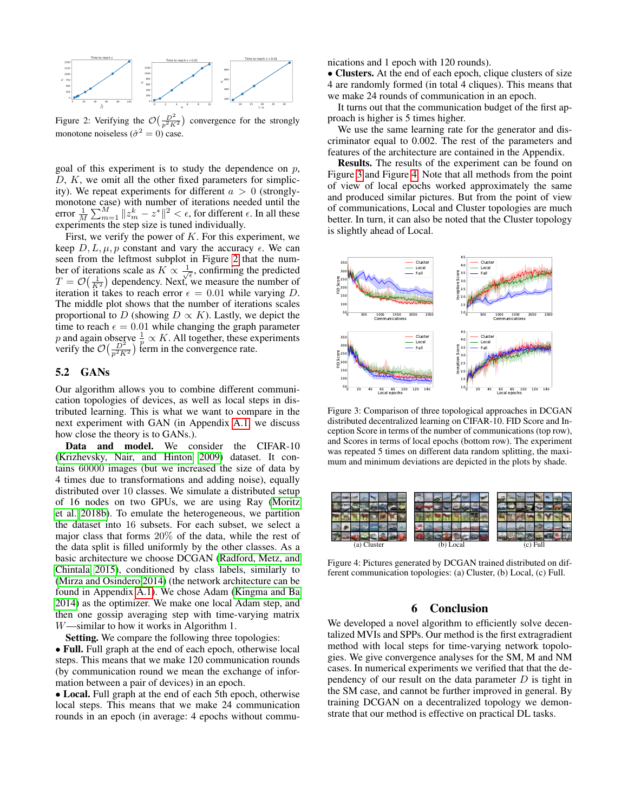<span id="page-6-1"></span>

Figure 2: Verifying the  $\mathcal{O}\left(\frac{D^2}{p^2 K^2}\right)$  convergence for the strongly monotone noiseless ( $\hat{\sigma}^2 = 0$ ) case.

goal of this experiment is to study the dependence on  $p$ ,  $D, K$ , we omit all the other fixed parameters for simplicity). We repeat experiments for different  $a > 0$  (stronglymonotone case) with number of iterations needed until the error  $\frac{1}{M} \sum_{m=1}^{M} ||z_m^k - z^*||^2 < \epsilon$ , for different  $\epsilon$ . In all these experiments the step size is tuned individually.

First, we verify the power of  $K$ . For this experiment, we keep  $D, L, \mu, p$  constant and vary the accuracy  $\epsilon$ . We can seen from the leftmost subplot in Figure [2](#page-6-1) that the number of iterations scale as  $K \propto \frac{1}{\sqrt{\epsilon}}$ , confirming the predicted  $T = \mathcal{O}\left(\frac{1}{K^2}\right)$  dependency. Next, we measure the number of iteration it takes to reach error  $\epsilon = 0.01$  while varying D. The middle plot shows that the number of iterations scales proportional to D (showing  $D \propto K$ ). Lastly, we depict the time to reach  $\epsilon = 0.01$  while changing the graph parameter p and again observe  $\frac{1}{p} \propto K$ . All together, these experiments verify the  $\mathcal{O}\left(\frac{D^2}{p^2 K^2}\right)$  term in the convergence rate.

## <span id="page-6-0"></span>5.2 GANs

Our algorithm allows you to combine different communication topologies of devices, as well as local steps in distributed learning. This is what we want to compare in the next experiment with GAN (in Appendix [A.1,](#page-9-1) we discuss how close the theory is to GANs.).

Data and model. We consider the CIFAR-10 [\(Krizhevsky, Nair, and Hinton 2009\)](#page-7-15) dataset. It contains 60000 images (but we increased the size of data by 4 times due to transformations and adding noise), equally distributed over 10 classes. We simulate a distributed setup of 16 nodes on two GPUs, we are using Ray [\(Moritz](#page-8-29) [et al. 2018b\)](#page-8-29). To emulate the heterogeneous, we partition the dataset into 16 subsets. For each subset, we select a major class that forms 20% of the data, while the rest of the data split is filled uniformly by the other classes. As a basic architecture we choose DCGAN [\(Radford, Metz, and](#page-8-19) [Chintala 2015\)](#page-8-19), conditioned by class labels, similarly to [\(Mirza and Osindero 2014\)](#page-8-30) (the network architecture can be found in Appendix [A.1\)](#page-9-1). We chose Adam [\(Kingma and Ba](#page-7-32) [2014\)](#page-7-32) as the optimizer. We make one local Adam step, and then one gossip averaging step with time-varying matrix W—similar to how it works in Algorithm 1.

Setting. We compare the following three topologies:

• Full. Full graph at the end of each epoch, otherwise local steps. This means that we make 120 communication rounds (by communication round we mean the exchange of information between a pair of devices) in an epoch.

• Local. Full graph at the end of each 5th epoch, otherwise local steps. This means that we make 24 communication rounds in an epoch (in average: 4 epochs without communications and 1 epoch with 120 rounds).

• Clusters. At the end of each epoch, clique clusters of size 4 are randomly formed (in total 4 cliques). This means that we make 24 rounds of communication in an epoch.

It turns out that the communication budget of the first approach is higher is 5 times higher.

We use the same learning rate for the generator and discriminator equal to 0.002. The rest of the parameters and features of the architecture are contained in the Appendix.

Results. The results of the experiment can be found on Figure [3](#page-6-2) and Figure [4.](#page-6-3) Note that all methods from the point of view of local epochs worked approximately the same and produced similar pictures. But from the point of view of communications, Local and Cluster topologies are much better. In turn, it can also be noted that the Cluster topology is slightly ahead of Local.

<span id="page-6-2"></span>

Figure 3: Comparison of three topological approaches in DCGAN distributed decentralized learning on CIFAR-10. FID Score and Inception Score in terms of the number of communications (top row), and Scores in terms of local epochs (bottom row). The experiment was repeated 5 times on different data random splitting, the maximum and minimum deviations are depicted in the plots by shade.

<span id="page-6-3"></span>

Figure 4: Pictures generated by DCGAN trained distributed on different communication topologies: (a) Cluster, (b) Local, (c) Full.

## 6 Conclusion

We developed a novel algorithm to efficiently solve decentalized MVIs and SPPs. Our method is the first extragradient method with local steps for time-varying network topologies. We give convergence analyses for the SM, M and NM cases. In numerical experiments we verified that that the dependency of our result on the data parameter  $D$  is tight in the SM case, and cannot be further improved in general. By training DCGAN on a decentralized topology we demonstrate that our method is effective on practical DL tasks.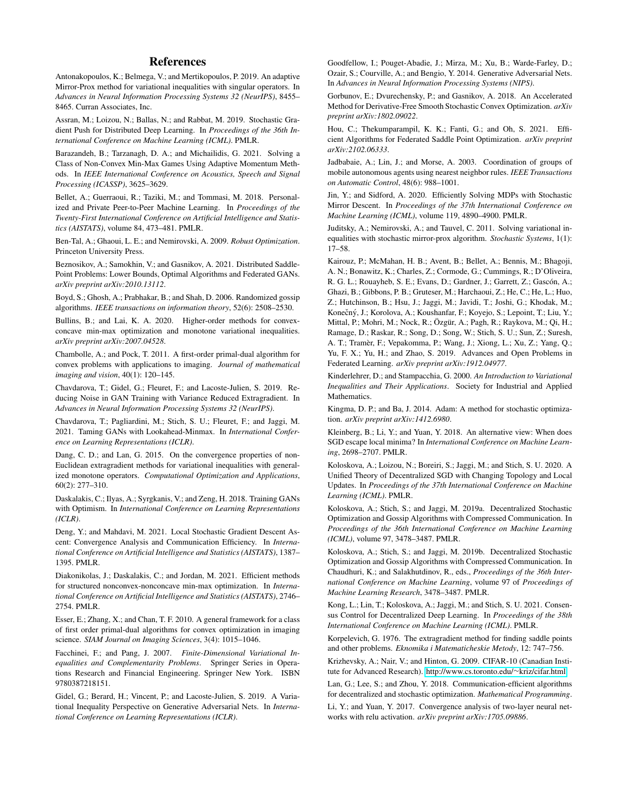#### References

<span id="page-7-29"></span>Antonakopoulos, K.; Belmega, V.; and Mertikopoulos, P. 2019. An adaptive Mirror-Prox method for variational inequalities with singular operators. In *Advances in Neural Information Processing Systems 32 (NeurIPS)*, 8455– 8465. Curran Associates, Inc.

<span id="page-7-1"></span>Assran, M.; Loizou, N.; Ballas, N.; and Rabbat, M. 2019. Stochastic Gradient Push for Distributed Deep Learning. In *Proceedings of the 36th International Conference on Machine Learning (ICML)*. PMLR.

<span id="page-7-30"></span>Barazandeh, B.; Tarzanagh, D. A.; and Michailidis, G. 2021. Solving a Class of Non-Convex Min-Max Games Using Adaptive Momentum Methods. In *IEEE International Conference on Acoustics, Speech and Signal Processing (ICASSP)*, 3625–3629.

<span id="page-7-5"></span>Bellet, A.; Guerraoui, R.; Taziki, M.; and Tommasi, M. 2018. Personalized and Private Peer-to-Peer Machine Learning. In *Proceedings of the Twenty-First International Conference on Artificial Intelligence and Statistics (AISTATS)*, volume 84, 473–481. PMLR.

<span id="page-7-21"></span>Ben-Tal, A.; Ghaoui, L. E.; and Nemirovski, A. 2009. *Robust Optimization*. Princeton University Press.

<span id="page-7-24"></span>Beznosikov, A.; Samokhin, V.; and Gasnikov, A. 2021. Distributed Saddle-Point Problems: Lower Bounds, Optimal Algorithms and Federated GANs. *arXiv preprint arXiv:2010.13112*.

<span id="page-7-13"></span>Boyd, S.; Ghosh, A.; Prabhakar, B.; and Shah, D. 2006. Randomized gossip algorithms. *IEEE transactions on information theory*, 52(6): 2508–2530.

<span id="page-7-17"></span>Bullins, B.; and Lai, K. A. 2020. Higher-order methods for convexconcave min-max optimization and monotone variational inequalities. *arXiv preprint arXiv:2007.04528*.

<span id="page-7-19"></span>Chambolle, A.; and Pock, T. 2011. A first-order primal-dual algorithm for convex problems with applications to imaging. *Journal of mathematical imaging and vision*, 40(1): 120–145.

<span id="page-7-8"></span>Chavdarova, T.; Gidel, G.; Fleuret, F.; and Lacoste-Julien, S. 2019. Reducing Noise in GAN Training with Variance Reduced Extragradient. In *Advances in Neural Information Processing Systems 32 (NeurIPS)*.

<span id="page-7-9"></span>Chavdarova, T.; Pagliardini, M.; Stich, S. U.; Fleuret, F.; and Jaggi, M. 2021. Taming GANs with Lookahead-Minmax. In *International Conference on Learning Representations (ICLR)*.

<span id="page-7-28"></span>Dang, C. D.; and Lan, G. 2015. On the convergence properties of non-Euclidean extragradient methods for variational inequalities with generalized monotone operators. *Computational Optimization and Applications*, 60(2): 277–310.

<span id="page-7-22"></span>Daskalakis, C.; Ilyas, A.; Syrgkanis, V.; and Zeng, H. 2018. Training GANs with Optimism. In *International Conference on Learning Representations (ICLR)*.

<span id="page-7-25"></span>Deng, Y.; and Mahdavi, M. 2021. Local Stochastic Gradient Descent Ascent: Convergence Analysis and Communication Efficiency. In *International Conference on Artificial Intelligence and Statistics (AISTATS)*, 1387– 1395. PMLR.

<span id="page-7-11"></span>Diakonikolas, J.; Daskalakis, C.; and Jordan, M. 2021. Efficient methods for structured nonconvex-nonconcave min-max optimization. In *International Conference on Artificial Intelligence and Statistics (AISTATS)*, 2746– 2754. PMLR.

<span id="page-7-18"></span>Esser, E.; Zhang, X.; and Chan, T. F. 2010. A general framework for a class of first order primal-dual algorithms for convex optimization in imaging science. *SIAM Journal on Imaging Sciences*, 3(4): 1015–1046.

<span id="page-7-20"></span>Facchinei, F.; and Pang, J. 2007. *Finite-Dimensional Variational Inequalities and Complementarity Problems*. Springer Series in Operations Research and Financial Engineering. Springer New York. ISBN 9780387218151.

<span id="page-7-7"></span>Gidel, G.; Berard, H.; Vincent, P.; and Lacoste-Julien, S. 2019. A Variational Inequality Perspective on Generative Adversarial Nets. In *International Conference on Learning Representations (ICLR)*.

<span id="page-7-6"></span>Goodfellow, I.; Pouget-Abadie, J.; Mirza, M.; Xu, B.; Warde-Farley, D.; Ozair, S.; Courville, A.; and Bengio, Y. 2014. Generative Adversarial Nets. In *Advances in Neural Information Processing Systems (NIPS)*.

<span id="page-7-35"></span>Gorbunov, E.; Dvurechensky, P.; and Gasnikov, A. 2018. An Accelerated Method for Derivative-Free Smooth Stochastic Convex Optimization. *arXiv preprint arXiv:1802.09022*.

<span id="page-7-26"></span>Hou, C.; Thekumparampil, K. K.; Fanti, G.; and Oh, S. 2021. Efficient Algorithms for Federated Saddle Point Optimization. *arXiv preprint arXiv:2102.06333*.

<span id="page-7-27"></span>Jadbabaie, A.; Lin, J.; and Morse, A. 2003. Coordination of groups of mobile autonomous agents using nearest neighbor rules. *IEEE Transactions on Automatic Control*, 48(6): 988–1001.

<span id="page-7-23"></span>Jin, Y.; and Sidford, A. 2020. Efficiently Solving MDPs with Stochastic Mirror Descent. In *Proceedings of the 37th International Conference on Machine Learning (ICML)*, volume 119, 4890–4900. PMLR.

<span id="page-7-10"></span>Juditsky, A.; Nemirovski, A.; and Tauvel, C. 2011. Solving variational inequalities with stochastic mirror-prox algorithm. *Stochastic Systems*, 1(1): 17–58.

<span id="page-7-0"></span>Kairouz, P.; McMahan, H. B.; Avent, B.; Bellet, A.; Bennis, M.; Bhagoji, A. N.; Bonawitz, K.; Charles, Z.; Cormode, G.; Cummings, R.; D'Oliveira, R. G. L.; Rouayheb, S. E.; Evans, D.; Gardner, J.; Garrett, Z.; Gascón, A.; Ghazi, B.; Gibbons, P. B.; Gruteser, M.; Harchaoui, Z.; He, C.; He, L.; Huo, Z.; Hutchinson, B.; Hsu, J.; Jaggi, M.; Javidi, T.; Joshi, G.; Khodak, M.; Konečný, J.; Korolova, A.; Koushanfar, F.; Koyejo, S.; Lepoint, T.; Liu, Y.; Mittal, P.; Mohri, M.; Nock, R.; Özgür, A.; Pagh, R.; Raykova, M.; Qi, H.; Ramage, D.; Raskar, R.; Song, D.; Song, W.; Stich, S. U.; Sun, Z.; Suresh, A. T.; Tramèr, F.; Vepakomma, P.; Wang, J.; Xiong, L.; Xu, Z.; Yang, Q.; Yu, F. X.; Yu, H.; and Zhao, S. 2019. Advances and Open Problems in Federated Learning. *arXiv preprint arXiv:1912.04977*.

<span id="page-7-16"></span>Kinderlehrer, D.; and Stampacchia, G. 2000. *An Introduction to Variational Inequalities and Their Applications*. Society for Industrial and Applied Mathematics.

<span id="page-7-32"></span>Kingma, D. P.; and Ba, J. 2014. Adam: A method for stochastic optimization. *arXiv preprint arXiv:1412.6980*.

<span id="page-7-34"></span>Kleinberg, B.; Li, Y.; and Yuan, Y. 2018. An alternative view: When does SGD escape local minima? In *International Conference on Machine Learning*, 2698–2707. PMLR.

<span id="page-7-3"></span>Koloskova, A.; Loizou, N.; Boreiri, S.; Jaggi, M.; and Stich, S. U. 2020. A Unified Theory of Decentralized SGD with Changing Topology and Local Updates. In *Proceedings of the 37th International Conference on Machine Learning (ICML)*. PMLR.

<span id="page-7-4"></span>Koloskova, A.; Stich, S.; and Jaggi, M. 2019a. Decentralized Stochastic Optimization and Gossip Algorithms with Compressed Communication. In *Proceedings of the 36th International Conference on Machine Learning (ICML)*, volume 97, 3478–3487. PMLR.

<span id="page-7-31"></span>Koloskova, A.; Stich, S.; and Jaggi, M. 2019b. Decentralized Stochastic Optimization and Gossip Algorithms with Compressed Communication. In Chaudhuri, K.; and Salakhutdinov, R., eds., *Proceedings of the 36th International Conference on Machine Learning*, volume 97 of *Proceedings of Machine Learning Research*, 3478–3487. PMLR.

<span id="page-7-14"></span>Kong, L.; Lin, T.; Koloskova, A.; Jaggi, M.; and Stich, S. U. 2021. Consensus Control for Decentralized Deep Learning. In *Proceedings of the 38th International Conference on Machine Learning (ICML)*. PMLR.

<span id="page-7-12"></span>Korpelevich, G. 1976. The extragradient method for finding saddle points and other problems. *Eknomika i Matematicheskie Metody*, 12: 747–756.

<span id="page-7-15"></span>Krizhevsky, A.; Nair, V.; and Hinton, G. 2009. CIFAR-10 (Canadian Institute for Advanced Research). [http://www.cs.toronto.edu/](http://www.cs.toronto.edu/~kriz/cifar.html)∼kriz/cifar.html.

<span id="page-7-2"></span>Lan, G.; Lee, S.; and Zhou, Y. 2018. Communication-efficient algorithms for decentralized and stochastic optimization. *Mathematical Programming*.

<span id="page-7-33"></span>Li, Y.; and Yuan, Y. 2017. Convergence analysis of two-layer neural networks with relu activation. *arXiv preprint arXiv:1705.09886*.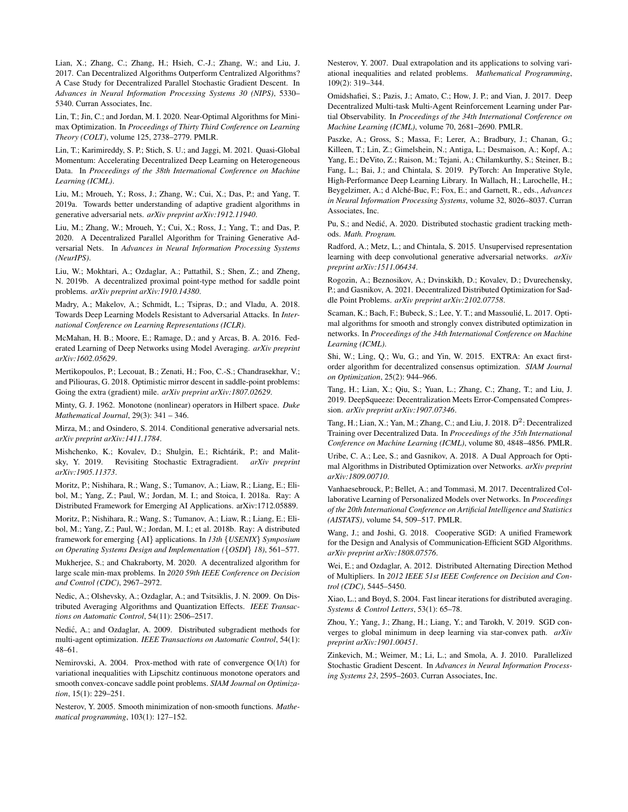<span id="page-8-0"></span>Lian, X.; Zhang, C.; Zhang, H.; Hsieh, C.-J.; Zhang, W.; and Liu, J. 2017. Can Decentralized Algorithms Outperform Centralized Algorithms? A Case Study for Decentralized Parallel Stochastic Gradient Descent. In *Advances in Neural Information Processing Systems 30 (NIPS)*, 5330– 5340. Curran Associates, Inc.

<span id="page-8-21"></span>Lin, T.; Jin, C.; and Jordan, M. I. 2020. Near-Optimal Algorithms for Minimax Optimization. In *Proceedings of Thirty Third Conference on Learning Theory (COLT)*, volume 125, 2738–2779. PMLR.

<span id="page-8-10"></span>Lin, T.; Karimireddy, S. P.; Stich, S. U.; and Jaggi, M. 2021. Quasi-Global Momentum: Accelerating Decentralized Deep Learning on Heterogeneous Data. In *Proceedings of the 38th International Conference on Machine Learning (ICML)*.

<span id="page-8-34"></span>Liu, M.; Mroueh, Y.; Ross, J.; Zhang, W.; Cui, X.; Das, P.; and Yang, T. 2019a. Towards better understanding of adaptive gradient algorithms in generative adversarial nets. *arXiv preprint arXiv:1912.11940*.

<span id="page-8-13"></span>Liu, M.; Zhang, W.; Mroueh, Y.; Cui, X.; Ross, J.; Yang, T.; and Das, P. 2020. A Decentralized Parallel Algorithm for Training Generative Adversarial Nets. In *Advances in Neural Information Processing Systems (NeurIPS)*.

<span id="page-8-20"></span>Liu, W.; Mokhtari, A.; Ozdaglar, A.; Pattathil, S.; Shen, Z.; and Zheng, N. 2019b. A decentralized proximal point-type method for saddle point problems. *arXiv preprint arXiv:1910.14380*.

<span id="page-8-25"></span>Madry, A.; Makelov, A.; Schmidt, L.; Tsipras, D.; and Vladu, A. 2018. Towards Deep Learning Models Resistant to Adversarial Attacks. In *International Conference on Learning Representations (ICLR)*.

<span id="page-8-1"></span>McMahan, H. B.; Moore, E.; Ramage, D.; and y Arcas, B. A. 2016. Federated Learning of Deep Networks using Model Averaging. *arXiv preprint arXiv:1602.05629*.

<span id="page-8-33"></span>Mertikopoulos, P.; Lecouat, B.; Zenati, H.; Foo, C.-S.; Chandrasekhar, V.; and Piliouras, G. 2018. Optimistic mirror descent in saddle-point problems: Going the extra (gradient) mile. *arXiv preprint arXiv:1807.02629*.

<span id="page-8-16"></span>Minty, G. J. 1962. Monotone (nonlinear) operators in Hilbert space. *Duke Mathematical Journal*, 29(3): 341 – 346.

<span id="page-8-30"></span>Mirza, M.; and Osindero, S. 2014. Conditional generative adversarial nets. *arXiv preprint arXiv:1411.1784*.

<span id="page-8-26"></span>Mishchenko, K.; Kovalev, D.; Shulgin, E.; Richtárik, P.; and Malitsky, Y. 2019. Revisiting Stochastic Extragradient. *arXiv preprint arXiv:1905.11373*.

<span id="page-8-32"></span>Moritz, P.; Nishihara, R.; Wang, S.; Tumanov, A.; Liaw, R.; Liang, E.; Elibol, M.; Yang, Z.; Paul, W.; Jordan, M. I.; and Stoica, I. 2018a. Ray: A Distributed Framework for Emerging AI Applications. arXiv:1712.05889.

<span id="page-8-29"></span>Moritz, P.; Nishihara, R.; Wang, S.; Tumanov, A.; Liaw, R.; Liang, E.; Elibol, M.; Yang, Z.; Paul, W.; Jordan, M. I.; et al. 2018b. Ray: A distributed framework for emerging {AI} applications. In *13th* {*USENIX*} *Symposium on Operating Systems Design and Implementation (*{*OSDI*} *18)*, 561–577.

<span id="page-8-14"></span>Mukherjee, S.; and Chakraborty, M. 2020. A decentralized algorithm for large scale min-max problems. In *2020 59th IEEE Conference on Decision and Control (CDC)*, 2967–2972.

<span id="page-8-27"></span>Nedic, A.; Olshevsky, A.; Ozdaglar, A.; and Tsitsiklis, J. N. 2009. On Distributed Averaging Algorithms and Quantization Effects. *IEEE Transactions on Automatic Control*, 54(11): 2506–2517.

<span id="page-8-2"></span>Nedić, A.; and Ozdaglar, A. 2009. Distributed subgradient methods for multi-agent optimization. *IEEE Transactions on Automatic Control*, 54(1): 48–61.

<span id="page-8-23"></span>Nemirovski, A. 2004. Prox-method with rate of convergence O(1/t) for variational inequalities with Lipschitz continuous monotone operators and smooth convex-concave saddle point problems. *SIAM Journal on Optimization*, 15(1): 229–251.

<span id="page-8-22"></span>Nesterov, Y. 2005. Smooth minimization of non-smooth functions. *Mathematical programming*, 103(1): 127–152.

<span id="page-8-28"></span>Nesterov, Y. 2007. Dual extrapolation and its applications to solving variational inequalities and related problems. *Mathematical Programming*, 109(2): 319–344.

<span id="page-8-24"></span>Omidshafiei, S.; Pazis, J.; Amato, C.; How, J. P.; and Vian, J. 2017. Deep Decentralized Multi-task Multi-Agent Reinforcement Learning under Partial Observability. In *Proceedings of the 34th International Conference on Machine Learning (ICML)*, volume 70, 2681–2690. PMLR.

<span id="page-8-31"></span>Paszke, A.; Gross, S.; Massa, F.; Lerer, A.; Bradbury, J.; Chanan, G.; Killeen, T.; Lin, Z.; Gimelshein, N.; Antiga, L.; Desmaison, A.; Kopf, A.; Yang, E.; DeVito, Z.; Raison, M.; Tejani, A.; Chilamkurthy, S.; Steiner, B.; Fang, L.; Bai, J.; and Chintala, S. 2019. PyTorch: An Imperative Style, High-Performance Deep Learning Library. In Wallach, H.; Larochelle, H.; Beygelzimer, A.; d Alché-Buc, F.; Fox, E.; and Garnett, R., eds., Advances *in Neural Information Processing Systems*, volume 32, 8026–8037. Curran Associates, Inc.

<span id="page-8-9"></span>Pu, S.; and Nedić, A. 2020. Distributed stochastic gradient tracking methods. *Math. Program.*

<span id="page-8-19"></span>Radford, A.; Metz, L.; and Chintala, S. 2015. Unsupervised representation learning with deep convolutional generative adversarial networks. *arXiv preprint arXiv:1511.06434*.

<span id="page-8-15"></span>Rogozin, A.; Beznosikov, A.; Dvinskikh, D.; Kovalev, D.; Dvurechensky, P.; and Gasnikov, A. 2021. Decentralized Distributed Optimization for Saddle Point Problems. *arXiv preprint arXiv:2102.07758*.

<span id="page-8-5"></span>Scaman, K.; Bach, F.; Bubeck, S.; Lee, Y. T.; and Massoulié, L. 2017. Optimal algorithms for smooth and strongly convex distributed optimization in networks. In *Proceedings of the 34th International Conference on Machine Learning (ICML)*.

<span id="page-8-4"></span>Shi, W.; Ling, Q.; Wu, G.; and Yin, W. 2015. EXTRA: An exact firstorder algorithm for decentralized consensus optimization. *SIAM Journal on Optimization*, 25(2): 944–966.

<span id="page-8-11"></span>Tang, H.; Lian, X.; Qiu, S.; Yuan, L.; Zhang, C.; Zhang, T.; and Liu, J. 2019. DeepSqueeze: Decentralization Meets Error-Compensated Compression. *arXiv preprint arXiv:1907.07346*.

<span id="page-8-7"></span>Tang, H.; Lian, X.; Yan, M.; Zhang, C.; and Liu, J. 2018.  $D^2$ : Decentralized Training over Decentralized Data. In *Proceedings of the 35th International Conference on Machine Learning (ICML)*, volume 80, 4848–4856. PMLR.

<span id="page-8-6"></span>Uribe, C. A.; Lee, S.; and Gasnikov, A. 2018. A Dual Approach for Optimal Algorithms in Distributed Optimization over Networks. *arXiv preprint arXiv:1809.00710*.

<span id="page-8-12"></span>Vanhaesebrouck, P.; Bellet, A.; and Tommasi, M. 2017. Decentralized Collaborative Learning of Personalized Models over Networks. In *Proceedings of the 20th International Conference on Artificial Intelligence and Statistics (AISTATS)*, volume 54, 509–517. PMLR.

<span id="page-8-8"></span>Wang, J.; and Joshi, G. 2018. Cooperative SGD: A unified Framework for the Design and Analysis of Communication-Efficient SGD Algorithms. *arXiv preprint arXiv:1808.07576*.

<span id="page-8-3"></span>Wei, E.; and Ozdaglar, A. 2012. Distributed Alternating Direction Method of Multipliers. In *2012 IEEE 51st IEEE Conference on Decision and Control (CDC)*, 5445–5450.

<span id="page-8-17"></span>Xiao, L.; and Boyd, S. 2004. Fast linear iterations for distributed averaging. *Systems & Control Letters*, 53(1): 65–78.

<span id="page-8-35"></span>Zhou, Y.; Yang, J.; Zhang, H.; Liang, Y.; and Tarokh, V. 2019. SGD converges to global minimum in deep learning via star-convex path. *arXiv preprint arXiv:1901.00451*.

<span id="page-8-18"></span>Zinkevich, M.; Weimer, M.; Li, L.; and Smola, A. J. 2010. Parallelized Stochastic Gradient Descent. In *Advances in Neural Information Processing Systems 23*, 2595–2603. Curran Associates, Inc.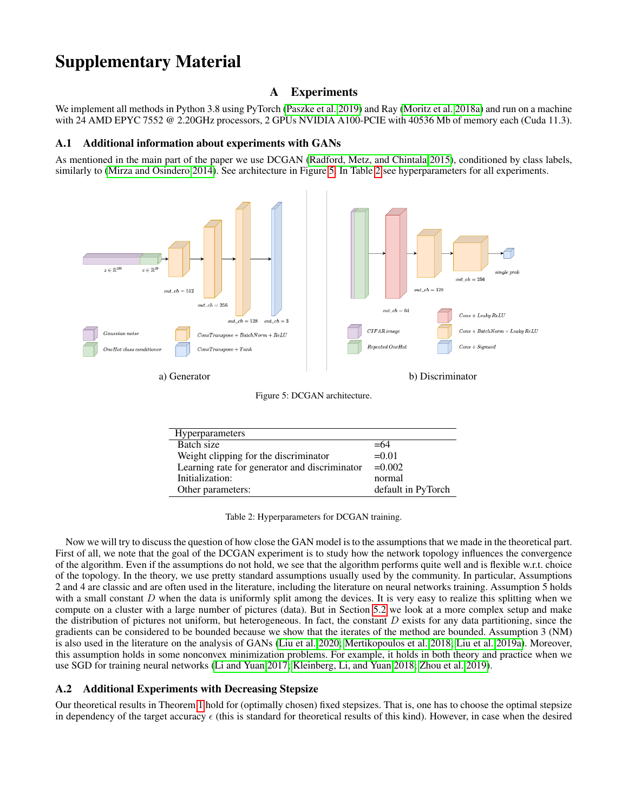# Supplementary Material

# A Experiments

We implement all methods in Python 3.8 using PyTorch [\(Paszke et al. 2019\)](#page-8-31) and Ray [\(Moritz et al. 2018a\)](#page-8-32) and run on a machine with 24 AMD EPYC 7552 @ 2.20GHz processors, 2 GPUs NVIDIA A100-PCIE with 40536 Mb of memory each (Cuda 11.3).

## <span id="page-9-1"></span>A.1 Additional information about experiments with GANs

As mentioned in the main part of the paper we use DCGAN [\(Radford, Metz, and Chintala 2015\)](#page-8-19), conditioned by class labels, similarly to [\(Mirza and Osindero 2014\)](#page-8-30). See architecture in Figure [5.](#page-9-2) In Table [2](#page-9-3) see hyperparameters for all experiments.

<span id="page-9-2"></span>

Figure 5: DCGAN architecture.

| Hyperparameters                               |                    |
|-----------------------------------------------|--------------------|
|                                               |                    |
| Batch size                                    | $=64$              |
|                                               | $=0.01$            |
| Weight clipping for the discriminator         |                    |
| Learning rate for generator and discriminator | $=0.002$           |
|                                               |                    |
| Initialization:                               | normal             |
|                                               |                    |
| Other parameters:                             | default in PyTorch |
|                                               |                    |

Table 2: Hyperparameters for DCGAN training.

<span id="page-9-3"></span>Now we will try to discuss the question of how close the GAN model is to the assumptions that we made in the theoretical part. First of all, we note that the goal of the DCGAN experiment is to study how the network topology influences the convergence of the algorithm. Even if the assumptions do not hold, we see that the algorithm performs quite well and is flexible w.r.t. choice of the topology. In the theory, we use pretty standard assumptions usually used by the community. In particular, Assumptions 2 and 4 are classic and are often used in the literature, including the literature on neural networks training. Assumption 5 holds with a small constant  $D$  when the data is uniformly split among the devices. It is very easy to realize this splitting when we compute on a cluster with a large number of pictures (data). But in Section [5.2](#page-6-0) we look at a more complex setup and make the distribution of pictures not uniform, but heterogeneous. In fact, the constant  $D$  exists for any data partitioning, since the gradients can be considered to be bounded because we show that the iterates of the method are bounded. Assumption 3 (NM) is also used in the literature on the analysis of GANs [\(Liu et al. 2020;](#page-8-13) [Mertikopoulos et al. 2018;](#page-8-33) [Liu et al. 2019a\)](#page-8-34). Moreover, this assumption holds in some nonconvex minimization problems. For example, it holds in both theory and practice when we use SGD for training neural networks [\(Li and Yuan 2017;](#page-7-33) [Kleinberg, Li, and Yuan 2018;](#page-7-34) [Zhou et al. 2019\)](#page-8-35).

## <span id="page-9-0"></span>A.2 Additional Experiments with Decreasing Stepsize

Our theoretical results in Theorem [1](#page-3-9) hold for (optimally chosen) fixed stepsizes. That is, one has to choose the optimal stepsize in dependency of the target accuracy  $\epsilon$  (this is standard for theoretical results of this kind). However, in case when the desired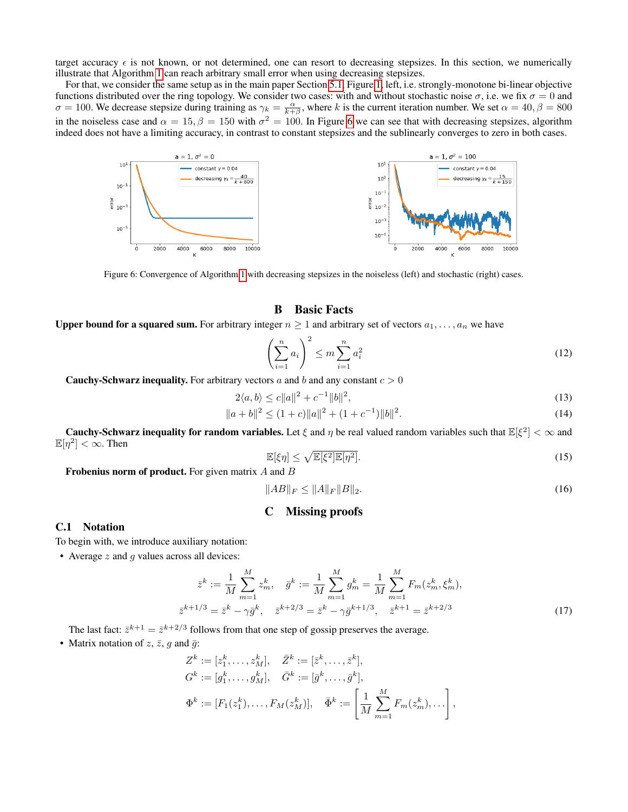target accuracy  $\epsilon$  is not known, or not determined, one can resort to decreasing stepsizes. In this section, we numerically illustrate that Algorithm [1](#page-2-6) can reach arbitrary small error when using decreasing stepsizes.

For that, we consider the same setup as in the main paper Section [5.1,](#page-5-0) Figure [1,](#page-5-1) left, i.e. strongly-monotone bi-linear objective functions distributed over the ring topology. We consider two cases: with and without stochastic noise  $\sigma$ , i.e. we fix  $\sigma = 0$  and  $\sigma = 100$ . We decrease stepsize during training as  $\gamma_k = \frac{\alpha}{k+\beta}$ , where k is the current iteration number. We set  $\alpha = 40, \beta = 800$ in the noiseless case and  $\alpha = 15$ ,  $\beta = 150$  with  $\sigma^2 = 100$ . In Figure [6](#page-10-0) we can see that with decreasing stepsizes, algorithm indeed does not have a limiting accuracy, in contrast to constant stepsizes and the sublinearly converges to zero in both cases.

<span id="page-10-0"></span>

Figure 6: Convergence of Algorithm [1](#page-2-6) with decreasing stepsizes in the noiseless (left) and stochastic (right) cases.

# **B** Basic Facts

**Upper bound for a squared sum.** For arbitrary integer  $n \geq 1$  and arbitrary set of vectors  $a_1, \ldots, a_n$  we have

<span id="page-10-3"></span><span id="page-10-2"></span>
$$
\left(\sum_{i=1}^{n} a_i\right)^2 \le m \sum_{i=1}^{n} a_i^2 \tag{12}
$$

**Cauchy-Schwarz inequality.** For arbitrary vectors a and b and any constant  $c > 0$ 

$$
2\langle a,b\rangle \le c||a||^2 + c^{-1}||b||^2,\tag{13}
$$

$$
||a+b||^2 \le (1+c)||a||^2 + (1+c^{-1})||b||^2.
$$
\n(14)

**Cauchy-Schwarz inequality for random variables.** Let  $\xi$  and  $\eta$  be real valued random variables such that  $\mathbb{E}[\xi^2]<\infty$  and  $\mathbb{E}[\eta^2]<\infty$ . Then

<span id="page-10-6"></span><span id="page-10-5"></span><span id="page-10-4"></span>
$$
\mathbb{E}[\xi \eta] \le \sqrt{\mathbb{E}[\xi^2] \mathbb{E}[\eta^2]}.
$$
\n(15)

Frobenius norm of product. For given matrix  $A$  and  $B$ 

$$
||AB||_F \le ||A||_F ||B||_2. \tag{16}
$$

## <span id="page-10-1"></span>C Missing proofs

### C.1 Notation

To begin with, we introduce auxiliary notation:

• Average  $z$  and  $g$  values across all devices:

$$
\bar{z}^{k} := \frac{1}{M} \sum_{m=1}^{M} z_{m}^{k}, \quad \bar{g}^{k} := \frac{1}{M} \sum_{m=1}^{M} g_{m}^{k} = \frac{1}{M} \sum_{m=1}^{M} F_{m}(z_{m}^{k}, \xi_{m}^{k}),
$$
  

$$
\bar{z}^{k+1/3} = \bar{z}^{k} - \gamma \bar{g}^{k}, \quad \bar{z}^{k+2/3} = \bar{z}^{k} - \gamma \bar{g}^{k+1/3}, \quad \bar{z}^{k+1} = \bar{z}^{k+2/3}
$$
 (17)

The last fact:  $\bar{z}^{k+1} = \bar{z}^{k+2/3}$  follows from that one step of gossip preserves the average.

• Matrix notation of  $z, \bar{z}, g$  and  $\bar{g}$ :

$$
Z^{k} := [z_1^{k}, \dots, z_M^{k}], \quad \bar{Z}^{k} := [\bar{z}^{k}, \dots, \bar{z}^{k}],
$$
  
\n
$$
G^{k} := [g_1^{k}, \dots, g_M^{k}], \quad \bar{G}^{k} := [\bar{g}^{k}, \dots, \bar{g}^{k}],
$$
  
\n
$$
\Phi^{k} := [F_1(z_1^{k}), \dots, F_M(z_M^{k})], \quad \bar{\Phi}^{k} := \left[\frac{1}{M} \sum_{m=1}^{M} F_m(z_m^{k}), \dots\right],
$$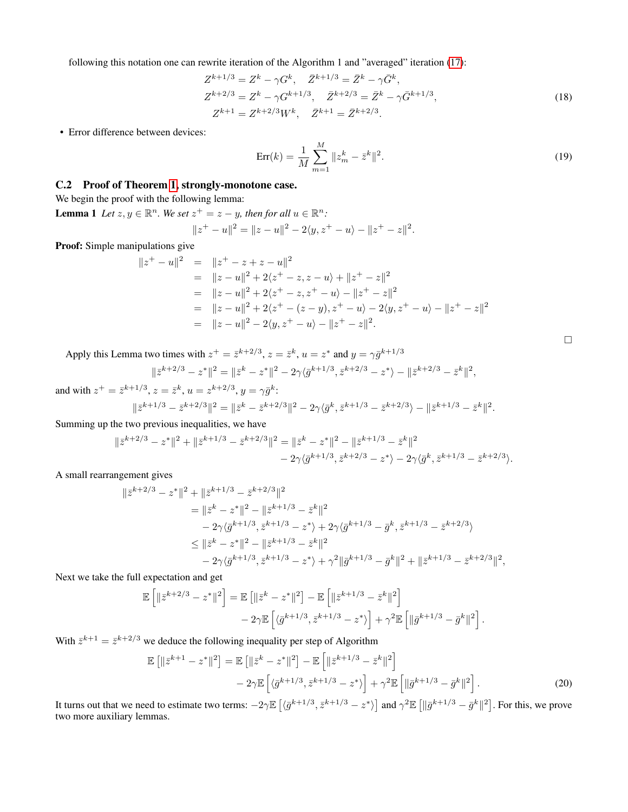following this notation one can rewrite iteration of the Algorithm 1 and "averaged" iteration [\(17\)](#page-10-1):

$$
Z^{k+1/3} = Z^k - \gamma G^k, \quad \bar{Z}^{k+1/3} = \bar{Z}^k - \gamma \bar{G}^k,
$$
  
\n
$$
Z^{k+2/3} = Z^k - \gamma G^{k+1/3}, \quad \bar{Z}^{k+2/3} = \bar{Z}^k - \gamma \bar{G}^{k+1/3},
$$
  
\n
$$
Z^{k+1} = Z^{k+2/3} W^k, \quad \bar{Z}^{k+1} = \bar{Z}^{k+2/3}.
$$
\n(18)

• Error difference between devices:

$$
Err(k) = \frac{1}{M} \sum_{m=1}^{M} \|z_m^k - \bar{z}^k\|^2.
$$
 (19)

<span id="page-11-2"></span><span id="page-11-1"></span><span id="page-11-0"></span> $\Box$ 

## C.2 Proof of Theorem [1,](#page-3-9) strongly-monotone case.

We begin the proof with the following lemma:

**Lemma 1** Let  $z, y \in \mathbb{R}^n$ . We set  $z^+ = z - y$ , then for all  $u \in \mathbb{R}^n$ :  $||z^+ - u||^2 = ||z - u||^2 - 2\langle y, z^+ - u \rangle - ||z^+ - z||^2.$ 

Proof: Simple manipulations give

$$
||z^{+} - u||^{2} = ||z^{+} - z + z - u||^{2}
$$
  
=  $||z - u||^{2} + 2\langle z^{+} - z, z - u \rangle + ||z^{+} - z||^{2}$   
=  $||z - u||^{2} + 2\langle z^{+} - z, z^{+} - u \rangle - ||z^{+} - z||^{2}$   
=  $||z - u||^{2} + 2\langle z^{+} - (z - y), z^{+} - u \rangle - 2\langle y, z^{+} - u \rangle - ||z^{+} - z||^{2}$   
=  $||z - u||^{2} - 2\langle y, z^{+} - u \rangle - ||z^{+} - z||^{2}$ .

Apply this Lemma two times with  $z^+ = \bar{z}^{k+2/3}$ ,  $z = \bar{z}^k$ ,  $u = z^*$  and  $y = \gamma \bar{g}^{k+1/3}$ 

$$
\|\bar{z}^{k+2/3} - z^*\|^2 = \|\bar{z}^k - z^*\|^2 - 2\gamma\langle \bar{g}^{k+1/3}, \bar{z}^{k+2/3} - z^*\rangle - \|\bar{z}^{k+2/3} - \bar{z}^k\|^2,
$$

and with  $z^+ = \bar{z}^{k+1/3}$ ,  $z = \bar{z}^k$ ,  $u = z^{k+2/3}$ ,  $y = \gamma \bar{g}^k$ :  $\|\bar{z}^{k+1/3}-\bar{z}^{k+2/3}\|^2 = \|\bar{z}^k-\bar{z}^{k+2/3}\|^2 - 2\gamma\langle \bar{g}^k, \bar{z}^{k+1/3}-\bar{z}^{k+2/3}\rangle - \|\bar{z}^{k+1/3}-\bar{z}^k\|^2.$ 

Summing up the two previous inequalities, we have

$$
||\bar{z}^{k+2/3} - z^*||^2 + ||\bar{z}^{k+1/3} - \bar{z}^{k+2/3}||^2 = ||\bar{z}^k - z^*||^2 - ||\bar{z}^{k+1/3} - \bar{z}^k||^2
$$
  

$$
- 2\gamma \langle \bar{g}^{k+1/3}, \bar{z}^{k+2/3} - z^* \rangle - 2\gamma \langle \bar{g}^k, \bar{z}^{k+1/3} - \bar{z}^{k+2/3} \rangle.
$$

A small rearrangement gives

$$
\begin{split} \|\bar{z}^{k+2/3}-z^*\|^2+\|\bar{z}^{k+1/3}-\bar{z}^{k+2/3}\|^2\\ &=\|\bar{z}^k-z^*\|^2-\|\bar{z}^{k+1/3}-\bar{z}^k\|^2\\ &\quad-2\gamma\langle\bar{g}^{k+1/3},\bar{z}^{k+1/3}-z^*\rangle+2\gamma\langle\bar{g}^{k+1/3}-\bar{g}^k,\bar{z}^{k+1/3}-\bar{z}^{k+2/3}\rangle\\ &\le\|\bar{z}^k-z^*\|^2-\|\bar{z}^{k+1/3}-\bar{z}^k\|^2\\ &\quad-2\gamma\langle\bar{g}^{k+1/3},\bar{z}^{k+1/3}-z^*\rangle+\gamma^2\|\bar{g}^{k+1/3}-\bar{g}^k\|^2+\|\bar{z}^{k+1/3}-\bar{z}^{k+2/3}\|^2, \end{split}
$$

Next we take the full expectation and get

$$
\mathbb{E}\left[\|\bar{z}^{k+2/3}-z^*\|^2\right] = \mathbb{E}\left[\|\bar{z}^k-z^*\|^2\right] - \mathbb{E}\left[\|\bar{z}^{k+1/3}-\bar{z}^k\|^2\right] - 2\gamma \mathbb{E}\left[\langle\bar{g}^{k+1/3},\bar{z}^{k+1/3}-z^*\rangle\right] + \gamma^2 \mathbb{E}\left[\|\bar{g}^{k+1/3}-\bar{g}^k\|^2\right].
$$

With  $\bar{z}^{k+1} = \bar{z}^{k+2/3}$  we deduce the following inequality per step of Algorithm

$$
\mathbb{E}\left[\|\bar{z}^{k+1} - z^*\|^2\right] = \mathbb{E}\left[\|\bar{z}^k - z^*\|^2\right] - \mathbb{E}\left[\|\bar{z}^{k+1/3} - \bar{z}^k\|^2\right] - 2\gamma \mathbb{E}\left[\langle\bar{g}^{k+1/3}, \bar{z}^{k+1/3} - z^*\rangle\right] + \gamma^2 \mathbb{E}\left[\|\bar{g}^{k+1/3} - \bar{g}^k\|^2\right].
$$
\n(20)

<span id="page-11-3"></span>It turns out that we need to estimate two terms:  $-2\gamma \mathbb{E} \left[ \langle \bar{g}^{k+1/3}, \bar{z}^{k+1/3} - z^* \rangle \right]$  and  $\gamma^2 \mathbb{E} \left[ \|\bar{g}^{k+1/3} - \bar{g}^k\|^2 \right]$ . For this, we prove two more auxiliary lemmas.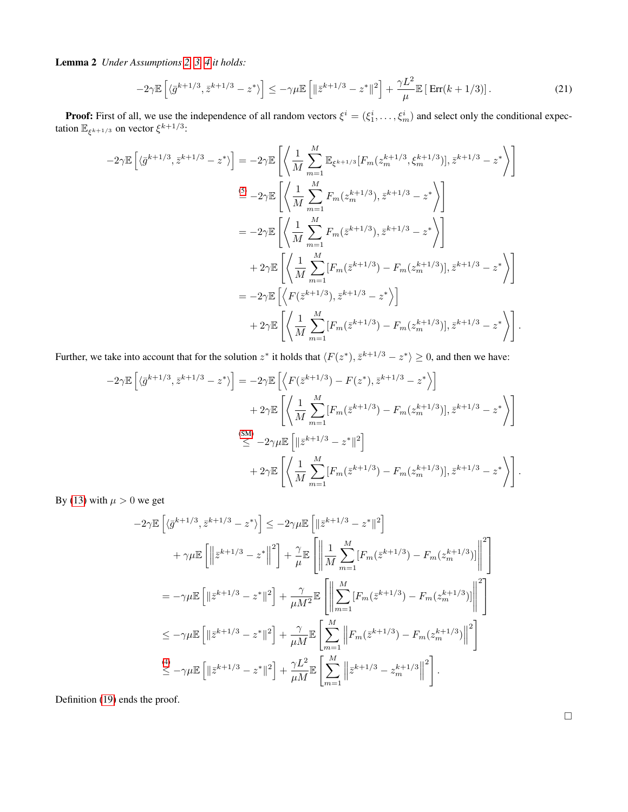Lemma 2 *Under Assumptions [2,](#page-3-3) [3,](#page-3-0) [4](#page-3-5) it holds:*

<span id="page-12-0"></span>
$$
-2\gamma \mathbb{E}\left[\langle \bar{g}^{k+1/3}, \bar{z}^{k+1/3} - z^* \rangle\right] \le -\gamma \mu \mathbb{E}\left[\|\bar{z}^{k+1/3} - z^*\|^2\right] + \frac{\gamma L^2}{\mu} \mathbb{E}\left[\operatorname{Err}(k+1/3)\right].\tag{21}
$$

**Proof:** First of all, we use the independence of all random vectors  $\xi^i = (\xi_1^i, \dots, \xi_m^i)$  and select only the conditional expectation  $\mathbb{E}_{\xi^{k+1/3}}$  on vector  $\xi^{k+1/3}$ :

$$
-2\gamma \mathbb{E} \left[ \langle \bar{g}^{k+1/3}, \bar{z}^{k+1/3} - z^* \rangle \right] = -2\gamma \mathbb{E} \left[ \left\langle \frac{1}{M} \sum_{m=1}^M \mathbb{E}_{\xi^{k+1/3}} [F_m(z_m^{k+1/3}, \xi_m^{k+1/3})], \bar{z}^{k+1/3} - z^* \right\rangle \right]
$$
  
\n
$$
\stackrel{(5)}{=} -2\gamma \mathbb{E} \left[ \left\langle \frac{1}{M} \sum_{m=1}^M F_m(z_m^{k+1/3}), \bar{z}^{k+1/3} - z^* \right\rangle \right]
$$
  
\n
$$
= -2\gamma \mathbb{E} \left[ \left\langle \frac{1}{M} \sum_{m=1}^M F_m(\bar{z}^{k+1/3}), \bar{z}^{k+1/3} - z^* \right\rangle \right]
$$
  
\n
$$
+ 2\gamma \mathbb{E} \left[ \left\langle \frac{1}{M} \sum_{m=1}^M [F_m(\bar{z}^{k+1/3}) - F_m(z_m^{k+1/3})], \bar{z}^{k+1/3} - z^* \right\rangle \right]
$$
  
\n
$$
= -2\gamma \mathbb{E} \left[ \left\langle F(\bar{z}^{k+1/3}), \bar{z}^{k+1/3} - z^* \right\rangle \right]
$$
  
\n
$$
+ 2\gamma \mathbb{E} \left[ \left\langle \frac{1}{M} \sum_{m=1}^M [F_m(\bar{z}^{k+1/3}) - F_m(z_m^{k+1/3})], \bar{z}^{k+1/3} - z^* \right\rangle \right].
$$

Further, we take into account that for the solution  $z^*$  it holds that  $\langle F(z^*), \bar{z}^{k+1/3} - z^* \rangle \ge 0$ , and then we have:

$$
-2\gamma \mathbb{E}\left[\langle \bar{g}^{k+1/3}, \bar{z}^{k+1/3} - z^* \rangle\right] = -2\gamma \mathbb{E}\left[\left\langle F(\bar{z}^{k+1/3}) - F(z^*), \bar{z}^{k+1/3} - z^* \rangle\right] + 2\gamma \mathbb{E}\left[\left\langle \frac{1}{M} \sum_{m=1}^M [F_m(\bar{z}^{k+1/3}) - F_m(z_m^{k+1/3})], \bar{z}^{k+1/3} - z^* \rangle\right\}\right]
$$
  
\n
$$
\stackrel{\text{(SM)}}{\leq} -2\gamma \mu \mathbb{E}\left[\left\|\bar{z}^{k+1/3} - z^*\right\|^2\right] + 2\gamma \mathbb{E}\left[\left\langle \frac{1}{M} \sum_{m=1}^M [F_m(\bar{z}^{k+1/3}) - F_m(z_m^{k+1/3})], \bar{z}^{k+1/3} - z^* \rangle\right.\right].
$$

By [\(13\)](#page-10-2) with  $\mu > 0$  we get

$$
-2\gamma \mathbb{E} \left[ \langle \bar{g}^{k+1/3}, \bar{z}^{k+1/3} - z^* \rangle \right] \le -2\gamma \mu \mathbb{E} \left[ \|\bar{z}^{k+1/3} - z^* \|^2 \right] + \gamma \mu \mathbb{E} \left[ \left\| \bar{z}^{k+1/3} - z^* \right\|^2 \right] + \frac{\gamma}{\mu} \mathbb{E} \left[ \left\| \frac{1}{M} \sum_{m=1}^M \left[ F_m(\bar{z}^{k+1/3}) - F_m(z_m^{k+1/3}) \right] \right\|^2 \right] = -\gamma \mu \mathbb{E} \left[ \|\bar{z}^{k+1/3} - z^* \|^2 \right] + \frac{\gamma}{\mu M^2} \mathbb{E} \left[ \left\| \sum_{m=1}^M \left[ F_m(\bar{z}^{k+1/3}) - F_m(z_m^{k+1/3}) \right] \right\|^2 \right] \le -\gamma \mu \mathbb{E} \left[ \|\bar{z}^{k+1/3} - z^* \|^2 \right] + \frac{\gamma}{\mu M} \mathbb{E} \left[ \sum_{m=1}^M \left\| F_m(\bar{z}^{k+1/3}) - F_m(z_m^{k+1/3}) \right\|^2 \right] \le -\gamma \mu \mathbb{E} \left[ \|\bar{z}^{k+1/3} - z^* \|^2 \right] + \frac{\gamma L^2}{\mu M} \mathbb{E} \left[ \sum_{m=1}^M \left\| \bar{z}^{k+1/3} - z_m^{k+1/3} \right\|^2 \right].
$$

<span id="page-12-1"></span>Definition [\(19\)](#page-11-0) ends the proof.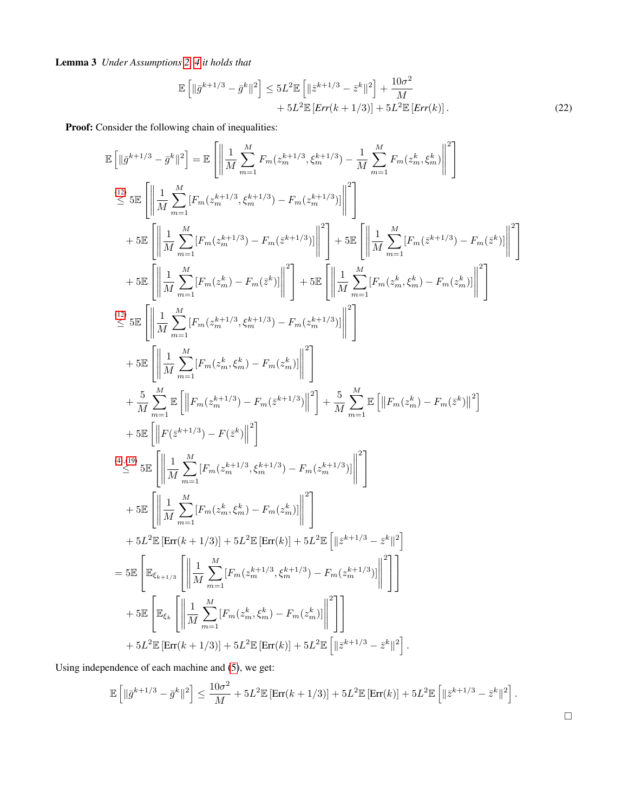Lemma 3 *Under Assumptions [2,](#page-3-3) [4](#page-3-5) it holds that*

<span id="page-13-0"></span>
$$
\mathbb{E}\left[\|\bar{g}^{k+1/3}-\bar{g}^k\|^2\right] \le 5L^2 \mathbb{E}\left[\|\bar{z}^{k+1/3}-\bar{z}^k\|^2\right] + \frac{10\sigma^2}{M} + 5L^2 \mathbb{E}\left[Err(k+1/3)\right] + 5L^2 \mathbb{E}\left[Err(k)\right].\tag{22}
$$

Proof: Consider the following chain of inequalities:

$$
\begin{split} &\mathbb{E}\left[\left\| \bar{g}^{k+1/3} - \bar{g}^{k} \right\|^{2}\right] = \mathbb{E}\left[\left\| \frac{1}{M} \sum_{m=1}^{M} F_{m}(z_{m}^{k+1/3}, \xi_{m}^{k+1/3}) - \frac{1}{M} \sum_{m=1}^{M} F_{m}(z_{m}^{k}, \xi_{m}^{k}) \right\|^{2}\right] \\ & \stackrel{(12)}{\leq} 5 \mathbb{E}\left[\left\| \frac{1}{M} \sum_{m=1}^{M} [F_{m}(z_{m}^{k+1/3}, \xi_{m}^{k+1/3}) - F_{m}(z^{k+1/3})] \right\|^{2}\right] \\ & + 5 \mathbb{E}\left[\left\| \frac{1}{M} \sum_{m=1}^{M} [F_{m}(z_{m}^{k}) - F_{m}(\bar{z}^{k+1/3})] \right\|^{2}\right] + 5 \mathbb{E}\left[\left\| \frac{1}{M} \sum_{m=1}^{M} [F_{m}(\bar{z}^{k}) - F_{m}(\bar{z}^{k})] \right\|^{2}\right] \\ & + 5 \mathbb{E}\left[\left\| \frac{1}{M} \sum_{m=1}^{M} [F_{m}(z_{m}^{k}) - F_{m}(\bar{z}^{k})] \right\|^{2}\right] + 5 \mathbb{E}\left[\left\| \frac{1}{M} \sum_{m=1}^{M} [F_{m}(z_{m}^{k}, \xi_{m}^{k}) - F_{m}(z_{m}^{k})] \right\|^{2}\right] \\ & + 5 \mathbb{E}\left[\left\| \frac{1}{M} \sum_{m=1}^{M} [F_{m}(z_{m}^{k+1/3}, \xi_{m}^{k+1/3}) - F_{m}(z_{m}^{k})] \right\|^{2}\right] \\ & + 5 \mathbb{E}\left[\left\| \frac{1}{M} \sum_{m=1}^{M} [F_{m}(z_{m}^{k+1/3}, \xi_{m}^{k+1/3}) - F_{m}(z_{m}^{k})] \right\|^{2}\right] \\ & + 5 \mathbb{E}\left[\left\| F(\bar{z}^{k+1/3}) - F(\bar{z}^{k}) \right\|^{2}\right] \\ & + 5 \mathbb{E}\left[\left\| F(\bar{z}^{
$$

Using independence of each machine and [\(5\)](#page-3-11), we get:

$$
\mathbb{E}\left[\|\bar{g}^{k+1/3}-\bar{g}^k\|^2\right] \le \frac{10\sigma^2}{M} + 5L^2 \mathbb{E}\left[\text{Err}(k+1/3)\right] + 5L^2 \mathbb{E}\left[\text{Err}(k)\right] + 5L^2 \mathbb{E}\left[\|\bar{z}^{k+1/3}-\bar{z}^k\|^2\right].
$$

$$
\qquad \qquad \Box
$$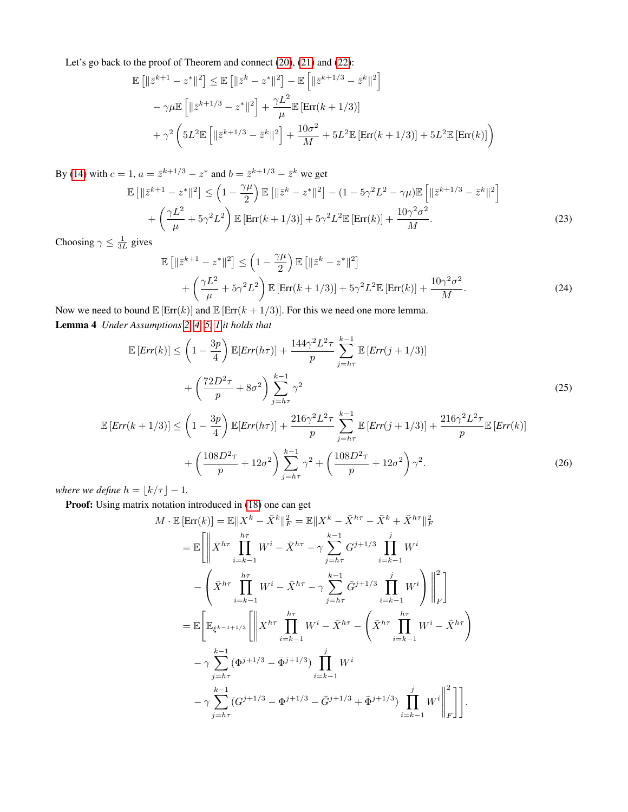Let's go back to the proof of Theorem and connect [\(20\)](#page-11-1), [\(21\)](#page-12-0) and [\(22\)](#page-13-0):

$$
\mathbb{E} [||\bar{z}^{k+1} - z^*||^2] \le \mathbb{E} [||\bar{z}^k - z^*||^2] - \mathbb{E} [||\bar{z}^{k+1/3} - \bar{z}^k||^2]
$$
  

$$
- \gamma \mu \mathbb{E} [||\bar{z}^{k+1/3} - z^*||^2] + \frac{\gamma L^2}{\mu} \mathbb{E} [\text{Err}(k+1/3)]
$$
  

$$
+ \gamma^2 \left( 5L^2 \mathbb{E} [||\bar{z}^{k+1/3} - \bar{z}^k||^2] + \frac{10\sigma^2}{M} + 5L^2 \mathbb{E} [\text{Err}(k+1/3)] + 5L^2 \mathbb{E} [\text{Err}(k)] \right)
$$

By [\(14\)](#page-10-4) with  $c = 1$ ,  $a = \bar{z}^{k+1/3} - z^*$  and  $b = \bar{z}^{k+1/3} - \bar{z}^k$  we get

$$
\mathbb{E}\left[\|\bar{z}^{k+1} - z^*\|^2\right] \le \left(1 - \frac{\gamma\mu}{2}\right) \mathbb{E}\left[\|\bar{z}^k - z^*\|^2\right] - (1 - 5\gamma^2 L^2 - \gamma\mu) \mathbb{E}\left[\|\bar{z}^{k+1/3} - \bar{z}^k\|^2\right] + \left(\frac{\gamma L^2}{\mu} + 5\gamma^2 L^2\right) \mathbb{E}\left[\text{Err}(k+1/3)\right] + 5\gamma^2 L^2 \mathbb{E}\left[\text{Err}(k)\right] + \frac{10\gamma^2 \sigma^2}{M}.
$$
\n(23)

Choosing  $\gamma \leq \frac{1}{3L}$  gives

<span id="page-14-3"></span><span id="page-14-1"></span><span id="page-14-0"></span>
$$
\mathbb{E}\left[\left\|\bar{z}^{k+1} - z^*\right\|^2\right] \le \left(1 - \frac{\gamma\mu}{2}\right) \mathbb{E}\left[\left\|\bar{z}^k - z^*\right\|^2\right] + \left(\frac{\gamma L^2}{\mu} + 5\gamma^2 L^2\right) \mathbb{E}\left[\text{Err}(k+1/3)\right] + 5\gamma^2 L^2 \mathbb{E}\left[\text{Err}(k)\right] + \frac{10\gamma^2 \sigma^2}{M}.
$$
\n(24)

Now we need to bound  $\mathbb{E} [\text{Err}(k)]$  and  $\mathbb{E} [\text{Err}(k+1/3)]$ . For this we need one more lemma. Lemma 4 *Under Assumptions [2,](#page-3-3) [4,](#page-3-5) [5,](#page-3-6) [1](#page-2-5) it holds that*

$$
\mathbb{E}\left[Err(k)\right] \leq \left(1 - \frac{3p}{4}\right) \mathbb{E}\left[Err(h\tau)\right] + \frac{144\gamma^2 L^2 \tau}{p} \sum_{j=h\tau}^{k-1} \mathbb{E}\left[Err(j+1/3)\right]
$$

$$
+ \left(\frac{72D^2 \tau}{p} + 8\sigma^2\right) \sum_{j=h\tau}^{k-1} \gamma^2
$$
(25)  

$$
= \left(1 - \frac{3p}{2}\right) \sum_{j=h\tau}^{k-1} \gamma^2
$$

$$
\mathbb{E}\left[Err(k+1/3)\right] \le \left(1 - \frac{3p}{4}\right) \mathbb{E}\left[Err(h\tau)\right] + \frac{216\gamma^2 L^2 \tau}{p} \sum_{j=h\tau}^{k-1} \mathbb{E}\left[Err(j+1/3)\right] + \frac{216\gamma^2 L^2 \tau}{p} \mathbb{E}\left[Err(k)\right] + \left(\frac{108D^2 \tau}{p} + 12\sigma^2\right) \sum_{j=h\tau}^{k-1} \gamma^2 + \left(\frac{108D^2 \tau}{p} + 12\sigma^2\right) \gamma^2.
$$
\n(26)

*where we define*  $h = \lfloor k/\tau \rfloor - 1$ *.* 

Proof: Using matrix notation introduced in  $(18)$  one can get

<span id="page-14-2"></span>
$$
M \cdot \mathbb{E} [\text{Err}(k)] = \mathbb{E} \| X^k - \bar{X}^k \|_F^2 = \mathbb{E} \| X^k - \bar{X}^{h\tau} - \bar{X}^k + \bar{X}^{h\tau} \|_F^2
$$
  
\n
$$
= \mathbb{E} \left[ \left\| X^{h\tau} \prod_{i=k-1}^{h\tau} W^i - \bar{X}^{h\tau} - \gamma \sum_{j=h\tau}^{k-1} G^{j+1/3} \prod_{i=k-1}^j W^i \right\|_F^2 \right]
$$
  
\n
$$
- \left( \bar{X}^{h\tau} \prod_{i=k-1}^{h\tau} W^i - \bar{X}^{h\tau} - \gamma \sum_{j=h\tau}^{k-1} \bar{G}^{j+1/3} \prod_{i=k-1}^j W^i \right) \Big\|_F^2 \right]
$$
  
\n
$$
= \mathbb{E} \left[ \mathbb{E}_{\xi^{k-1+1/3}} \left[ \left\| X^{h\tau} \prod_{i=k-1}^{h\tau} W^i - \bar{X}^{h\tau} - \left( \bar{X}^{h\tau} \prod_{i=k-1}^{h\tau} W^i - \bar{X}^{h\tau} \right) - \gamma \sum_{j=h\tau}^{k-1} (\Phi^{j+1/3} - \bar{\Phi}^{j+1/3}) \prod_{i=k-1}^j W^i \right. \right.
$$
  
\n
$$
- \gamma \sum_{j=h\tau}^{k-1} (\bar{G}^{j+1/3} - \Phi^{j+1/3} - \bar{G}^{j+1/3} + \bar{\Phi}^{j+1/3}) \prod_{i=k-1}^j W^i \Big\|_F^2 \right].
$$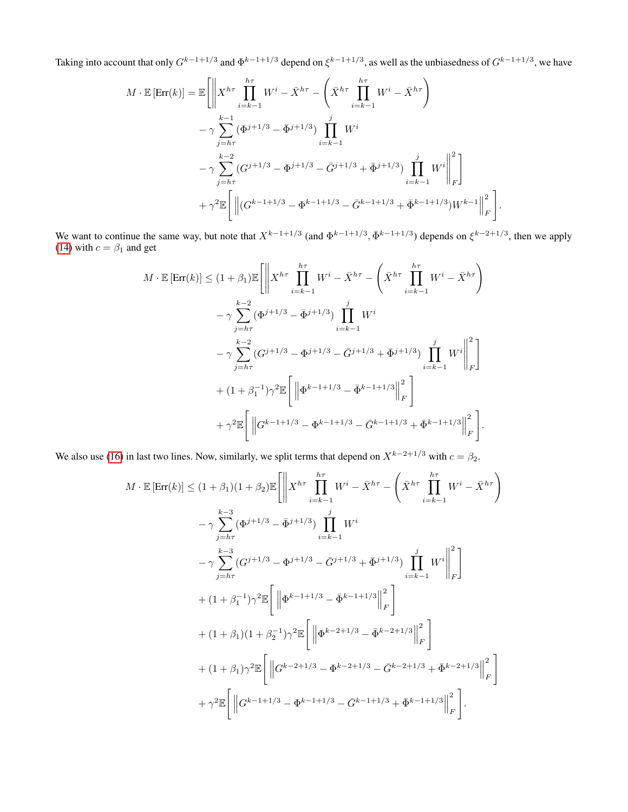Taking into account that only  $G^{k-1+1/3}$  and  $\Phi^{k-1+1/3}$  depend on  $\xi^{k-1+1/3}$ , as well as the unbiasedness of  $G^{k-1+1/3}$ , we have

$$
M \cdot \mathbb{E} [\text{Err}(k)] = \mathbb{E} \left[ \left\| X^{h\tau} \prod_{i=k-1}^{h\tau} W^i - \bar{X}^{h\tau} - \left( \bar{X}^{h\tau} \prod_{i=k-1}^{h\tau} W^i - \bar{X}^{h\tau} \right) \right. \\ \left. - \gamma \sum_{j=h\tau}^{k-1} (\Phi^{j+1/3} - \bar{\Phi}^{j+1/3}) \prod_{i=k-1}^j W^i \right. \\ \left. - \gamma \sum_{j=h\tau}^{k-2} (G^{j+1/3} - \Phi^{j+1/3} - \bar{G}^{j+1/3} + \bar{\Phi}^{j+1/3}) \prod_{i=k-1}^j W^i \right\|_F^2 \right] \\ \left. + \gamma^2 \mathbb{E} \left[ \left\| (G^{k-1+1/3} - \Phi^{k-1+1/3} - \bar{G}^{k-1+1/3} + \bar{\Phi}^{k-1+1/3}) W^{k-1} \right\|_F^2 \right].
$$

We want to continue the same way, but note that  $X^{k-1+1/3}$  (and  $\Phi^{k-1+1/3}$ ,  $\bar{\Phi}^{k-1+1/3}$ ) depends on  $\xi^{k-2+1/3}$ , then we apply [\(14\)](#page-10-4) with  $c = \beta_1$  and get

$$
M \cdot \mathbb{E} [\text{Err}(k)] \leq (1 + \beta_1) \mathbb{E} \left[ \left\| X^{h\tau} \prod_{i=k-1}^{h\tau} W^i - \bar{X}^{h\tau} - \left( \bar{X}^{h\tau} \prod_{i=k-1}^{h\tau} W^i - \bar{X}^{h\tau} \right) \right. \\ \left. - \gamma \sum_{j=h\tau}^{k-2} (\Phi^{j+1/3} - \bar{\Phi}^{j+1/3}) \prod_{i=k-1}^{j} W^i \right. \\ \left. - \gamma \sum_{j=h\tau}^{k-2} (G^{j+1/3} - \Phi^{j+1/3} - \bar{G}^{j+1/3} + \bar{\Phi}^{j+1/3}) \prod_{i=k-1}^{j} W^i \right\|_F^2 \right] \\ \left. + (1 + \beta_1^{-1}) \gamma^2 \mathbb{E} \left[ \left\| \Phi^{k-1+1/3} - \bar{\Phi}^{k-1+1/3} \right\|_F^2 \right] \\ \left. + \gamma^2 \mathbb{E} \left[ \left\| G^{k-1+1/3} - \Phi^{k-1+1/3} - \bar{G}^{k-1+1/3} + \bar{\Phi}^{k-1+1/3} \right\|_F^2 \right]. \right. \right]
$$

We also use [\(16\)](#page-10-5) in last two lines. Now, similarly, we split terms that depend on  $X^{k-2+1/3}$  with  $c = \beta_2$ .

$$
M \cdot \mathbb{E} [\text{Err}(k)] \leq (1 + \beta_1)(1 + \beta_2) \mathbb{E} \Bigg[ \Bigg\| X^{h\tau} \prod_{i=k-1}^{h\tau} W^i - \bar{X}^{h\tau} - \Bigg( \bar{X}^{h\tau} \prod_{i=k-1}^{h\tau} W^i - \bar{X}^{h\tau} \Bigg) \Bigg\|
$$
  
\n
$$
- \gamma \sum_{j=h\tau}^{k-3} (\Phi^{j+1/3} - \bar{\Phi}^{j+1/3}) \prod_{i=k-1}^{j} W^i
$$
  
\n
$$
- \gamma \sum_{j=h\tau}^{k-3} (G^{j+1/3} - \Phi^{j+1/3} - \bar{G}^{j+1/3} + \bar{\Phi}^{j+1/3}) \prod_{i=k-1}^{j} W^i \Bigg\|_F^2 \Bigg] + (1 + \beta_1^{-1})\gamma^2 \mathbb{E} \Bigg[ \Bigg\| \Phi^{k-1+1/3} - \bar{\Phi}^{k-1+1/3} \Bigg\|_F^2 \Bigg]
$$
  
\n
$$
+ (1 + \beta_1)(1 + \beta_2^{-1})\gamma^2 \mathbb{E} \Bigg[ \Bigg\| \Phi^{k-2+1/3} - \bar{\Phi}^{k-2+1/3} \Bigg\|_F^2 \Bigg]
$$
  
\n
$$
+ (1 + \beta_1)\gamma^2 \mathbb{E} \Bigg[ \Bigg\| G^{k-2+1/3} - \Phi^{k-2+1/3} - \bar{G}^{k-2+1/3} + \bar{\Phi}^{k-2+1/3} \Bigg\|_F^2 \Bigg]
$$
  
\n
$$
+ \gamma^2 \mathbb{E} \Bigg[ \Bigg\| G^{k-1+1/3} - \Phi^{k-1+1/3} - \bar{G}^{k-1+1/3} + \bar{\Phi}^{k-1+1/3} \Bigg\|_F^2 \Bigg].
$$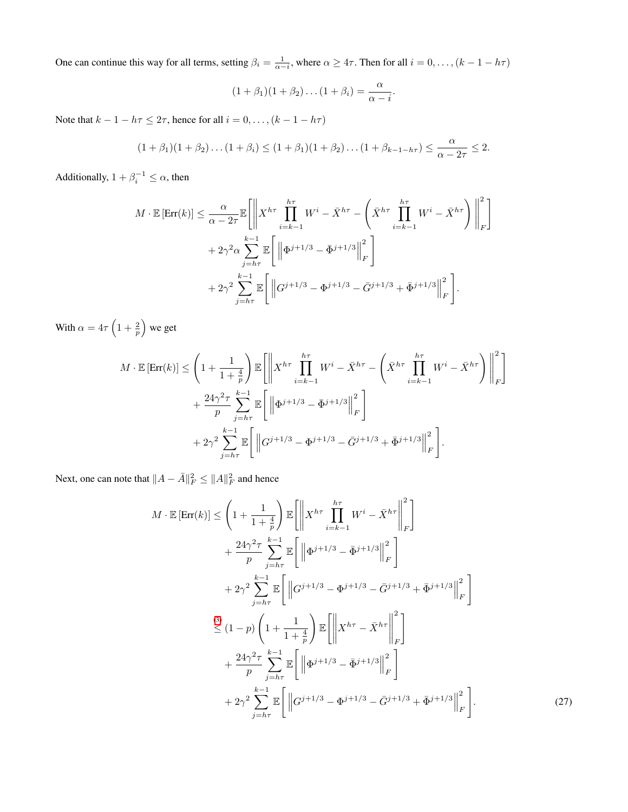One can continue this way for all terms, setting  $\beta_i = \frac{1}{\alpha - i}$ , where  $\alpha \ge 4\tau$ . Then for all  $i = 0, \ldots, (k - 1 - h\tau)$ 

$$
(1+\beta_1)(1+\beta_2)\dots(1+\beta_i)=\frac{\alpha}{\alpha-i}.
$$

Note that  $k - 1 - h\tau \leq 2\tau$ , hence for all  $i = 0, \ldots, (k - 1 - h\tau)$ 

$$
(1+\beta_1)(1+\beta_2)\dots(1+\beta_i) \leq (1+\beta_1)(1+\beta_2)\dots(1+\beta_{k-1-h\tau}) \leq \frac{\alpha}{\alpha-2\tau} \leq 2.
$$

Additionally,  $1 + \beta_i^{-1} \leq \alpha$ , then

$$
M \cdot \mathbb{E} \left[ \text{Err}(k) \right] \leq \frac{\alpha}{\alpha - 2\tau} \mathbb{E} \left[ \left\| X^{h\tau} \prod_{i=k-1}^{h\tau} W^i - \bar{X}^{h\tau} - \left( \bar{X}^{h\tau} \prod_{i=k-1}^{h\tau} W^i - \bar{X}^{h\tau} \right) \right\|_F^2 \right] + 2\gamma^2 \alpha \sum_{j=h\tau}^{k-1} \mathbb{E} \left[ \left\| \Phi^{j+1/3} - \bar{\Phi}^{j+1/3} \right\|_F^2 \right] + 2\gamma^2 \sum_{j=h\tau}^{k-1} \mathbb{E} \left[ \left\| G^{j+1/3} - \Phi^{j+1/3} - \bar{G}^{j+1/3} + \bar{\Phi}^{j+1/3} \right\|_F^2 \right].
$$

With  $\alpha = 4\tau \left(1 + \frac{2}{p}\right)$  we get

$$
M \cdot \mathbb{E} \left[ \text{Err}(k) \right] \leq \left( 1 + \frac{1}{1 + \frac{4}{p}} \right) \mathbb{E} \left[ \left\| X^{h\tau} \prod_{i=k-1}^{h\tau} W^i - \bar{X}^{h\tau} - \left( \bar{X}^{h\tau} \prod_{i=k-1}^{h\tau} W^i - \bar{X}^{h\tau} \right) \right\|_F^2 \right] + \frac{24\gamma^2 \tau}{p} \sum_{j=h\tau}^{k-1} \mathbb{E} \left[ \left\| \Phi^{j+1/3} - \bar{\Phi}^{j+1/3} \right\|_F^2 \right] + 2\gamma^2 \sum_{j=h\tau}^{k-1} \mathbb{E} \left[ \left\| G^{j+1/3} - \Phi^{j+1/3} - \bar{G}^{j+1/3} + \bar{\Phi}^{j+1/3} \right\|_F^2 \right].
$$

Next, one can note that  $||A - \bar{A}||_F^2 \le ||A||_F^2$  and hence

<span id="page-16-0"></span>
$$
M \cdot \mathbb{E} [\text{Err}(k)] \leq \left(1 + \frac{1}{1 + \frac{4}{p}}\right) \mathbb{E} \left[ \left\| X^{h\tau} \prod_{i=k-1}^{h\tau} W^{i} - \bar{X}^{h\tau} \right\|_{F}^{2} \right] + \frac{24\gamma^{2}\tau}{p} \sum_{j=h\tau}^{k-1} \mathbb{E} \left[ \left\| \Phi^{j+1/3} - \bar{\Phi}^{j+1/3} \right\|_{F}^{2} \right] + 2\gamma^{2} \sum_{j=h\tau}^{k-1} \mathbb{E} \left[ \left\| G^{j+1/3} - \Phi^{j+1/3} - \bar{G}^{j+1/3} + \bar{\Phi}^{j+1/3} \right\|_{F}^{2} \right] 
$$
\leq (1-p) \left( 1 + \frac{1}{1 + \frac{4}{p}} \right) \mathbb{E} \left[ \left\| X^{h\tau} - \bar{X}^{h\tau} \right\|_{F}^{2} \right] + \frac{24\gamma^{2}\tau}{p} \sum_{j=h\tau}^{k-1} \mathbb{E} \left[ \left\| \Phi^{j+1/3} - \bar{\Phi}^{j+1/3} \right\|_{F}^{2} \right] + 2\gamma^{2} \sum_{j=h\tau}^{k-1} \mathbb{E} \left[ \left\| G^{j+1/3} - \Phi^{j+1/3} - \bar{G}^{j+1/3} + \bar{\Phi}^{j+1/3} \right\|_{F}^{2} \right].
$$
 (27)
$$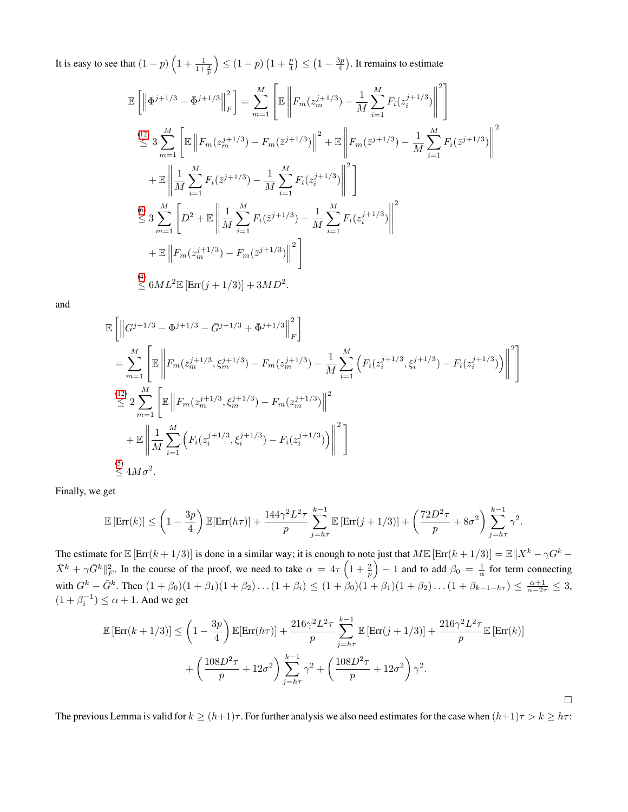It is easy to see that  $(1-p)\left(1+\frac{1}{1+\frac{4}{p}}\right)$  $\binom{1-p}{1+\frac{p}{4}} \leq \left(1-\frac{3p}{4}\right)$ . It remains to estimate

$$
\mathbb{E}\left[\left\|\Phi^{j+1/3} - \bar{\Phi}^{j+1/3}\right\|_{F}^{2}\right] = \sum_{m=1}^{M} \left[\mathbb{E}\left\|F_{m}(z_{m}^{j+1/3}) - \frac{1}{M}\sum_{i=1}^{M} F_{i}(z_{i}^{j+1/3})\right\|^{2}\right]
$$
\n
$$
\stackrel{(12)}{\leq} 3 \sum_{m=1}^{M} \left[\mathbb{E}\left\|F_{m}(z_{m}^{j+1/3}) - F_{m}(\bar{z}^{j+1/3})\right\|^{2} + \mathbb{E}\left\|F_{m}(\bar{z}^{j+1/3}) - \frac{1}{M}\sum_{i=1}^{M} F_{i}(\bar{z}^{j+1/3})\right\|^{2}\right]
$$
\n
$$
+ \mathbb{E}\left\|\frac{1}{M}\sum_{i=1}^{M} F_{i}(\bar{z}^{j+1/3}) - \frac{1}{M}\sum_{i=1}^{M} F_{i}(z_{i}^{j+1/3})\right\|^{2}\right]
$$
\n
$$
\stackrel{(6)}{\leq} 3 \sum_{m=1}^{M} \left[D^{2} + \mathbb{E}\left\|\frac{1}{M}\sum_{i=1}^{M} F_{i}(\bar{z}^{j+1/3}) - \frac{1}{M}\sum_{i=1}^{M} F_{i}(z_{i}^{j+1/3})\right\|^{2}\right]
$$
\n
$$
+ \mathbb{E}\left\|F_{m}(z_{m}^{j+1/3}) - F_{m}(\bar{z}^{j+1/3})\right\|^{2}\right]
$$
\n
$$
\stackrel{(4)}{\leq} 6ML^{2}\mathbb{E}\left[\text{Err}(j+1/3)\right] + 3MD^{2}.
$$

and

$$
\mathbb{E}\left[\left\|G^{j+1/3}-\Phi^{j+1/3}-\bar{G}^{j+1/3}+\bar{\Phi}^{j+1/3}\right\|_{F}^{2}\right]
$$
\n
$$
=\sum_{m=1}^{M}\left[\mathbb{E}\left\|F_{m}(z_{m}^{j+1/3},\xi_{m}^{j+1/3})-F_{m}(z_{m}^{j+1/3})-\frac{1}{M}\sum_{i=1}^{M}\left(F_{i}(z_{i}^{j+1/3},\xi_{i}^{j+1/3})-F_{i}(z_{i}^{j+1/3})\right)\right\|^{2}\right]
$$
\n
$$
\stackrel{(12)}{\leq}2\sum_{m=1}^{M}\left[\mathbb{E}\left\|F_{m}(z_{m}^{j+1/3},\xi_{m}^{j+1/3})-F_{m}(z_{m}^{j+1/3})\right\|^{2}\right]
$$
\n
$$
+\mathbb{E}\left\|\frac{1}{M}\sum_{i=1}^{M}\left(F_{i}(z_{i}^{j+1/3},\xi_{i}^{j+1/3})-F_{i}(z_{i}^{j+1/3})\right)\right\|^{2}\right]
$$
\n
$$
\stackrel{(5)}{\leq}4M\sigma^{2}.
$$

Finally, we get

$$
\mathbb{E}\left[\text{Err}(k)\right] \leq \left(1 - \frac{3p}{4}\right) \mathbb{E}[\text{Err}(h\tau)] + \frac{144\gamma^2 L^2 \tau}{p} \sum_{j=h\tau}^{k-1} \mathbb{E}\left[\text{Err}(j+1/3)\right] + \left(\frac{72D^2 \tau}{p} + 8\sigma^2\right) \sum_{j=h\tau}^{k-1} \gamma^2.
$$

The estimate for  $\mathbb{E} [\text{Err}(k+1/3)]$  is done in a similar way; it is enough to note just that  $M \mathbb{E} [\text{Err}(k+1/3)] = \mathbb{E} ||X^k - \gamma G^k \bar{X}^k + \gamma \bar{G}^k \|^2_F$ . In the course of the proof, we need to take  $\alpha = 4\tau \left(1 + \frac{2}{p}\right) - 1$  and to add  $\beta_0 = \frac{1}{\alpha}$  for term connecting with  $G^k - \bar{G}^k$ . Then  $(1 + \beta_0)(1 + \beta_1)(1 + \beta_2) \dots (1 + \beta_i) \leq (1 + \beta_0)(1 + \beta_1)(1 + \beta_2) \dots (1 + \beta_{k-1-h\tau}) \leq \frac{\alpha+1}{\alpha-2\tau} \leq 3$ ,  $(1 + \beta_i^{-1}) \le \alpha + 1$ . And we get

$$
\mathbb{E}\left[\text{Err}(k+1/3)\right] \leq \left(1 - \frac{3p}{4}\right) \mathbb{E}[\text{Err}(h\tau)] + \frac{216\gamma^2 L^2 \tau}{p} \sum_{j=h\tau}^{k-1} \mathbb{E}\left[\text{Err}(j+1/3)\right] + \frac{216\gamma^2 L^2 \tau}{p} \mathbb{E}\left[\text{Err}(k)\right]
$$

$$
+ \left(\frac{108D^2 \tau}{p} + 12\sigma^2\right) \sum_{j=h\tau}^{k-1} \gamma^2 + \left(\frac{108D^2 \tau}{p} + 12\sigma^2\right) \gamma^2.
$$

The previous Lemma is valid for  $k \ge (h+1)\tau$ . For further analysis we also need estimates for the case when  $(h+1)\tau > k \ge h\tau$ :

 $\Box$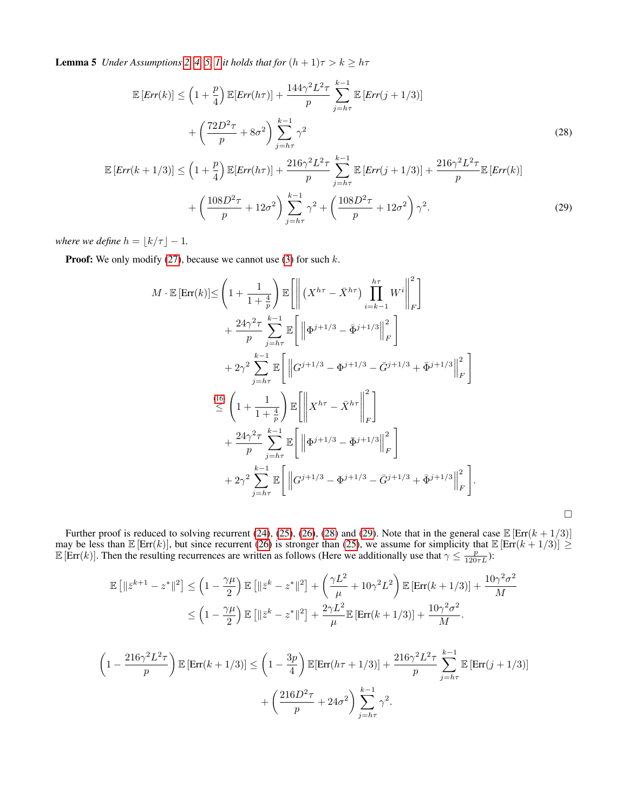**Lemma 5** *Under Assumptions [2,](#page-3-3) [4,](#page-3-5) [5,](#page-3-6) [1](#page-2-5) it holds that for*  $(h + 1)\tau > k \geq h\tau$ 

$$
\mathbb{E}\left[Err(k)\right] \leq \left(1 + \frac{p}{4}\right) \mathbb{E}\left[Err(h\tau)\right] + \frac{144\gamma^2 L^2 \tau}{p} \sum_{j=h\tau}^{k-1} \mathbb{E}\left[Err(j+1/3)\right] \\
+ \left(\frac{72D^2 \tau}{p} + 8\sigma^2\right) \sum_{j=h\tau}^{k-1} \gamma^2
$$
\n(28)

$$
\mathbb{E}\left[Err(k+1/3)\right] \leq \left(1 + \frac{p}{4}\right) \mathbb{E}[Err(h\tau)] + \frac{216\gamma^2 L^2 \tau}{p} \sum_{j=h\tau}^{k-1} \mathbb{E}\left[Err(j+1/3)\right] + \frac{216\gamma^2 L^2 \tau}{p} \mathbb{E}\left[Err(k)\right] + \left(\frac{108D^2 \tau}{p} + 12\sigma^2\right) \sum_{j=h\tau}^{k-1} \gamma^2 + \left(\frac{108D^2 \tau}{p} + 12\sigma^2\right) \gamma^2.
$$
\n(29)

*where we define*  $h = \lfloor k/\tau \rfloor - 1$ *.* 

**Proof:** We only modify [\(27\)](#page-16-0), because we cannot use [\(3\)](#page-2-7) for such  $k$ .

$$
M \cdot \mathbb{E} [\text{Err}(k)] \leq \left(1 + \frac{1}{1 + \frac{4}{p}}\right) \mathbb{E} \left[ \left\| \left( X^{h\tau} - \bar{X}^{h\tau} \right) \prod_{i=k-1}^{h\tau} W^i \right\|_F^2 \right] + \frac{24\gamma^2 \tau}{p} \sum_{j=h\tau}^{k-1} \mathbb{E} \left[ \left\| \Phi^{j+1/3} - \bar{\Phi}^{j+1/3} \right\|_F^2 \right] + 2\gamma^2 \sum_{j=h\tau}^{k-1} \mathbb{E} \left[ \left\| G^{j+1/3} - \Phi^{j+1/3} - \bar{G}^{j+1/3} + \bar{\Phi}^{j+1/3} \right\|_F^2 \right] \n\frac{(16)}{\leq} \left(1 + \frac{1}{1 + \frac{4}{p}}\right) \mathbb{E} \left[ \left\| X^{h\tau} - \bar{X}^{h\tau} \right\|_F^2 \right] + \frac{24\gamma^2 \tau}{p} \sum_{j=h\tau}^{k-1} \mathbb{E} \left[ \left\| \Phi^{j+1/3} - \bar{\Phi}^{j+1/3} \right\|_F^2 \right] + 2\gamma^2 \sum_{j=h\tau}^{k-1} \mathbb{E} \left[ \left\| G^{j+1/3} - \Phi^{j+1/3} - \bar{G}^{j+1/3} + \bar{\Phi}^{j+1/3} \right\|_F^2 \right].
$$

Further proof is reduced to solving recurrent [\(24\)](#page-14-0), [\(25\)](#page-14-1), [\(26\)](#page-14-2), [\(28\)](#page-18-0) and [\(29\)](#page-18-1). Note that in the general case  $\mathbb{E} [\text{Err}(k + 1/3)]$ may be less than  $\mathbb{E} [\text{Err}(k)]$ , but since recurrent [\(26\)](#page-14-2) is stronger than [\(25\)](#page-14-1), we assume for simplicity that  $\mathbb{E} [\text{Err}(k+1/3)] \geq$  $\mathbb{E}[\text{Err}(k)]$ . Then the resulting recurrences are written as follows (Here we additionally use that  $\gamma \leq \frac{p}{120\tau L}$ ):

<span id="page-18-1"></span><span id="page-18-0"></span> $\Box$ 

$$
\mathbb{E}\left[\|\bar{z}^{k+1} - z^*\|^2\right] \le \left(1 - \frac{\gamma\mu}{2}\right) \mathbb{E}\left[\|\bar{z}^k - z^*\|^2\right] + \left(\frac{\gamma L^2}{\mu} + 10\gamma^2 L^2\right) \mathbb{E}\left[\text{Err}(k+1/3)\right] + \frac{10\gamma^2 \sigma^2}{M}
$$
  
\n
$$
\le \left(1 - \frac{\gamma\mu}{2}\right) \mathbb{E}\left[\|\bar{z}^k - z^*\|^2\right] + \frac{2\gamma L^2}{\mu} \mathbb{E}\left[\text{Err}(k+1/3)\right] + \frac{10\gamma^2 \sigma^2}{M}.
$$
  
\n
$$
\left(1 - \frac{216\gamma^2 L^2 \tau}{p}\right) \mathbb{E}\left[\text{Err}(k+1/3)\right] \le \left(1 - \frac{3p}{4}\right) \mathbb{E}\left[\text{Err}(h\tau + 1/3)\right] + \frac{216\gamma^2 L^2 \tau}{p} \sum_{j=h\tau}^{k-1} \mathbb{E}\left[\text{Err}(j+1/3)\right]
$$
  
\n
$$
+ \left(\frac{216D^2 \tau}{p} + 24\sigma^2\right) \sum_{j=h\tau}^{k-1} \gamma^2.
$$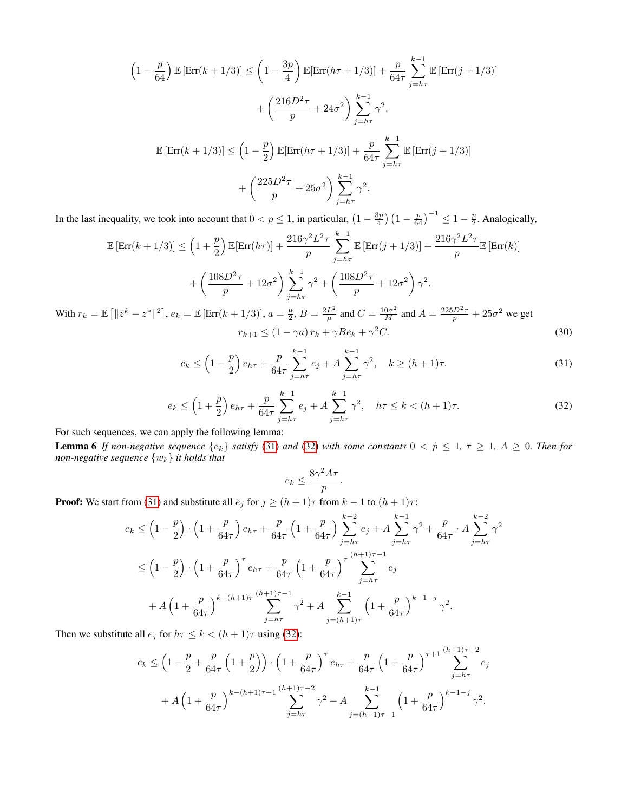$$
\left(1 - \frac{p}{64}\right) \mathbb{E}\left[\text{Err}(k+1/3)\right] \le \left(1 - \frac{3p}{4}\right) \mathbb{E}[\text{Err}(h\tau+1/3)] + \frac{p}{64\tau} \sum_{j=h\tau}^{k-1} \mathbb{E}\left[\text{Err}(j+1/3)\right]
$$

$$
+ \left(\frac{216D^2\tau}{p} + 24\sigma^2\right) \sum_{j=h\tau}^{k-1} \gamma^2.
$$

$$
\mathbb{E}\left[\text{Err}(k+1/3)\right] \le \left(1 - \frac{p}{2}\right) \mathbb{E}\left[\text{Err}(h\tau+1/3)\right] + \frac{p}{64\tau} \sum_{j=h\tau}^{k-1} \mathbb{E}\left[\text{Err}(j+1/3)\right]
$$

$$
+ \left(\frac{225D^2\tau}{p} + 25\sigma^2\right) \sum_{j=h\tau}^{k-1} \gamma^2.
$$

In the last inequality, we took into account that  $0 < p \le 1$ , in particular,  $\left(1 - \frac{3p}{4}\right) \left(1 - \frac{p}{64}\right)^{-1} \le 1 - \frac{p}{2}$ . Analogically,

$$
\mathbb{E}\left[\text{Err}(k+1/3)\right] \le \left(1+\frac{p}{2}\right) \mathbb{E}[\text{Err}(h\tau)] + \frac{216\gamma^2 L^2 \tau}{p} \sum_{j=h\tau}^{k-1} \mathbb{E}\left[\text{Err}(j+1/3)\right] + \frac{216\gamma^2 L^2 \tau}{p} \mathbb{E}\left[\text{Err}(k)\right]
$$

$$
+ \left(\frac{108D^2 \tau}{p} + 12\sigma^2\right) \sum_{j=h\tau}^{k-1} \gamma^2 + \left(\frac{108D^2 \tau}{p} + 12\sigma^2\right) \gamma^2.
$$
With  $r_k = \mathbb{E}\left[\|\bar{z}^k - z^*\|^2\right], e_k = \mathbb{E}\left[\text{Err}(k+1/3)\right], a = \frac{\mu}{2}, B = \frac{2L^2}{\mu} \text{ and } C = \frac{10\sigma^2}{M} \text{ and } A = \frac{225D^2 \tau}{p} + 25\sigma^2 \text{ we get}$ 

 $r_{k+1} \leq (1 - \gamma a) r_k + \gamma B e_k + \gamma$  ${}^{2}C.$  (30)

$$
e_k \le \left(1 - \frac{p}{2}\right) e_{h\tau} + \frac{p}{64\tau} \sum_{j=h\tau}^{k-1} e_j + A \sum_{j=h\tau}^{k-1} \gamma^2, \quad k \ge (h+1)\tau.
$$
 (31)

$$
e_k \le \left(1 + \frac{p}{2}\right)e_{h\tau} + \frac{p}{64\tau} \sum_{j=h\tau}^{k-1} e_j + A \sum_{j=h\tau}^{k-1} \gamma^2, \quad h\tau \le k < (h+1)\tau. \tag{32}
$$

For such sequences, we can apply the following lemma:

**Lemma 6** If non-negative sequence  $\{e_k\}$  satisfy [\(31\)](#page-19-0) and [\(32\)](#page-19-1) with some constants  $0 < \tilde{p} \leq 1$ ,  $\tau \geq 1$ ,  $A \geq 0$ . Then for *non-negative sequence* {wk} *it holds that*

<span id="page-19-3"></span><span id="page-19-2"></span><span id="page-19-1"></span><span id="page-19-0"></span>
$$
e_k \le \frac{8\gamma^2 A \tau}{p}.
$$

**Proof:** We start from [\(31\)](#page-19-0) and substitute all  $e_j$  for  $j \ge (h+1)\tau$  from  $k-1$  to  $(h+1)\tau$ :

$$
e_k \leq \left(1 - \frac{p}{2}\right) \cdot \left(1 + \frac{p}{64\tau}\right) e_{h\tau} + \frac{p}{64\tau} \left(1 + \frac{p}{64\tau}\right) \sum_{j=h\tau}^{k-2} e_j + A \sum_{j=h\tau}^{k-1} \gamma^2 + \frac{p}{64\tau} \cdot A \sum_{j=h\tau}^{k-2} \gamma^2
$$
  

$$
\leq \left(1 - \frac{p}{2}\right) \cdot \left(1 + \frac{p}{64\tau}\right)^\tau e_{h\tau} + \frac{p}{64\tau} \left(1 + \frac{p}{64\tau}\right)^\tau \sum_{j=h\tau}^{(h+1)\tau-1} e_j
$$
  

$$
+ A \left(1 + \frac{p}{64\tau}\right)^{k-(h+1)\tau} \sum_{j=h\tau}^{(h+1)\tau-1} \gamma^2 + A \sum_{j=(h+1)\tau}^{k-1} \left(1 + \frac{p}{64\tau}\right)^{k-1-j} \gamma^2.
$$

Then we substitute all  $e_j$  for  $h\tau \leq k < (h+1)\tau$  using [\(32\)](#page-19-1):

$$
e_k \le \left(1 - \frac{p}{2} + \frac{p}{64\tau} \left(1 + \frac{p}{2}\right)\right) \cdot \left(1 + \frac{p}{64\tau}\right)^{\tau} e_{h\tau} + \frac{p}{64\tau} \left(1 + \frac{p}{64\tau}\right)^{\tau+1} \sum_{j=h\tau}^{(h+1)\tau-2} e_j
$$

$$
+ A \left(1 + \frac{p}{64\tau}\right)^{k - (h+1)\tau+1} \sum_{j=h\tau}^{(h+1)\tau-2} \gamma^2 + A \sum_{j=(h+1)\tau-1}^{k-1} \left(1 + \frac{p}{64\tau}\right)^{k-1-j} \gamma^2.
$$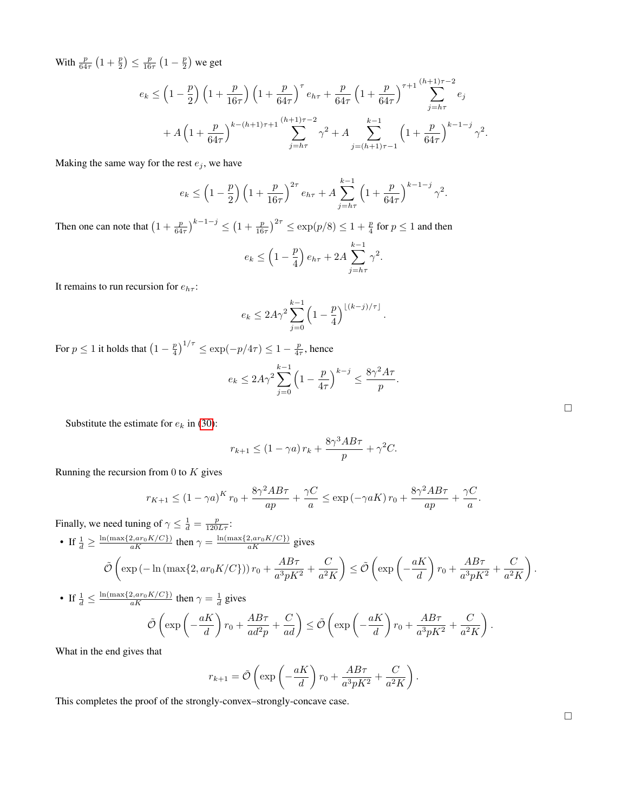With  $\frac{p}{64\tau} \left(1 + \frac{p}{2}\right) \le \frac{p}{16\tau} \left(1 - \frac{p}{2}\right)$  we get

$$
e_k \le \left(1 - \frac{p}{2}\right) \left(1 + \frac{p}{16\tau}\right) \left(1 + \frac{p}{64\tau}\right)^{\tau} e_{h\tau} + \frac{p}{64\tau} \left(1 + \frac{p}{64\tau}\right)^{\tau+1} \sum_{j=h\tau}^{(h+1)\tau-2} e_j
$$
  
+  $A \left(1 + \frac{p}{64\tau}\right)^{k - (h+1)\tau+1} \sum_{j=h\tau}^{(h+1)\tau-2} \gamma^2 + A \sum_{j=(h+1)\tau-1}^{k-1} \left(1 + \frac{p}{64\tau}\right)^{k-1-j} \gamma^2.$ 

Making the same way for the rest  $e_j$ , we have

$$
e_k \leq \left(1 - \frac{p}{2}\right) \left(1 + \frac{p}{16\tau}\right)^{2\tau} e_{h\tau} + A \sum_{j=h\tau}^{k-1} \left(1 + \frac{p}{64\tau}\right)^{k-1-j} \gamma^2.
$$

Then one can note that  $\left(1+\frac{p}{64\tau}\right)^{k-1-j} \leq \left(1+\frac{p}{16\tau}\right)^{2\tau} \leq \exp(p/8) \leq 1+\frac{p}{4}$  for  $p \leq 1$  and then

$$
e_k \le \left(1 - \frac{p}{4}\right)e_{h\tau} + 2A\sum_{j=h\tau}^{k-1} \gamma^2.
$$

It remains to run recursion for  $e_{h\tau}$ :

$$
e_k \le 2A\gamma^2 \sum_{j=0}^{k-1} \left(1 - \frac{p}{4}\right)^{\lfloor (k-j)/\tau \rfloor}.
$$

For  $p \le 1$  it holds that  $\left(1 - \frac{p}{4}\right)^{1/\tau} \le \exp(-p/4\tau) \le 1 - \frac{p}{4\tau}$ , hence

$$
e_k \le 2A\gamma^2 \sum_{j=0}^{k-1} \left(1 - \frac{p}{4\tau}\right)^{k-j} \le \frac{8\gamma^2 A\tau}{p}.
$$

Substitute the estimate for  $e_k$  in [\(30\)](#page-19-2):

$$
r_{k+1} \le (1 - \gamma a) r_k + \frac{8\gamma^3 AB\tau}{p} + \gamma^2 C.
$$

Running the recursion from  $0$  to  $K$  gives

$$
r_{K+1} \le (1 - \gamma a)^K r_0 + \frac{8\gamma^2 AB\tau}{ap} + \frac{\gamma C}{a} \le \exp\left(-\gamma aK\right) r_0 + \frac{8\gamma^2 AB\tau}{ap} + \frac{\gamma C}{a}.
$$

Finally, we need tuning of  $\gamma \leq \frac{1}{d} = \frac{p}{120L\tau}$ :

• If 
$$
\frac{1}{d} \ge \frac{\ln(\max\{2, ar_0K/C\})}{aK}
$$
 then  $\gamma = \frac{\ln(\max\{2, ar_0K/C\})}{aK}$  gives  

$$
\tilde{\mathcal{O}}\left(\exp\left(-\ln\left(\max\{2, ar_0K/C\}\right)\right)r_0 + \frac{AB\tau}{a^3pK^2} + \frac{C}{a^2K}\right) \le \tilde{\mathcal{O}}\left(\exp\left(-\frac{aK}{d}\right)r_0 + \frac{AB\tau}{a^3pK^2} + \frac{C}{a^2K}\right).
$$

• If 
$$
\frac{1}{d} \le \frac{\ln(\max\{2, ar_0 K/C\})}{aK}
$$
 then  $\gamma = \frac{1}{d}$  gives  
\n
$$
\tilde{\mathcal{O}}\left(\exp\left(-\frac{aK}{d}\right)r_0 + \frac{AB\tau}{ad^2p} + \frac{C}{ad}\right) \le \tilde{\mathcal{O}}\left(\exp\left(-\frac{aK}{d}\right)r_0 + \frac{AB\tau}{a^3pK^2} + \frac{C}{a^2K}\right).
$$

What in the end gives that

$$
r_{k+1} = \tilde{\mathcal{O}}\left(\exp\left(-\frac{aK}{d}\right)r_0 + \frac{AB\tau}{a^3pK^2} + \frac{C}{a^2K}\right).
$$

This completes the proof of the strongly-convex–strongly-concave case.

 $\hfill \square$ 

 $\hfill \square$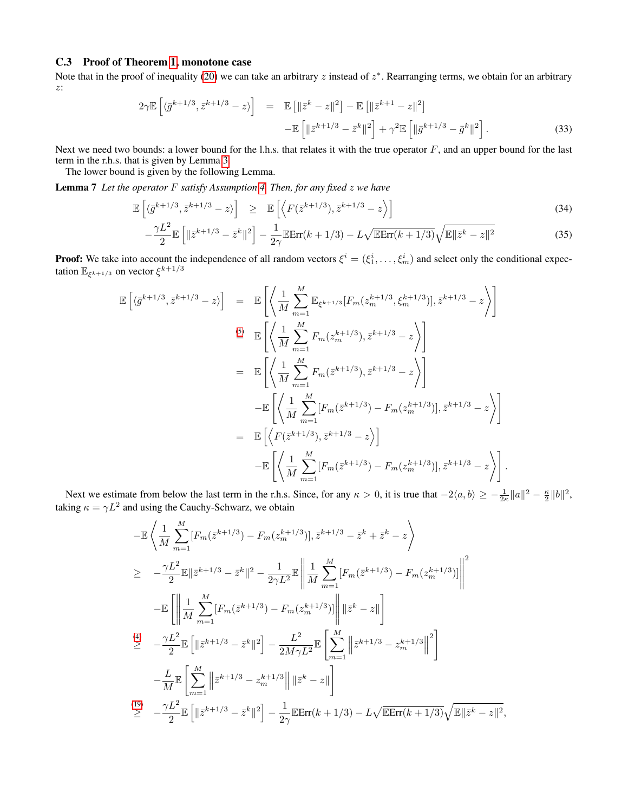## C.3 Proof of Theorem [1,](#page-3-9) monotone case

Note that in the proof of inequality [\(20\)](#page-11-1) we can take an arbitrary  $z$  instead of  $z^*$ . Rearranging terms, we obtain for an arbitrary z:

<span id="page-21-1"></span>
$$
2\gamma \mathbb{E}\left[\langle \bar{g}^{k+1/3}, \bar{z}^{k+1/3} - z \rangle\right] = \mathbb{E}\left[\|\bar{z}^k - z\|^2\right] - \mathbb{E}\left[\|\bar{z}^{k+1} - z\|^2\right] \\
-\mathbb{E}\left[\|\bar{z}^{k+1/3} - \bar{z}^k\|^2\right] + \gamma^2 \mathbb{E}\left[\|\bar{g}^{k+1/3} - \bar{g}^k\|^2\right].
$$
\n(33)

Next we need two bounds: a lower bound for the l.h.s. that relates it with the true operator  $F$ , and an upper bound for the last term in the r.h.s. that is given by Lemma [3.](#page-12-1)

The lower bound is given by the following Lemma.

<span id="page-21-0"></span>Lemma 7 *Let the operator* F *satisfy Assumption [4.](#page-3-5) Then, for any fixed* z *we have*

$$
\mathbb{E}\left[\langle \bar{g}^{k+1/3}, \bar{z}^{k+1/3} - z \rangle\right] \geq \mathbb{E}\left[\left\langle F(\bar{z}^{k+1/3}), \bar{z}^{k+1/3} - z \right\rangle\right]
$$
\n
$$
\gamma L^2 \mathbb{E}\left[\left| \left\langle -k+1/3, -k+1/3 \right\rangle \right] \right] \mathbb{E}\left[\left\langle \left\langle F(\bar{z}^{k+1/3}), \bar{z}^{k+1/3} - z \right\rangle \right] \right]
$$
\n(34)

$$
-\frac{\gamma L^2}{2} \mathbb{E}\left[\|\bar{z}^{k+1/3} - \bar{z}^k\|^2\right] - \frac{1}{2\gamma} \mathbb{E}\text{Err}(k+1/3) - L\sqrt{\mathbb{E}\text{Err}(k+1/3)}\sqrt{\mathbb{E}\|\bar{z}^k - z\|^2} \tag{35}
$$

**Proof:** We take into account the independence of all random vectors  $\xi^i = (\xi_1^i, \dots, \xi_m^i)$  and select only the conditional expectation  $\mathbb{E}_{\xi^{k+1/3}}$  on vector  $\xi^{k+1/3}$ 

$$
\mathbb{E}\left[\langle\bar{g}^{k+1/3}, \bar{z}^{k+1/3} - z\rangle\right] = \mathbb{E}\left[\left\langle\frac{1}{M} \sum_{m=1}^{M} \mathbb{E}_{\xi^{k+1/3}}[F_m(z_m^{k+1/3}, \xi_m^{k+1/3})], \bar{z}^{k+1/3} - z\right\rangle\right]
$$
\n
$$
\stackrel{\text{(5)}}{=} \mathbb{E}\left[\left\langle\frac{1}{M} \sum_{m=1}^{M} F_m(z_m^{k+1/3}), \bar{z}^{k+1/3} - z\right\rangle\right]
$$
\n
$$
= \mathbb{E}\left[\left\langle\frac{1}{M} \sum_{m=1}^{M} F_m(\bar{z}^{k+1/3}), \bar{z}^{k+1/3} - z\right\rangle\right]
$$
\n
$$
- \mathbb{E}\left[\left\langle\frac{1}{M} \sum_{m=1}^{M} [F_m(\bar{z}^{k+1/3}) - F_m(z_m^{k+1/3})], \bar{z}^{k+1/3} - z\right\rangle\right]
$$
\n
$$
- \mathbb{E}\left[\left\langle F(\bar{z}^{k+1/3}), \bar{z}^{k+1/3} - z\right\rangle\right]
$$
\n
$$
- \mathbb{E}\left[\left\langle\frac{1}{M} \sum_{m=1}^{M} [F_m(\bar{z}^{k+1/3}) - F_m(z_m^{k+1/3})], \bar{z}^{k+1/3} - z\right\rangle\right].
$$

Next we estimate from below the last term in the r.h.s. Since, for any  $\kappa > 0$ , it is true that  $-2\langle a, b \rangle \ge -\frac{1}{2\kappa} ||a||^2 - \frac{\kappa}{2} ||b||^2$ , taking  $\kappa = \gamma L^2$  and using the Cauchy-Schwarz, we obtain

$$
-\mathbb{E}\left\langle\frac{1}{M}\sum_{m=1}^{M}[F_{m}(\bar{z}^{k+1/3})-F_{m}(z_{m}^{k+1/3})],\bar{z}^{k+1/3}-\bar{z}^{k}+\bar{z}^{k}-z\right\rangle
$$
  
\n
$$
\geq -\frac{\gamma L^{2}}{2}\mathbb{E}\|\bar{z}^{k+1/3}-\bar{z}^{k}\|^{2}-\frac{1}{2\gamma L^{2}}\mathbb{E}\left\|\frac{1}{M}\sum_{m=1}^{M}[F_{m}(\bar{z}^{k+1/3})-F_{m}(z_{m}^{k+1/3})]\right\|^{2}
$$
  
\n
$$
-\mathbb{E}\left[\left\|\frac{1}{M}\sum_{m=1}^{M}[F_{m}(\bar{z}^{k+1/3})-F_{m}(z_{m}^{k+1/3})]\right\| \|\bar{z}^{k}-z\|\right]
$$
  
\n
$$
\stackrel{(4)}{\geq} -\frac{\gamma L^{2}}{2}\mathbb{E}\left[\|\bar{z}^{k+1/3}-\bar{z}^{k}\|^{2}\right] - \frac{L^{2}}{2M\gamma L^{2}}\mathbb{E}\left[\sum_{m=1}^{M}\left\|\bar{z}^{k+1/3}-z_{m}^{k+1/3}\right\|^{2}\right]
$$
  
\n
$$
-\frac{L}{M}\mathbb{E}\left[\sum_{m=1}^{M}\|\bar{z}^{k+1/3}-z_{m}^{k+1/3}\|\|\bar{z}^{k}-z\|\right]
$$
  
\n
$$
\stackrel{(19)}{\geq} -\frac{\gamma L^{2}}{2}\mathbb{E}\left[\|\bar{z}^{k+1/3}-\bar{z}^{k}\|^{2}\right] - \frac{1}{2\gamma}\mathbb{E}\text{Err}(k+1/3) - L\sqrt{\mathbb{E}\text{Err}(k+1/3)}\sqrt{\mathbb{E}\|\bar{z}^{k}-z\|^{2}},
$$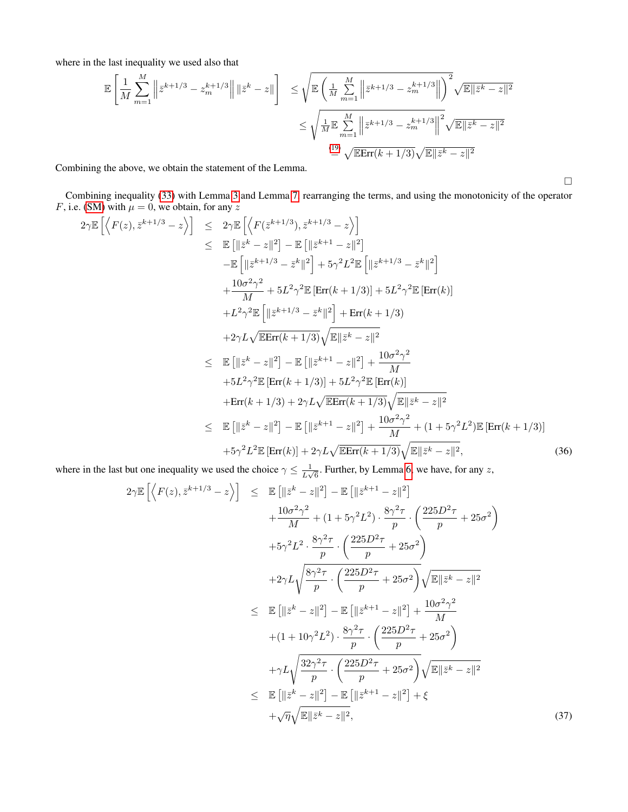where in the last inequality we used also that

$$
\mathbb{E}\left[\frac{1}{M}\sum_{m=1}^{M}\left\|\bar{z}^{k+1/3}-z_{m}^{k+1/3}\right\|\|\bar{z}^{k}-z\|\right] \leq \sqrt{\mathbb{E}\left(\frac{1}{M}\sum_{m=1}^{M}\left\|\bar{z}^{k+1/3}-z_{m}^{k+1/3}\right\|\right)^{2}}\sqrt{\mathbb{E}\|\bar{z}^{k}-z\|^{2}}
$$

$$
\leq \sqrt{\frac{1}{M}\mathbb{E}\sum_{m=1}^{M}\left\|\bar{z}^{k+1/3}-z_{m}^{k+1/3}\right\|^{2}}\sqrt{\mathbb{E}\|\bar{z}^{k}-z\|^{2}}
$$

$$
\stackrel{\text{(19)}=\sqrt{\mathbb{E}\text{Err}(k+1/3)}\sqrt{\mathbb{E}\|\bar{z}^{k}-z\|^{2}}
$$

Combining the above, we obtain the statement of the Lemma.

Combining inequality [\(33\)](#page-21-1) with Lemma [3](#page-12-1) and Lemma [7,](#page-21-0) rearranging the terms, and using the monotonicity of the operator F, i.e. [\(SM\)](#page-3-1) with  $\mu = 0$ , we obtain, for any z Ei

$$
2\gamma \mathbb{E} \left[ \left\langle F(z), \bar{z}^{k+1/3} - z \right\rangle \right] \leq 2\gamma \mathbb{E} \left[ \left\langle F(\bar{z}^{k+1/3}), \bar{z}^{k+1/3} - z \right\rangle \right] \n= \mathbb{E} \left[ \left\| \bar{z}^{k} - z \right\|^{2} \right] - \mathbb{E} \left[ \left\| \bar{z}^{k+1} - z \right\|^{2} \right] \n- \mathbb{E} \left[ \left\| \bar{z}^{k+1/3} - \bar{z}^{k} \right\|^{2} \right] + 5\gamma^{2}L^{2} \mathbb{E} \left[ \left\| \bar{z}^{k+1/3} - \bar{z}^{k} \right\|^{2} \right] \n+ \frac{10\sigma^{2}\gamma^{2}}{M} + 5L^{2}\gamma^{2} \mathbb{E} \left[ \text{Err}(k+1/3) \right] + 5L^{2}\gamma^{2} \mathbb{E} \left[ \text{Err}(k) \right] \n+ L^{2}\gamma^{2} \mathbb{E} \left[ \left\| \bar{z}^{k+1/3} - \bar{z}^{k} \right\|^{2} \right] + \text{Err}(k+1/3) \n+ 2\gamma L \sqrt{\mathbb{E} \text{Err}(k+1/3)} \sqrt{\mathbb{E} \left\| \bar{z}^{k} - z \right\|^{2}} \n\leq \mathbb{E} \left[ \left\| \bar{z}^{k} - z \right\|^{2} \right] - \mathbb{E} \left[ \left\| \bar{z}^{k+1} - z \right\|^{2} \right] + \frac{10\sigma^{2}\gamma^{2}}{M} \n+ 5L^{2}\gamma^{2} \mathbb{E} \left[ \text{Err}(k+1/3) \right] + 5L^{2}\gamma^{2} \mathbb{E} \left[ \text{Err}(k) \right] \n+ \text{Err}(k+1/3) + 2\gamma L \sqrt{\mathbb{E} \text{Err}(k+1/3)} \sqrt{\mathbb{E} \left\| \bar{z}^{k} - z \right\|^{2}} \n\leq \mathbb{E} \left[ \left\| \bar{z}^{k} - z \right\|^{2} \right] -
$$

where in the last but one inequality we used the choice  $\gamma \leq \frac{1}{l}$  $\frac{1}{L\sqrt{6}}$ . Further, by Lemma [6,](#page-19-3) we have, for any z,

<span id="page-22-0"></span>
$$
2\gamma \mathbb{E}\left[\left\langle F(z), \bar{z}^{k+1/3} - z \right\rangle\right] \leq \mathbb{E}\left[\|\bar{z}^{k} - z\|^{2}\right] - \mathbb{E}\left[\|\bar{z}^{k+1} - z\|^{2}\right] + \frac{10\sigma^{2}\gamma^{2}}{M} + (1 + 5\gamma^{2}L^{2}) \cdot \frac{8\gamma^{2}\tau}{p} \cdot \left(\frac{225D^{2}\tau}{p} + 25\sigma^{2}\right) + 5\gamma^{2}L^{2} \cdot \frac{8\gamma^{2}\tau}{p} \cdot \left(\frac{225D^{2}\tau}{p} + 25\sigma^{2}\right) + 2\gamma L \sqrt{\frac{8\gamma^{2}\tau}{p} \cdot \left(\frac{225D^{2}\tau}{p} + 25\sigma^{2}\right)} \sqrt{\mathbb{E}\|\bar{z}^{k} - z\|^{2}} \leq \mathbb{E}\left[\|\bar{z}^{k} - z\|^{2}\right] - \mathbb{E}\left[\|\bar{z}^{k+1} - z\|^{2}\right] + \frac{10\sigma^{2}\gamma^{2}}{M} + (1 + 10\gamma^{2}L^{2}) \cdot \frac{8\gamma^{2}\tau}{p} \cdot \left(\frac{225D^{2}\tau}{p} + 25\sigma^{2}\right) + \gamma L \sqrt{\frac{32\gamma^{2}\tau}{p} \cdot \left(\frac{225D^{2}\tau}{p} + 25\sigma^{2}\right)} \sqrt{\mathbb{E}\|\bar{z}^{k} - z\|^{2}} \leq \mathbb{E}\left[\|\bar{z}^{k} - z\|^{2}\right] - \mathbb{E}\left[\|\bar{z}^{k+1} - z\|^{2}\right] + \xi + \sqrt{\eta} \sqrt{\mathbb{E}\|\bar{z}^{k} - z\|^{2}}, \tag{37}
$$

 $\Box$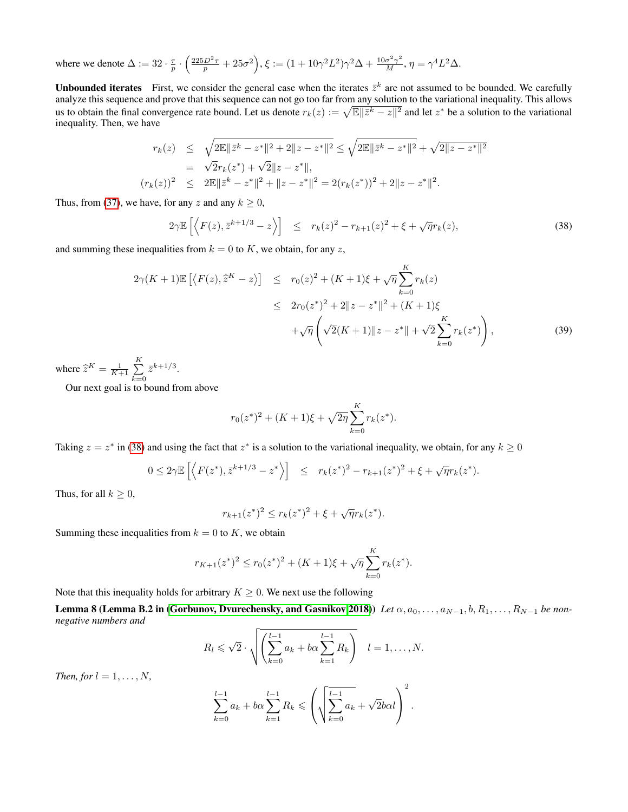where we denote  $\Delta := 32 \cdot \frac{\tau}{p} \cdot \left( \frac{225D^2 \tau}{p} + 25\sigma^2 \right), \xi := (1 + 10\gamma^2 L^2) \gamma^2 \Delta + \frac{10\sigma^2 \gamma^2}{M}, \eta = \gamma^4 L^2 \Delta.$ 

<span id="page-23-0"></span>**Unbounded iterates** First, we consider the general case when the iterates  $\bar{z}^k$  are not assumed to be bounded. We carefully analyze this sequence and prove that this sequence can not go too far from any solution to the variational inequality. This allows us to obtain the final convergence rate bound. Let us denote  $r_k(z) := \sqrt{\mathbb{E} ||\bar{z}^k - z||^2}$  and let  $z^*$  be a solution to the variational inequality. Then, we have

$$
r_k(z) \leq \sqrt{2\mathbb{E}||\bar{z}^k - z^*||^2 + 2||z - z^*||^2} \leq \sqrt{2\mathbb{E}||\bar{z}^k - z^*||^2} + \sqrt{2||z - z^*||^2}
$$
  
=  $\sqrt{2}r_k(z^*) + \sqrt{2}||z - z^*||$ ,  
 $(r_k(z))^2 \leq 2\mathbb{E}||\bar{z}^k - z^*||^2 + ||z - z^*||^2 = 2(r_k(z^*))^2 + 2||z - z^*||^2$ .

Thus, from [\(37\)](#page-22-0), we have, for any z and any  $k \geq 0$ ,

<span id="page-23-1"></span>
$$
2\gamma \mathbb{E}\left[\left\langle F(z), \bar{z}^{k+1/3} - z \right\rangle\right] \le r_k(z)^2 - r_{k+1}(z)^2 + \xi + \sqrt{\eta}r_k(z), \tag{38}
$$

and summing these inequalities from  $k = 0$  to K, we obtain, for any z,

<span id="page-23-2"></span>
$$
2\gamma(K+1)\mathbb{E}\left[\langle F(z),\hat{z}^K-z\rangle\right] \leq r_0(z)^2 + (K+1)\xi + \sqrt{\eta} \sum_{k=0}^K r_k(z)
$$
  

$$
\leq 2r_0(z^*)^2 + 2\|z - z^*\|^2 + (K+1)\xi
$$
  

$$
+\sqrt{\eta} \left(\sqrt{2}(K+1)\|z - z^*\| + \sqrt{2} \sum_{k=0}^K r_k(z^*)\right),
$$
 (39)

where  $\hat{z}^K = \frac{1}{K+1} \sum_{k=0}^K$  $k=0$  $\bar{z}^{k+1/3}$ .

Our next goal is to bound from above

$$
r_0(z^*)^2 + (K+1)\xi + \sqrt{2\eta} \sum_{k=0}^{K} r_k(z^*).
$$

Taking  $z = z^*$  in [\(38\)](#page-23-1) and using the fact that  $z^*$  is a solution to the variational inequality, we obtain, for any  $k \ge 0$ 

$$
0 \leq 2\gamma \mathbb{E}\left[\left\langle F(z^*), \bar{z}^{k+1/3} - z^* \right\rangle\right] \leq r_k(z^*)^2 - r_{k+1}(z^*)^2 + \xi + \sqrt{\eta}r_k(z^*).
$$

Thus, for all  $k \geq 0$ ,

<span id="page-23-3"></span>
$$
r_{k+1}(z^*)^2 \le r_k(z^*)^2 + \xi + \sqrt{\eta}r_k(z^*).
$$

Summing these inequalities from  $k = 0$  to K, we obtain

$$
r_{K+1}(z^*)^2 \le r_0(z^*)^2 + (K+1)\xi + \sqrt{\eta} \sum_{k=0}^K r_k(z^*).
$$

Note that this inequality holds for arbitrary  $K \geq 0$ . We next use the following

Lemma 8 (Lemma B.2 in [\(Gorbunov, Dvurechensky, and Gasnikov 2018\)](#page-7-35)) *Let*  $\alpha, a_0, \ldots, a_{N-1}, b, R_1, \ldots, R_{N-1}$  *be nonnegative numbers and*

$$
R_l \leqslant \sqrt{2} \cdot \sqrt{\left(\sum_{k=0}^{l-1} a_k + b\alpha \sum_{k=1}^{l-1} R_k\right)} \quad l=1,\ldots,N.
$$

*Then, for*  $l = 1, \ldots, N$ *,* 

$$
\sum_{k=0}^{l-1} a_k + b\alpha \sum_{k=1}^{l-1} R_k \leqslant \left(\sqrt{\sum_{k=0}^{l-1} a_k} + \sqrt{2}b\alpha l\right)^2.
$$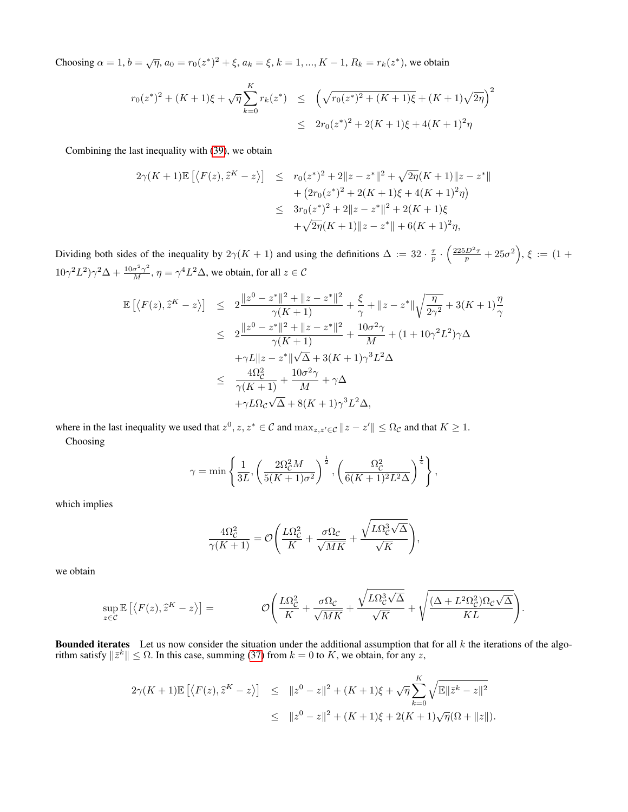Choosing  $\alpha = 1, b = \sqrt{\eta}, a_0 = r_0(z^*)^2 + \xi, a_k = \xi, k = 1, ..., K - 1, R_k = r_k(z^*)$ , we obtain

$$
r_0(z^*)^2 + (K+1)\xi + \sqrt{\eta} \sum_{k=0}^K r_k(z^*) \leq \left(\sqrt{r_0(z^*)^2 + (K+1)\xi} + (K+1)\sqrt{2\eta}\right)^2
$$
  

$$
\leq 2r_0(z^*)^2 + 2(K+1)\xi + 4(K+1)^2\eta
$$

Combining the last inequality with [\(39\)](#page-23-2), we obtain

$$
2\gamma(K+1)\mathbb{E}\left[\langle F(z),\hat{z}^K-z\rangle\right] \leq r_0(z^*)^2 + 2\|z-z^*\|^2 + \sqrt{2\eta}(K+1)\|z-z^*\| + \left(2r_0(z^*)^2 + 2(K+1)\xi + 4(K+1)^2\eta\right) \leq 3r_0(z^*)^2 + 2\|z-z^*\|^2 + 2(K+1)\xi + \sqrt{2\eta}(K+1)\|z-z^*\| + 6(K+1)^2\eta,
$$

Dividing both sides of the inequality by  $2\gamma(K+1)$  and using the definitions  $\Delta := 32 \cdot \frac{\tau}{p} \cdot \left(\frac{225D^2 \tau}{p} + 25\sigma^2\right), \xi := (1 +$  $10\gamma^2 L^2 \gamma^2 \Delta + \frac{10\sigma^2 \gamma^2}{M}, \eta = \gamma^4 L^2 \Delta$ , we obtain, for all  $z \in \mathcal{C}$ 

$$
\mathbb{E}\left[\left\langle F(z), \hat{z}^{K} - z\right\rangle\right] \leq 2 \frac{\|z^{0} - z^{*}\|^{2} + \|z - z^{*}\|^{2}}{\gamma(K+1)} + \frac{\xi}{\gamma} + \|z - z^{*}\| \sqrt{\frac{\eta}{2\gamma^{2}}} + 3(K+1)\frac{\eta}{\gamma}
$$
\n
$$
\leq 2 \frac{\|z^{0} - z^{*}\|^{2} + \|z - z^{*}\|^{2}}{\gamma(K+1)} + \frac{10\sigma^{2}\gamma}{M} + (1 + 10\gamma^{2}L^{2})\gamma\Delta
$$
\n
$$
+ \gamma L \|z - z^{*}\| \sqrt{\Delta} + 3(K+1)\gamma^{3}L^{2}\Delta
$$
\n
$$
\leq \frac{4\Omega_{C}^{2}}{\gamma(K+1)} + \frac{10\sigma^{2}\gamma}{M} + \gamma\Delta
$$
\n
$$
+ \gamma L\Omega_{C}\sqrt{\Delta} + 8(K+1)\gamma^{3}L^{2}\Delta,
$$

where in the last inequality we used that  $z^0, z, z^* \in \mathcal{C}$  and  $\max_{z, z' \in \mathcal{C}} ||z - z'|| \leq \Omega_{\mathcal{C}}$  and that  $K \geq 1$ . Choosing

$$
\gamma = \min\left\{\frac{1}{3L}, \left(\frac{2\Omega_C^2 M}{5(K+1)\sigma^2}\right)^{\frac{1}{2}}, \left(\frac{\Omega_C^2}{6(K+1)^2 L^2 \Delta}\right)^{\frac{1}{4}}\right\},\right\}
$$

which implies

$$
\frac{4\Omega_{\mathcal{C}}^2}{\gamma(K+1)} = \mathcal{O}\Bigg(\frac{L\Omega_{\mathcal{C}}^2}{K} + \frac{\sigma\Omega_{\mathcal{C}}}{\sqrt{MK}} + \frac{\sqrt{L\Omega_{\mathcal{C}}^3\sqrt{\Delta}}}{\sqrt{K}}\Bigg),
$$

we obtain

$$
\sup_{z \in \mathcal{C}} \mathbb{E} \left[ \langle F(z), \hat{z}^K - z \rangle \right] = \qquad \qquad \mathcal{O}\left( \frac{L\Omega_{\mathcal{C}}^2}{K} + \frac{\sigma \Omega_{\mathcal{C}}}{\sqrt{MK}} + \frac{\sqrt{L\Omega_{\mathcal{C}}^3 \sqrt{\Delta}}}{\sqrt{K}} + \sqrt{\frac{(\Delta + L^2 \Omega_{\mathcal{C}}^2) \Omega_{\mathcal{C}} \sqrt{\Delta}}{KL}} \right).
$$

**Bounded iterates** Let us now consider the situation under the additional assumption that for all  $k$  the iterations of the algorithm satisfy  $\|\bar{z}^k\| \leq \Omega$ . In this case, summing [\(37\)](#page-22-0) from  $k = 0$  to K, we obtain, for any z,

$$
2\gamma(K+1)\mathbb{E}\left[\left\langle F(z),\widehat{z}^K-z\right\rangle\right] \leq \|z^0-z\|^2 + (K+1)\xi + \sqrt{\eta}\sum_{k=0}^K \sqrt{\mathbb{E}\|\bar{z}^k-z\|^2}
$$
  

$$
\leq \|z^0-z\|^2 + (K+1)\xi + 2(K+1)\sqrt{\eta}(\Omega + \|z\|).
$$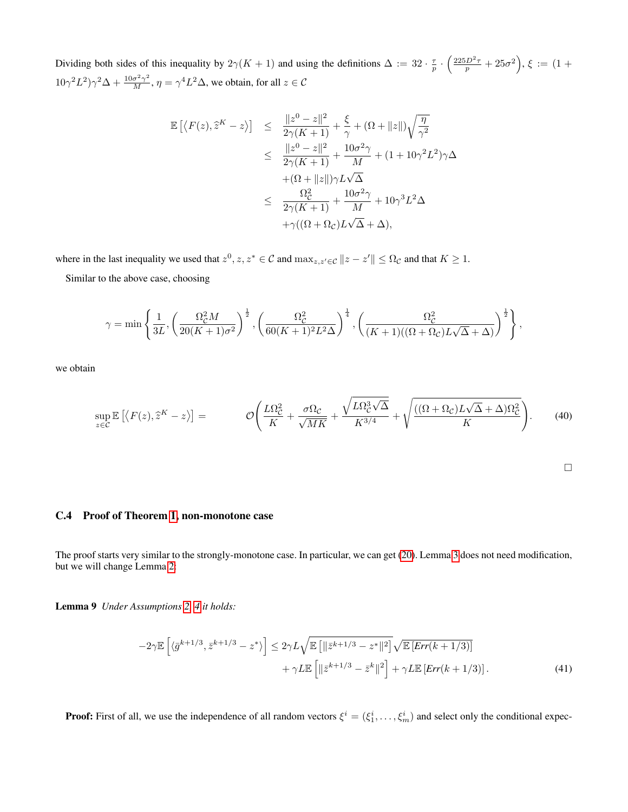Dividing both sides of this inequality by  $2\gamma(K+1)$  and using the definitions  $\Delta := 32 \cdot \frac{\tau}{p} \cdot \left(\frac{225D^2\tau}{p} + 25\sigma^2\right), \xi := (1 +$  $10\gamma^2 L^2 \gamma^2 \Delta + \frac{10\sigma^2 \gamma^2}{M}, \eta = \gamma^4 L^2 \Delta$ , we obtain, for all  $z \in \mathcal{C}$ 

$$
\begin{array}{lcl} \mathbb{E}\left[\left\langle F(z), \widehat{z}^K - z\right\rangle\right] & \leq & \frac{\|z^0 - z\|^2}{2\gamma(K+1)} + \frac{\xi}{\gamma} + (\Omega + \|z\|) \sqrt{\frac{\eta}{\gamma^2}} \\ \\ & \leq & \frac{\|z^0 - z\|^2}{2\gamma(K+1)} + \frac{10\sigma^2\gamma}{M} + (1+10\gamma^2L^2)\gamma\Delta \\ & & \quad + (\Omega + \|z\|)\gamma L\sqrt{\Delta} \\ \\ & \leq & \frac{\Omega_{\mathcal{C}}^2}{2\gamma(K+1)} + \frac{10\sigma^2\gamma}{M} + 10\gamma^3L^2\Delta \\ & & \quad + \gamma((\Omega + \Omega_{\mathcal{C}})L\sqrt{\Delta} + \Delta), \end{array}
$$

where in the last inequality we used that  $z^0, z, z^* \in \mathcal{C}$  and  $\max_{z,z'\in\mathcal{C}} ||z-z'|| \leq \Omega_{\mathcal{C}}$  and that  $K \geq 1$ .

Similar to the above case, choosing

$$
\gamma = \min\left\{\frac{1}{3L}, \left(\frac{\Omega_C^2 M}{20(K+1)\sigma^2}\right)^{\frac{1}{2}}, \left(\frac{\Omega_C^2}{60(K+1)^2L^2\Delta}\right)^{\frac{1}{4}}, \left(\frac{\Omega_C^2}{(K+1)((\Omega + \Omega_C)L\sqrt{\Delta} + \Delta)}\right)^{\frac{1}{2}}\right\},\right\}
$$

we obtain

$$
\sup_{z \in \mathcal{C}} \mathbb{E} \left[ \langle F(z), \hat{z}^K - z \rangle \right] = \qquad \mathcal{O} \left( \frac{L\Omega_{\mathcal{C}}^2}{K} + \frac{\sigma \Omega_{\mathcal{C}}}{\sqrt{MK}} + \frac{\sqrt{L\Omega_{\mathcal{C}}^3 \sqrt{\Delta}}}{K^{\frac{3}{4}}} + \sqrt{\frac{((\Omega + \Omega_{\mathcal{C}}) L\sqrt{\Delta} + \Delta)\Omega_{\mathcal{C}}^2}{K}} \right). \tag{40}
$$

#### C.4 Proof of Theorem [1,](#page-3-9) non-monotone case

The proof starts very similar to the strongly-monotone case. In particular, we can get [\(20\)](#page-11-1). Lemma [3](#page-12-1) does not need modification, but we will change Lemma [2:](#page-11-3)

Lemma 9 *Under Assumptions [2,](#page-3-3) [4](#page-3-5) it holds:*

$$
-2\gamma \mathbb{E}\left[\langle\bar{g}^{k+1/3},\bar{z}^{k+1/3}-z^*\rangle\right] \leq 2\gamma L\sqrt{\mathbb{E}\left[\left\|\bar{z}^{k+1/3}-z^*\right\|^2\right]}\sqrt{\mathbb{E}\left[Err(k+1/3)\right]}
$$

$$
+\gamma L\mathbb{E}\left[\left\|\bar{z}^{k+1/3}-\bar{z}^k\right\|^2\right]+\gamma L\mathbb{E}\left[Err(k+1/3)\right].\tag{41}
$$

**Proof:** First of all, we use the independence of all random vectors  $\xi^i = (\xi_1^i, \dots, \xi_m^i)$  and select only the conditional expec-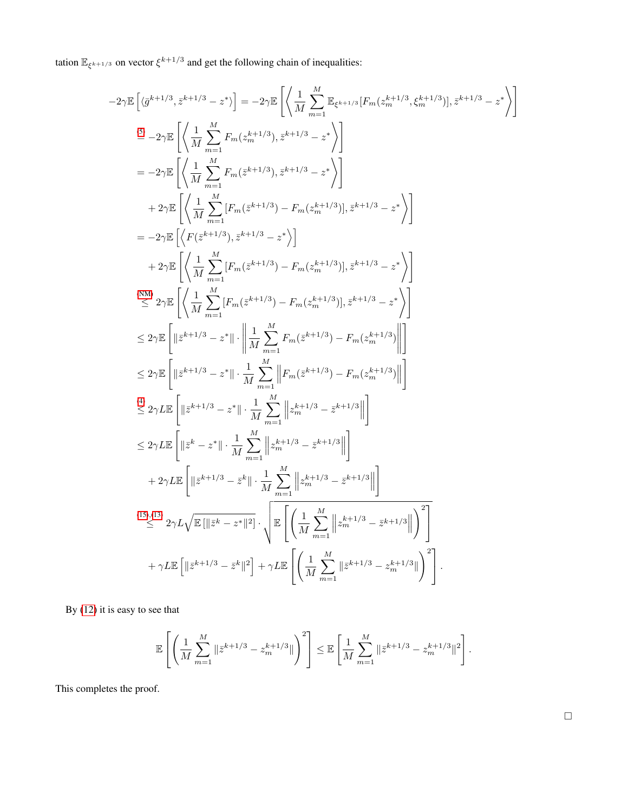tation  $\mathbb{E}_{\xi^{k+1/3}}$  on vector  $\xi^{k+1/3}$  and get the following chain of inequalities:

$$
-2\gamma\mathbb{E}\left[\langle\bar{g}^{k+1/3},\bar{z}^{k+1/3}-z^*\rangle\right] = -2\gamma\mathbb{E}\left[\left\langle\frac{1}{M}\sum_{m=1}^{M}\mathbb{E}_{\xi^{k+1/3}}[F_{m}(z_{m}^{k+1/3},\xi_{m}^{k+1/3})],\bar{z}^{k+1/3}-z^*\rangle\right]\right]
$$
  
\n
$$
\stackrel{(5)}{=} -2\gamma\mathbb{E}\left[\left\langle\frac{1}{M}\sum_{m=1}^{M}F_{m}(z_{m}^{k+1/3}),\bar{z}^{k+1/3}-z^*\rangle\right]\right]
$$
  
\n
$$
= -2\gamma\mathbb{E}\left[\left\langle\frac{1}{M}\sum_{m=1}^{M}[F_{m}(\bar{z}^{k+1/3})-F_{m}(z_{m}^{k+1/3})],\bar{z}^{k+1/3}-z^*\rangle\right]\right]
$$
  
\n
$$
+2\gamma\mathbb{E}\left[\left\langle\frac{1}{M}\sum_{m=1}^{M}[F_{m}(\bar{z}^{k+1/3})-F_{m}(z_{m}^{k+1/3})],\bar{z}^{k+1/3}-z^*\rangle\right]\right]
$$
  
\n
$$
+2\gamma\mathbb{E}\left[\left\langle\frac{1}{M}\sum_{m=1}^{M}[F_{m}(\bar{z}^{k+1/3})-F_{m}(z_{m}^{k+1/3})],\bar{z}^{k+1/3}-z^*\rangle\right]\right]
$$
  
\n
$$
\stackrel{(N8)}{\leq}2\gamma\mathbb{E}\left[\left\langle\frac{1}{M}\sum_{m=1}^{M}[F_{m}(\bar{z}^{k+1/3})-F_{m}(z_{m}^{k+1/3})],\bar{z}^{k+1/3}-z^*\rangle\right]\right]
$$
  
\n
$$
\leq 2\gamma\mathbb{E}\left[\left\|\bar{z}^{k+1/3}-z^*\right\|\cdot\left\|\frac{1}{M}\sum_{m=1}^{M}[F_{m}(\bar{z}^{k+1/3})-F_{m}(z_{m}^{k+1/3})\right|\right]
$$
  
\n
$$
\leq 2\gamma\mathbb{E}\left[\left\|\bar{z}^{k+1/3
$$

By [\(12\)](#page-10-3) it is easy to see that

$$
\mathbb{E}\left[\left(\frac{1}{M}\sum_{m=1}^{M}\|\bar{z}^{k+1/3}-z_m^{k+1/3}\|\right)^2\right] \leq \mathbb{E}\left[\frac{1}{M}\sum_{m=1}^{M}\|\bar{z}^{k+1/3}-z_m^{k+1/3}\|^2\right].
$$

This completes the proof.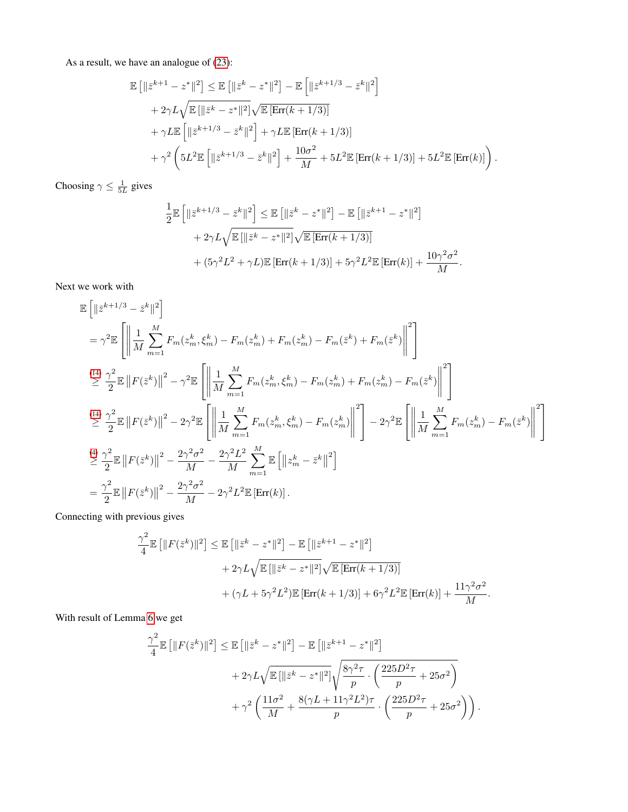As a result, we have an analogue of [\(23\)](#page-14-3):

$$
\mathbb{E} [||\bar{z}^{k+1} - z^*||^2] \leq \mathbb{E} [||\bar{z}^k - z^*||^2] - \mathbb{E} [||\bar{z}^{k+1/3} - \bar{z}^k||^2] \n+ 2\gamma L \sqrt{\mathbb{E} [||\bar{z}^k - z^*||^2]} \sqrt{\mathbb{E} [\text{Err}(k+1/3)]} \n+ \gamma L \mathbb{E} [||\bar{z}^{k+1/3} - \bar{z}^k||^2] + \gamma L \mathbb{E} [\text{Err}(k+1/3)] \n+ \gamma^2 \left( 5L^2 \mathbb{E} [||\bar{z}^{k+1/3} - \bar{z}^k||^2] + \frac{10\sigma^2}{M} + 5L^2 \mathbb{E} [\text{Err}(k+1/3)] + 5L^2 \mathbb{E} [\text{Err}(k)] \right).
$$

Choosing  $\gamma \leq \frac{1}{5L}$  gives

$$
\frac{1}{2}\mathbb{E}\left[\|\bar{z}^{k+1/3}-\bar{z}^{k}\|^2\right] \leq \mathbb{E}\left[\|\bar{z}^k-z^*\|^2\right] - \mathbb{E}\left[\|\bar{z}^{k+1}-z^*\|^2\right] \n+ 2\gamma L \sqrt{\mathbb{E}\left[\|\bar{z}^k-z^*\|^2\right]} \sqrt{\mathbb{E}\left[\text{Err}(k+1/3)\right]} \n+ (5\gamma^2 L^2 + \gamma L)\mathbb{E}\left[\text{Err}(k+1/3)\right] + 5\gamma^2 L^2 \mathbb{E}\left[\text{Err}(k)\right] + \frac{10\gamma^2 \sigma^2}{M}.
$$

Next we work with

$$
\mathbb{E}\left[\|\bar{z}^{k+1/3}-\bar{z}^{k}\|^{2}\right]
$$
\n
$$
= \gamma^{2} \mathbb{E}\left[\left\|\frac{1}{M}\sum_{m=1}^{M}F_{m}(z_{m}^{k},\xi_{m}^{k})-F_{m}(z_{m}^{k})+F_{m}(z_{m}^{k})-F_{m}(\bar{z}^{k})+F_{m}(\bar{z}^{k})\right\|^{2}\right]
$$
\n
$$
\stackrel{(14)}{\geq} \frac{\gamma^{2}}{2} \mathbb{E}\left\|F(\bar{z}^{k})\right\|^{2} - \gamma^{2} \mathbb{E}\left[\left\|\frac{1}{M}\sum_{m=1}^{M}F_{m}(z_{m}^{k},\xi_{m}^{k})-F_{m}(z_{m}^{k})+F_{m}(z_{m}^{k})-F_{m}(\bar{z}^{k})\right\|^{2}\right]
$$
\n
$$
\stackrel{(14)}{\geq} \frac{\gamma^{2}}{2} \mathbb{E}\left\|F(\bar{z}^{k})\right\|^{2} - 2\gamma^{2} \mathbb{E}\left[\left\|\frac{1}{M}\sum_{m=1}^{M}F_{m}(z_{m}^{k},\xi_{m}^{k})-F_{m}(z_{m}^{k})\right\|^{2}\right] - 2\gamma^{2} \mathbb{E}\left[\left\|\frac{1}{M}\sum_{m=1}^{M}F_{m}(z_{m}^{k})-F_{m}(z_{m}^{k})\right\|^{2}\right]
$$
\n
$$
\stackrel{(4)}{\geq} \frac{\gamma^{2}}{2} \mathbb{E}\left\|F(\bar{z}^{k})\right\|^{2} - \frac{2\gamma^{2}\sigma^{2}}{M} - \frac{2\gamma^{2}L^{2}}{M} \sum_{m=1}^{M} \mathbb{E}\left[\left\|z_{m}^{k}-\bar{z}^{k}\right\|^{2}\right]
$$
\n
$$
= \frac{\gamma^{2}}{2} \mathbb{E}\left\|F(\bar{z}^{k})\right\|^{2} - \frac{2\gamma^{2}\sigma^{2}}{M} - 2\gamma^{2}L^{2} \mathbb{E}\left[\text{Err}(k)\right].
$$

Connecting with previous gives

$$
\frac{\gamma^2}{4} \mathbb{E} \left[ ||F(\bar{z}^k)||^2 \right] \le \mathbb{E} \left[ ||\bar{z}^k - z^*||^2 \right] - \mathbb{E} \left[ ||\bar{z}^{k+1} - z^*||^2 \right] \n+ 2\gamma L \sqrt{\mathbb{E} \left[ ||\bar{z}^k - z^*||^2 \right]} \sqrt{\mathbb{E} \left[ \text{Err}(k+1/3) \right]} \n+ (\gamma L + 5\gamma^2 L^2) \mathbb{E} \left[ \text{Err}(k+1/3) \right] + 6\gamma^2 L^2 \mathbb{E} \left[ \text{Err}(k) \right] + \frac{11\gamma^2 \sigma^2}{M}.
$$

With result of Lemma [6](#page-19-3) we get

$$
\frac{\gamma^2}{4} \mathbb{E} \left[ \|F(\bar{z}^k)\|^2 \right] \le \mathbb{E} \left[ \|\bar{z}^k - z^*\|^2 \right] - \mathbb{E} \left[ \|\bar{z}^{k+1} - z^*\|^2 \right] \n+ 2\gamma L \sqrt{\mathbb{E} \left[ \|\bar{z}^k - z^*\|^2 \right]} \sqrt{\frac{8\gamma^2 \tau}{p} \cdot \left( \frac{225D^2 \tau}{p} + 25\sigma^2 \right)} \n+ \gamma^2 \left( \frac{11\sigma^2}{M} + \frac{8(\gamma L + 11\gamma^2 L^2)\tau}{p} \cdot \left( \frac{225D^2 \tau}{p} + 25\sigma^2 \right) \right).
$$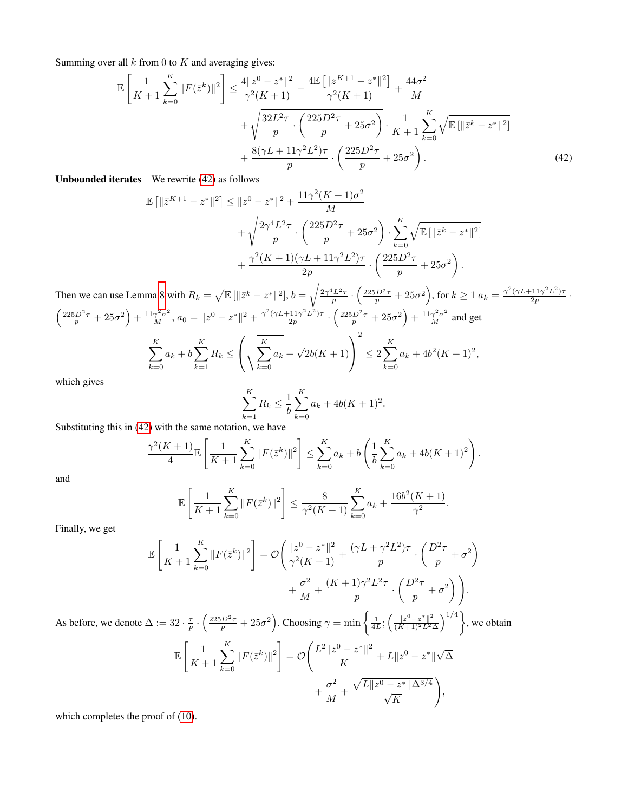Summing over all  $k$  from 0 to  $K$  and averaging gives:

$$
\mathbb{E}\left[\frac{1}{K+1}\sum_{k=0}^{K}||F(\bar{z}^{k})||^{2}\right] \leq \frac{4||z^{0} - z^{*}||^{2}}{\gamma^{2}(K+1)} - \frac{4\mathbb{E}\left[\|z^{K+1} - z^{*}||^{2}\right]}{\gamma^{2}(K+1)} + \frac{44\sigma^{2}}{M} + \sqrt{\frac{32L^{2}\tau}{p} \cdot \left(\frac{225D^{2}\tau}{p} + 25\sigma^{2}\right)} \cdot \frac{1}{K+1}\sum_{k=0}^{K} \sqrt{\mathbb{E}\left[\|\bar{z}^{k} - z^{*}||^{2}\right]} + \frac{8(\gamma L + 11\gamma^{2}L^{2})\tau}{p} \cdot \left(\frac{225D^{2}\tau}{p} + 25\sigma^{2}\right). \tag{42}
$$

<span id="page-28-0"></span>Unbounded iterates We rewrite [\(42\)](#page-28-1) as follows

$$
\mathbb{E}\left[\|\bar{z}^{K+1} - z^*\|^2\right] \leq \|z^0 - z^*\|^2 + \frac{11\gamma^2(K+1)\sigma^2}{M} + \sqrt{\frac{2\gamma^4 L^2 \tau}{p} \cdot \left(\frac{225D^2 \tau}{p} + 25\sigma^2\right)} \cdot \sum_{k=0}^K \sqrt{\mathbb{E}\left[\|\bar{z}^k - z^*\|^2\right]} + \frac{\gamma^2(K+1)(\gamma L + 11\gamma^2 L^2)\tau}{2p} \cdot \left(\frac{225D^2 \tau}{p} + 25\sigma^2\right).
$$

Then we can use Lemma [8](#page-23-3) with  $R_k = \sqrt{\mathbb{E}[\|\bar{z}^k - z^*\|^2]}, b = \sqrt{\frac{2\gamma^4 L^2 \tau}{p} \cdot \left(\frac{225D^2 \tau}{p} + 25\sigma^2\right)}$ , for  $k \ge 1$   $a_k = \frac{\gamma^2 (\gamma L + 11\gamma^2 L^2) \tau}{2p}$  $\frac{(11\gamma^2L^2)\tau}{2p}$  .  $\left(\frac{225D^2\tau}{p} + 25\sigma^2\right) + \frac{11\gamma^2\sigma^2}{M}, a_0 = \|z^0 - z^*\|^2 + \frac{\gamma^2(\gamma L + 11\gamma^2 L^2)\tau}{2p}$  $\frac{(211)^2 L^2 \tau}{2p} \cdot \left( \frac{225 D^2 \tau}{p} + 25 \sigma^2 \right) + \frac{11 \gamma^2 \sigma^2}{M}$  and get

$$
\sum_{k=0}^{K} a_k + b \sum_{k=1}^{K} R_k \le \left( \sqrt{\sum_{k=0}^{K} a_k} + \sqrt{2}b(K+1) \right)^2 \le 2 \sum_{k=0}^{K} a_k + 4b^2(K+1)^2,
$$

which gives

<span id="page-28-1"></span>
$$
\sum_{k=1}^{K} R_k \le \frac{1}{b} \sum_{k=0}^{K} a_k + 4b(K+1)^2.
$$

Substituting this in [\(42\)](#page-28-1) with the same notation, we have

$$
\frac{\gamma^2(K+1)}{4} \mathbb{E}\left[\frac{1}{K+1}\sum_{k=0}^K \|F(\bar{z}^k)\|^2\right] \le \sum_{k=0}^K a_k + b\left(\frac{1}{b}\sum_{k=0}^K a_k + 4b(K+1)^2\right).
$$

and

$$
\mathbb{E}\left[\frac{1}{K+1}\sum_{k=0}^{K}||F(\bar{z}^{k})||^{2}\right] \leq \frac{8}{\gamma^{2}(K+1)}\sum_{k=0}^{K}a_{k} + \frac{16b^{2}(K+1)}{\gamma^{2}}.
$$

Finally, we get

$$
\mathbb{E}\left[\frac{1}{K+1}\sum_{k=0}^{K}||F(\bar{z}^{k})||^{2}\right] = \mathcal{O}\left(\frac{||z^{0}-z^{*}||^{2}}{\gamma^{2}(K+1)} + \frac{(\gamma L + \gamma^{2}L^{2})\tau}{p} \cdot \left(\frac{D^{2}\tau}{p} + \sigma^{2}\right) + \frac{\sigma^{2}}{M} + \frac{(K+1)\gamma^{2}L^{2}\tau}{p} \cdot \left(\frac{D^{2}\tau}{p} + \sigma^{2}\right)\right).
$$

As before, we denote  $\Delta := 32 \cdot \frac{\tau}{p} \cdot \left( \frac{225D^2 \tau}{p} + 25\sigma^2 \right)$ . Choosing  $\gamma = \min \left\{ \frac{1}{4L} ; \left( \frac{\|z^0 - z^*\|^2}{(K+1)^2 L^2} \right) \right\}$  $\frac{\|z^0 - z^*\|^2}{(K+1)^2 L^2 \Delta}$  and  $\left.\right\}$ , we obtain

$$
\mathbb{E}\left[\frac{1}{K+1}\sum_{k=0}^{K}||F(\bar{z}^{k})||^{2}\right] = \mathcal{O}\left(\frac{L^{2}||z^{0} - z^{*}||^{2}}{K} + L||z^{0} - z^{*}||\sqrt{\Delta} + \frac{\sigma^{2}}{M} + \frac{\sqrt{L||z^{0} - z^{*}||\Delta^{3/4}}}{\sqrt{K}}\right),
$$

which completes the proof of [\(10\)](#page-4-1).